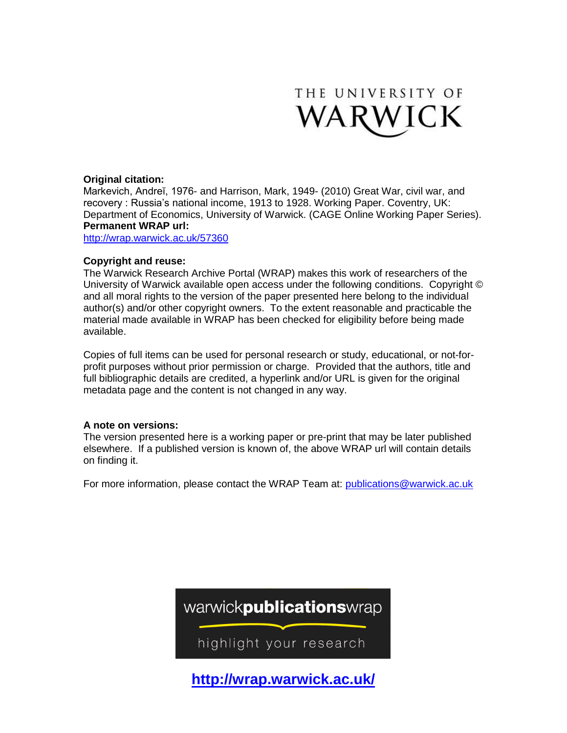

## **Original citation:**

Markevich, Andreĭ, 1976- and Harrison, Mark, 1949- (2010) Great War, civil war, and recovery : Russia's national income, 1913 to 1928. Working Paper. Coventry, UK: Department of Economics, University of Warwick. (CAGE Online Working Paper Series). **Permanent WRAP url:**

<http://wrap.warwick.ac.uk/57360>

## **Copyright and reuse:**

The Warwick Research Archive Portal (WRAP) makes this work of researchers of the University of Warwick available open access under the following conditions. Copyright © and all moral rights to the version of the paper presented here belong to the individual author(s) and/or other copyright owners. To the extent reasonable and practicable the material made available in WRAP has been checked for eligibility before being made available.

Copies of full items can be used for personal research or study, educational, or not-forprofit purposes without prior permission or charge. Provided that the authors, title and full bibliographic details are credited, a hyperlink and/or URL is given for the original metadata page and the content is not changed in any way.

## **A note on versions:**

The version presented here is a working paper or pre-print that may be later published elsewhere. If a published version is known of, the above WRAP url will contain details on finding it.

For more information, please contact the WRAP Team at: [publications@warwick.ac.uk](mailto:publications@warwick.ac.uk)



**http://wrap.warwick.ac.uk/**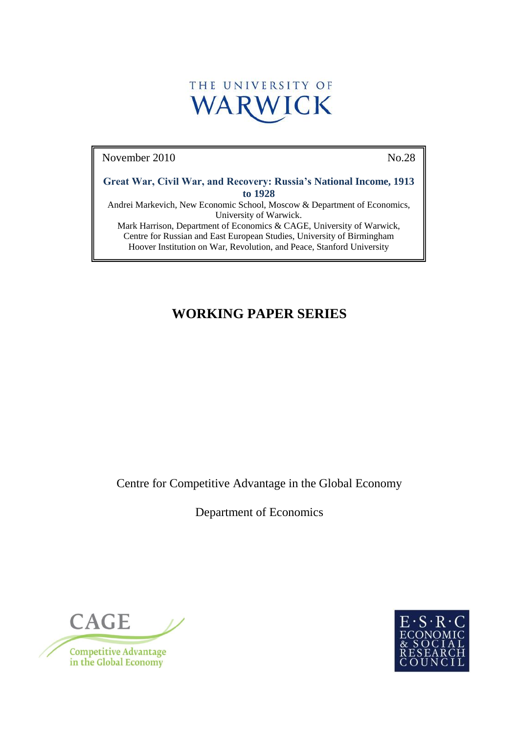

November 2010 No.28

**Great War, Civil War, and Recovery: Russia's National Income, 1913 to 1928**

Andrei Markevich, New Economic School, Moscow & Department of Economics, University of Warwick.

Mark Harrison, Department of Economics & CAGE, University of Warwick, Centre for Russian and East European Studies, University of Birmingham Hoover Institution on War, Revolution, and Peace, Stanford University

# **WORKING PAPER SERIES**

Centre for Competitive Advantage in the Global Economy

Department of Economics



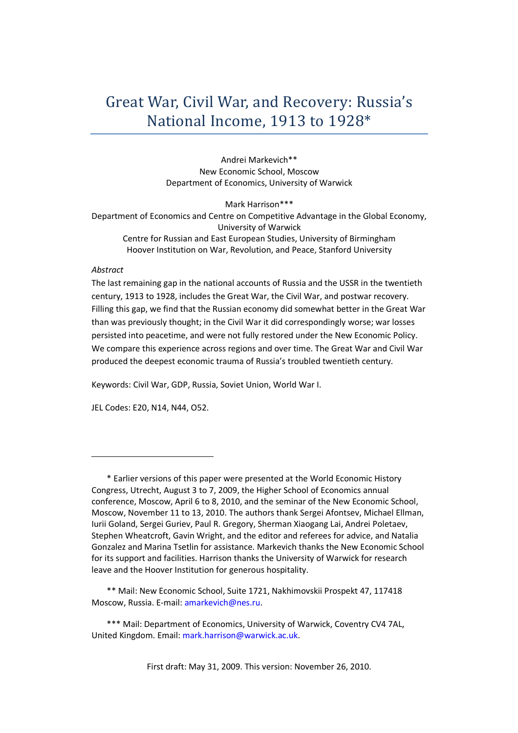# Great War, Civil War, and Recovery: Russia's National Income, 1913 to 1928\*

Andrei Markevich\*\* New Economic School, Moscow Department of Economics, University of Warwick

Mark Harrison\*\*\* Department of Economics and Centre on Competitive Advantage in the Global Economy, University of Warwick Centre for Russian and East European Studies, University of Birmingham Hoover Institution on War, Revolution, and Peace, Stanford University

### *Abstract*

The last remaining gap in the national accounts of Russia and the USSR in the twentieth century, 1913 to 1928, includes the Great War, the Civil War, and postwar recovery. Filling this gap, we find that the Russian economy did somewhat better in the Great War than was previously thought; in the Civil War it did correspondingly worse; war losses persisted into peacetime, and were not fully restored under the New Economic Policy. We compare this experience across regions and over time. The Great War and Civil War produced the deepest economic trauma of Russia's troubled twentieth century.

Keywords: Civil War, GDP, Russia, Soviet Union, World War I.

JEL Codes: E20, N14, N44, O52.

First draft: May 31, 2009. This version: November 26, 2010.

<sup>\*</sup> Earlier versions of this paper were presented at the World Economic History Congress, Utrecht, August 3 to 7, 2009, the Higher School of Economics annual conference, Moscow, April 6 to 8, 2010, and the seminar of the New Economic School, Moscow, November 11 to 13, 2010. The authors thank Sergei Afontsev, Michael Ellman, Iurii Goland, Sergei Guriev, Paul R. Gregory, Sherman Xiaogang Lai, Andrei Poletaev, Stephen Wheatcroft, Gavin Wright, and the editor and referees for advice, and Natalia Gonzalez and Marina Tsetlin for assistance. Markevich thanks the New Economic School for its support and facilities. Harrison thanks the University of Warwick for research leave and the Hoover Institution for generous hospitality.

<sup>\*\*</sup> Mail: New Economic School, Suite 1721, Nakhimovskii Prospekt 47, 117418 Moscow, Russia. E-mail: amarkevich@nes.ru.

<sup>\*\*\*</sup> Mail: Department of Economics, University of Warwick, Coventry CV4 7AL, United Kingdom. Email: mark.harrison@warwick.ac.uk.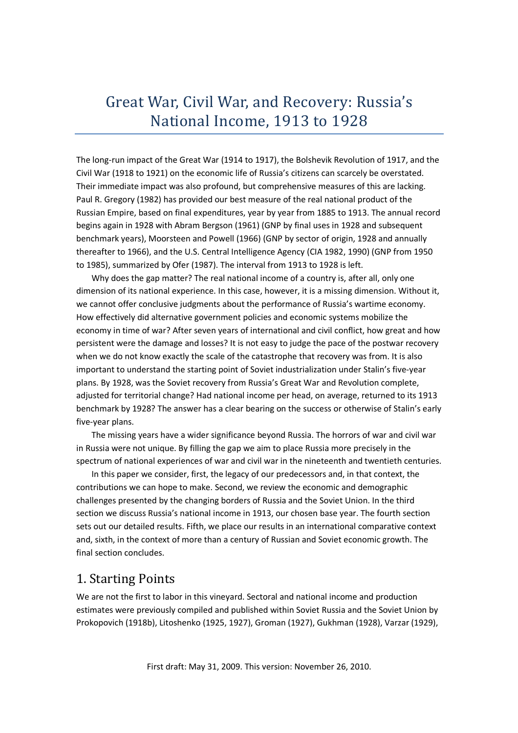# Great War, Civil War, and Recovery: Russia's National Income, 1913 to 1928

The long-run impact of the Great War (1914 to 1917), the Bolshevik Revolution of 1917, and the Civil War (1918 to 1921) on the economic life of Russia's citizens can scarcely be overstated. Their immediate impact was also profound, but comprehensive measures of this are lacking. Paul R. Gregory (1982) has provided our best measure of the real national product of the Russian Empire, based on final expenditures, year by year from 1885 to 1913. The annual record begins again in 1928 with Abram Bergson (1961) (GNP by final uses in 1928 and subsequent benchmark years), Moorsteen and Powell (1966) (GNP by sector of origin, 1928 and annually thereafter to 1966), and the U.S. Central Intelligence Agency (CIA 1982, 1990) (GNP from 1950 to 1985), summarized by Ofer (1987). The interval from 1913 to 1928 is left.

Why does the gap matter? The real national income of a country is, after all, only one dimension of its national experience. In this case, however, it is a missing dimension. Without it, we cannot offer conclusive judgments about the performance of Russia's wartime economy. How effectively did alternative government policies and economic systems mobilize the economy in time of war? After seven years of international and civil conflict, how great and how persistent were the damage and losses? It is not easy to judge the pace of the postwar recovery when we do not know exactly the scale of the catastrophe that recovery was from. It is also important to understand the starting point of Soviet industrialization under Stalin's five-year plans. By 1928, was the Soviet recovery from Russia's Great War and Revolution complete, adjusted for territorial change? Had national income per head, on average, returned to its 1913 benchmark by 1928? The answer has a clear bearing on the success or otherwise of Stalin's early five-year plans.

The missing years have a wider significance beyond Russia. The horrors of war and civil war in Russia were not unique. By filling the gap we aim to place Russia more precisely in the spectrum of national experiences of war and civil war in the nineteenth and twentieth centuries.

In this paper we consider, first, the legacy of our predecessors and, in that context, the contributions we can hope to make. Second, we review the economic and demographic challenges presented by the changing borders of Russia and the Soviet Union. In the third section we discuss Russia's national income in 1913, our chosen base year. The fourth section sets out our detailed results. Fifth, we place our results in an international comparative context and, sixth, in the context of more than a century of Russian and Soviet economic growth. The final section concludes.

# 1. Starting Points

We are not the first to labor in this vineyard. Sectoral and national income and production estimates were previously compiled and published within Soviet Russia and the Soviet Union by Prokopovich (1918b), Litoshenko (1925, 1927), Groman (1927), Gukhman (1928), Varzar (1929),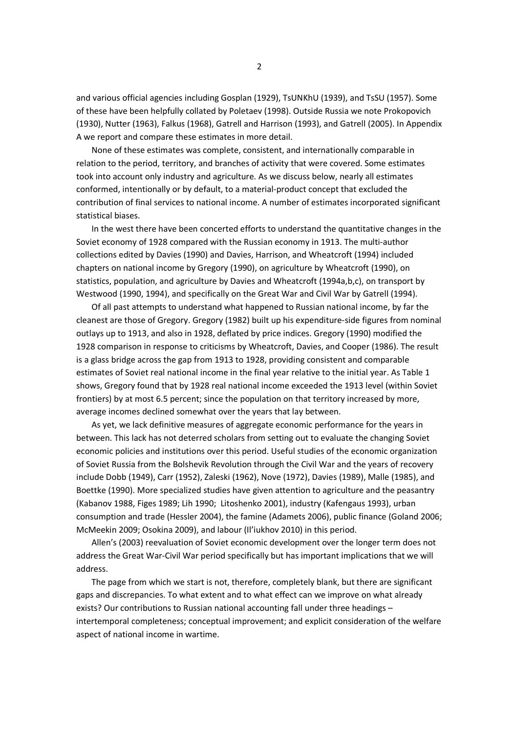and various official agencies including Gosplan (1929), TsUNKhU (1939), and TsSU (1957). Some of these have been helpfully collated by Poletaev (1998). Outside Russia we note Prokopovich (1930), Nutter (1963), Falkus (1968), Gatrell and Harrison (1993), and Gatrell (2005). In Appendix A we report and compare these estimates in more detail.

None of these estimates was complete, consistent, and internationally comparable in relation to the period, territory, and branches of activity that were covered. Some estimates took into account only industry and agriculture. As we discuss below, nearly all estimates conformed, intentionally or by default, to a material-product concept that excluded the contribution of final services to national income. A number of estimates incorporated significant statistical biases.

In the west there have been concerted efforts to understand the quantitative changes in the Soviet economy of 1928 compared with the Russian economy in 1913. The multi-author collections edited by Davies (1990) and Davies, Harrison, and Wheatcroft (1994) included chapters on national income by Gregory (1990), on agriculture by Wheatcroft (1990), on statistics, population, and agriculture by Davies and Wheatcroft (1994a,b,c), on transport by Westwood (1990, 1994), and specifically on the Great War and Civil War by Gatrell (1994).

Of all past attempts to understand what happened to Russian national income, by far the cleanest are those of Gregory. Gregory (1982) built up his expenditure-side figures from nominal outlays up to 1913, and also in 1928, deflated by price indices. Gregory (1990) modified the 1928 comparison in response to criticisms by Wheatcroft, Davies, and Cooper (1986). The result is a glass bridge across the gap from 1913 to 1928, providing consistent and comparable estimates of Soviet real national income in the final year relative to the initial year. As Table 1 shows, Gregory found that by 1928 real national income exceeded the 1913 level (within Soviet frontiers) by at most 6.5 percent; since the population on that territory increased by more, average incomes declined somewhat over the years that lay between.

As yet, we lack definitive measures of aggregate economic performance for the years in between. This lack has not deterred scholars from setting out to evaluate the changing Soviet economic policies and institutions over this period. Useful studies of the economic organization of Soviet Russia from the Bolshevik Revolution through the Civil War and the years of recovery include Dobb (1949), Carr (1952), Zaleski (1962), Nove (1972), Davies (1989), Malle (1985), and Boettke (1990). More specialized studies have given attention to agriculture and the peasantry (Kabanov 1988, Figes 1989; Lih 1990; Litoshenko 2001), industry (Kafengaus 1993), urban consumption and trade (Hessler 2004), the famine (Adamets 2006), public finance (Goland 2006; McMeekin 2009; Osokina 2009), and labour (Il'iukhov 2010) in this period.

Allen's (2003) reevaluation of Soviet economic development over the longer term does not address the Great War-Civil War period specifically but has important implications that we will address.

The page from which we start is not, therefore, completely blank, but there are significant gaps and discrepancies. To what extent and to what effect can we improve on what already exists? Our contributions to Russian national accounting fall under three headings – intertemporal completeness; conceptual improvement; and explicit consideration of the welfare aspect of national income in wartime.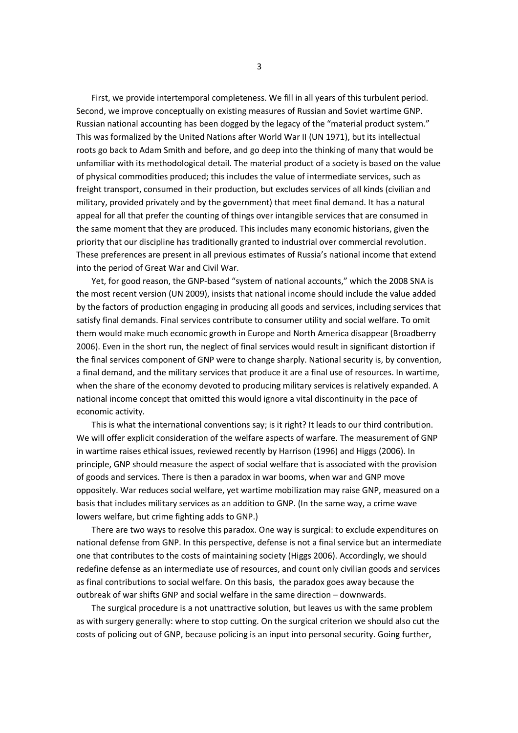First, we provide intertemporal completeness. We fill in all years of this turbulent period. Second, we improve conceptually on existing measures of Russian and Soviet wartime GNP. Russian national accounting has been dogged by the legacy of the "material product system." This was formalized by the United Nations after World War II (UN 1971), but its intellectual roots go back to Adam Smith and before, and go deep into the thinking of many that would be unfamiliar with its methodological detail. The material product of a society is based on the value of physical commodities produced; this includes the value of intermediate services, such as freight transport, consumed in their production, but excludes services of all kinds (civilian and military, provided privately and by the government) that meet final demand. It has a natural appeal for all that prefer the counting of things over intangible services that are consumed in the same moment that they are produced. This includes many economic historians, given the priority that our discipline has traditionally granted to industrial over commercial revolution. These preferences are present in all previous estimates of Russia's national income that extend into the period of Great War and Civil War.

Yet, for good reason, the GNP-based "system of national accounts," which the 2008 SNA is the most recent version (UN 2009), insists that national income should include the value added by the factors of production engaging in producing all goods and services, including services that satisfy final demands. Final services contribute to consumer utility and social welfare. To omit them would make much economic growth in Europe and North America disappear (Broadberry 2006). Even in the short run, the neglect of final services would result in significant distortion if the final services component of GNP were to change sharply. National security is, by convention, a final demand, and the military services that produce it are a final use of resources. In wartime, when the share of the economy devoted to producing military services is relatively expanded. A national income concept that omitted this would ignore a vital discontinuity in the pace of economic activity.

This is what the international conventions say; is it right? It leads to our third contribution. We will offer explicit consideration of the welfare aspects of warfare. The measurement of GNP in wartime raises ethical issues, reviewed recently by Harrison (1996) and Higgs (2006). In principle, GNP should measure the aspect of social welfare that is associated with the provision of goods and services. There is then a paradox in war booms, when war and GNP move oppositely. War reduces social welfare, yet wartime mobilization may raise GNP, measured on a basis that includes military services as an addition to GNP. (In the same way, a crime wave lowers welfare, but crime fighting adds to GNP.)

There are two ways to resolve this paradox. One way is surgical: to exclude expenditures on national defense from GNP. In this perspective, defense is not a final service but an intermediate one that contributes to the costs of maintaining society (Higgs 2006). Accordingly, we should redefine defense as an intermediate use of resources, and count only civilian goods and services as final contributions to social welfare. On this basis, the paradox goes away because the outbreak of war shifts GNP and social welfare in the same direction – downwards.

The surgical procedure is a not unattractive solution, but leaves us with the same problem as with surgery generally: where to stop cutting. On the surgical criterion we should also cut the costs of policing out of GNP, because policing is an input into personal security. Going further,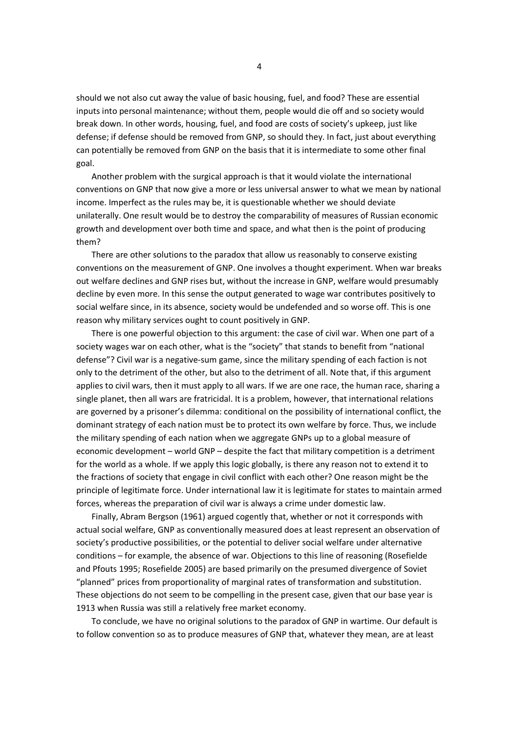should we not also cut away the value of basic housing, fuel, and food? These are essential inputs into personal maintenance; without them, people would die off and so society would break down. In other words, housing, fuel, and food are costs of society's upkeep, just like defense; if defense should be removed from GNP, so should they. In fact, just about everything can potentially be removed from GNP on the basis that it is intermediate to some other final goal.

Another problem with the surgical approach is that it would violate the international conventions on GNP that now give a more or less universal answer to what we mean by national income. Imperfect as the rules may be, it is questionable whether we should deviate unilaterally. One result would be to destroy the comparability of measures of Russian economic growth and development over both time and space, and what then is the point of producing them?

There are other solutions to the paradox that allow us reasonably to conserve existing conventions on the measurement of GNP. One involves a thought experiment. When war breaks out welfare declines and GNP rises but, without the increase in GNP, welfare would presumably decline by even more. In this sense the output generated to wage war contributes positively to social welfare since, in its absence, society would be undefended and so worse off. This is one reason why military services ought to count positively in GNP.

There is one powerful objection to this argument: the case of civil war. When one part of a society wages war on each other, what is the "society" that stands to benefit from "national defense"? Civil war is a negative-sum game, since the military spending of each faction is not only to the detriment of the other, but also to the detriment of all. Note that, if this argument applies to civil wars, then it must apply to all wars. If we are one race, the human race, sharing a single planet, then all wars are fratricidal. It is a problem, however, that international relations are governed by a prisoner's dilemma: conditional on the possibility of international conflict, the dominant strategy of each nation must be to protect its own welfare by force. Thus, we include the military spending of each nation when we aggregate GNPs up to a global measure of economic development – world GNP – despite the fact that military competition is a detriment for the world as a whole. If we apply this logic globally, is there any reason not to extend it to the fractions of society that engage in civil conflict with each other? One reason might be the principle of legitimate force. Under international law it is legitimate for states to maintain armed forces, whereas the preparation of civil war is always a crime under domestic law.

Finally, Abram Bergson (1961) argued cogently that, whether or not it corresponds with actual social welfare, GNP as conventionally measured does at least represent an observation of society's productive possibilities, or the potential to deliver social welfare under alternative conditions – for example, the absence of war. Objections to this line of reasoning (Rosefielde and Pfouts 1995; Rosefielde 2005) are based primarily on the presumed divergence of Soviet "planned" prices from proportionality of marginal rates of transformation and substitution. These objections do not seem to be compelling in the present case, given that our base year is 1913 when Russia was still a relatively free market economy.

To conclude, we have no original solutions to the paradox of GNP in wartime. Our default is to follow convention so as to produce measures of GNP that, whatever they mean, are at least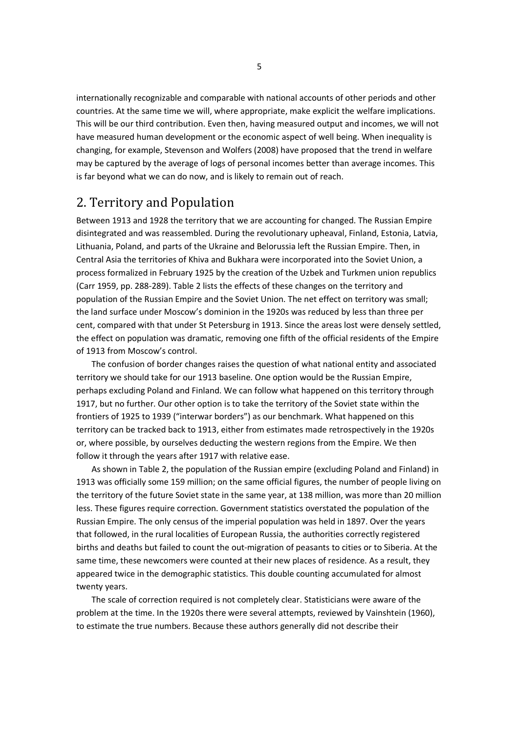internationally recognizable and comparable with national accounts of other periods and other countries. At the same time we will, where appropriate, make explicit the welfare implications. This will be our third contribution. Even then, having measured output and incomes, we will not have measured human development or the economic aspect of well being. When inequality is changing, for example, Stevenson and Wolfers (2008) have proposed that the trend in welfare may be captured by the average of logs of personal incomes better than average incomes. This is far beyond what we can do now, and is likely to remain out of reach.

# 2. Territory and Population

Between 1913 and 1928 the territory that we are accounting for changed. The Russian Empire disintegrated and was reassembled. During the revolutionary upheaval, Finland, Estonia, Latvia, Lithuania, Poland, and parts of the Ukraine and Belorussia left the Russian Empire. Then, in Central Asia the territories of Khiva and Bukhara were incorporated into the Soviet Union, a process formalized in February 1925 by the creation of the Uzbek and Turkmen union republics (Carr 1959, pp. 288-289). Table 2 lists the effects of these changes on the territory and population of the Russian Empire and the Soviet Union. The net effect on territory was small; the land surface under Moscow's dominion in the 1920s was reduced by less than three per cent, compared with that under St Petersburg in 1913. Since the areas lost were densely settled, the effect on population was dramatic, removing one fifth of the official residents of the Empire of 1913 from Moscow's control.

The confusion of border changes raises the question of what national entity and associated territory we should take for our 1913 baseline. One option would be the Russian Empire, perhaps excluding Poland and Finland. We can follow what happened on this territory through 1917, but no further. Our other option is to take the territory of the Soviet state within the frontiers of 1925 to 1939 ("interwar borders") as our benchmark. What happened on this territory can be tracked back to 1913, either from estimates made retrospectively in the 1920s or, where possible, by ourselves deducting the western regions from the Empire. We then follow it through the years after 1917 with relative ease.

As shown in Table 2, the population of the Russian empire (excluding Poland and Finland) in 1913 was officially some 159 million; on the same official figures, the number of people living on the territory of the future Soviet state in the same year, at 138 million, was more than 20 million less. These figures require correction. Government statistics overstated the population of the Russian Empire. The only census of the imperial population was held in 1897. Over the years that followed, in the rural localities of European Russia, the authorities correctly registered births and deaths but failed to count the out-migration of peasants to cities or to Siberia. At the same time, these newcomers were counted at their new places of residence. As a result, they appeared twice in the demographic statistics. This double counting accumulated for almost twenty years.

The scale of correction required is not completely clear. Statisticians were aware of the problem at the time. In the 1920s there were several attempts, reviewed by Vainshtein (1960), to estimate the true numbers. Because these authors generally did not describe their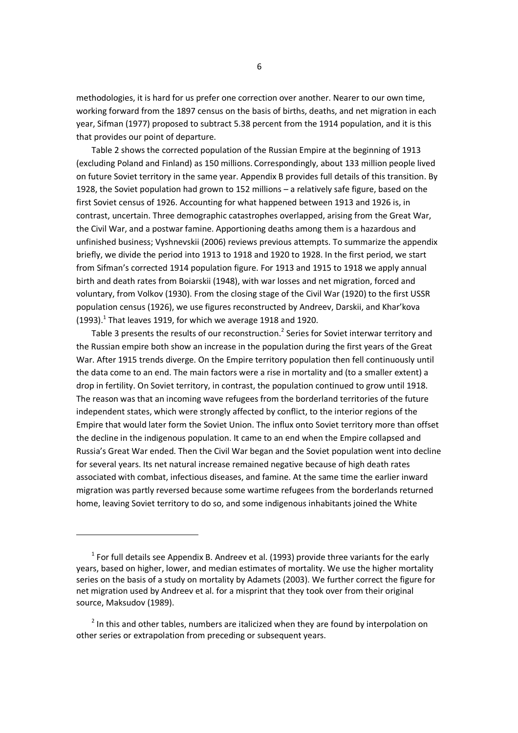methodologies, it is hard for us prefer one correction over another. Nearer to our own time, working forward from the 1897 census on the basis of births, deaths, and net migration in each year, Sifman (1977) proposed to subtract 5.38 percent from the 1914 population, and it is this that provides our point of departure.

Table 2 shows the corrected population of the Russian Empire at the beginning of 1913 (excluding Poland and Finland) as 150 millions. Correspondingly, about 133 million people lived on future Soviet territory in the same year. Appendix B provides full details of this transition. By 1928, the Soviet population had grown to 152 millions – a relatively safe figure, based on the first Soviet census of 1926. Accounting for what happened between 1913 and 1926 is, in contrast, uncertain. Three demographic catastrophes overlapped, arising from the Great War, the Civil War, and a postwar famine. Apportioning deaths among them is a hazardous and unfinished business; Vyshnevskii (2006) reviews previous attempts. To summarize the appendix briefly, we divide the period into 1913 to 1918 and 1920 to 1928. In the first period, we start from Sifman's corrected 1914 population figure. For 1913 and 1915 to 1918 we apply annual birth and death rates from Boiarskii (1948), with war losses and net migration, forced and voluntary, from Volkov (1930). From the closing stage of the Civil War (1920) to the first USSR population census (1926), we use figures reconstructed by Andreev, Darskii, and Khar'kova (1993). $<sup>1</sup>$  That leaves 1919, for which we average 1918 and 1920.</sup>

Table 3 presents the results of our reconstruction.<sup>2</sup> Series for Soviet interwar territory and the Russian empire both show an increase in the population during the first years of the Great War. After 1915 trends diverge. On the Empire territory population then fell continuously until the data come to an end. The main factors were a rise in mortality and (to a smaller extent) a drop in fertility. On Soviet territory, in contrast, the population continued to grow until 1918. The reason was that an incoming wave refugees from the borderland territories of the future independent states, which were strongly affected by conflict, to the interior regions of the Empire that would later form the Soviet Union. The influx onto Soviet territory more than offset the decline in the indigenous population. It came to an end when the Empire collapsed and Russia's Great War ended. Then the Civil War began and the Soviet population went into decline for several years. Its net natural increase remained negative because of high death rates associated with combat, infectious diseases, and famine. At the same time the earlier inward migration was partly reversed because some wartime refugees from the borderlands returned home, leaving Soviet territory to do so, and some indigenous inhabitants joined the White

 $<sup>1</sup>$  For full details see Appendix B. Andreev et al. (1993) provide three variants for the early</sup> years, based on higher, lower, and median estimates of mortality. We use the higher mortality series on the basis of a study on mortality by Adamets (2003). We further correct the figure for net migration used by Andreev et al. for a misprint that they took over from their original source, Maksudov (1989).

 $2$  In this and other tables, numbers are italicized when they are found by interpolation on other series or extrapolation from preceding or subsequent years.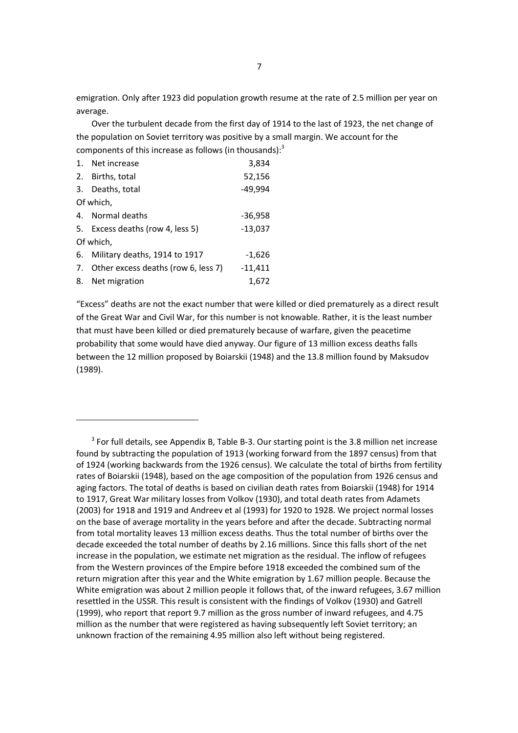emigration. Only after 1923 did population growth resume at the rate of 2.5 million per year on average.

Over the turbulent decade from the first day of 1914 to the last of 1923, the net change of the population on Soviet territory was positive by a small margin. We account for the components of this increase as follows (in thousands): $3$ 

| 1. Net increase                        | 3,834     |
|----------------------------------------|-----------|
| 2. Births, total                       | 52,156    |
| 3. Deaths, total                       | -49,994   |
| Of which,                              |           |
| 4. Normal deaths                       | $-36,958$ |
| 5. Excess deaths (row 4, less 5)       | -13,037   |
| Of which,                              |           |
| 6. Military deaths, 1914 to 1917       | $-1,626$  |
| 7. Other excess deaths (row 6, less 7) | $-11,411$ |
| 8. Net migration                       | 1,672     |

"Excess" deaths are not the exact number that were killed or died prematurely as a direct result of the Great War and Civil War, for this number is not knowable. Rather, it is the least number that must have been killed or died prematurely because of warfare, given the peacetime probability that some would have died anyway. Our figure of 13 million excess deaths falls between the 12 million proposed by Boiarskii (1948) and the 13.8 million found by Maksudov (1989).

 $3$  For full details, see Appendix B, Table B-3. Our starting point is the 3.8 million net increase found by subtracting the population of 1913 (working forward from the 1897 census) from that of 1924 (working backwards from the 1926 census). We calculate the total of births from fertility rates of Boiarskii (1948), based on the age composition of the population from 1926 census and aging factors. The total of deaths is based on civilian death rates from Boiarskii (1948) for 1914 to 1917, Great War military losses from Volkov (1930), and total death rates from Adamets (2003) for 1918 and 1919 and Andreev et al (1993) for 1920 to 1928. We project normal losses on the base of average mortality in the years before and after the decade. Subtracting normal from total mortality leaves 13 million excess deaths. Thus the total number of births over the decade exceeded the total number of deaths by 2.16 millions. Since this falls short of the net increase in the population, we estimate net migration as the residual. The inflow of refugees from the Western provinces of the Empire before 1918 exceeded the combined sum of the return migration after this year and the White emigration by 1.67 million people. Because the White emigration was about 2 million people it follows that, of the inward refugees, 3.67 million resettled in the USSR. This result is consistent with the findings of Volkov (1930) and Gatrell (1999), who report that report 9.7 million as the gross number of inward refugees, and 4.75 million as the number that were registered as having subsequently left Soviet territory; an unknown fraction of the remaining 4.95 million also left without being registered.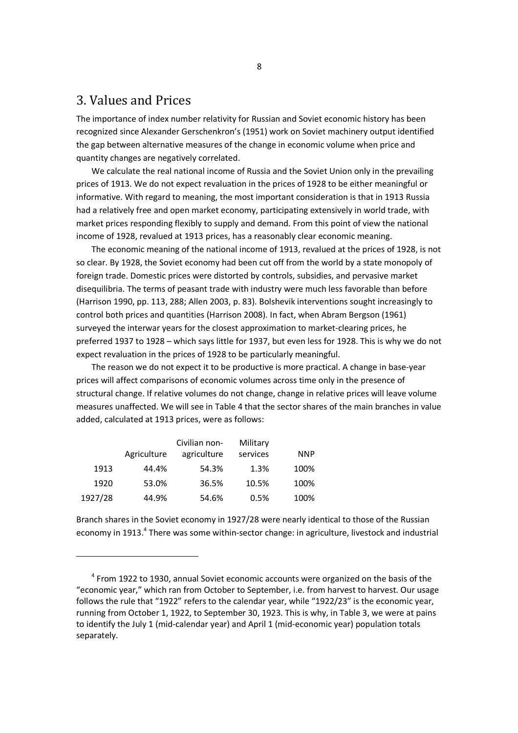# 3. Values and Prices

The importance of index number relativity for Russian and Soviet economic history has been recognized since Alexander Gerschenkron's (1951) work on Soviet machinery output identified the gap between alternative measures of the change in economic volume when price and quantity changes are negatively correlated.

We calculate the real national income of Russia and the Soviet Union only in the prevailing prices of 1913. We do not expect revaluation in the prices of 1928 to be either meaningful or informative. With regard to meaning, the most important consideration is that in 1913 Russia had a relatively free and open market economy, participating extensively in world trade, with market prices responding flexibly to supply and demand. From this point of view the national income of 1928, revalued at 1913 prices, has a reasonably clear economic meaning.

The economic meaning of the national income of 1913, revalued at the prices of 1928, is not so clear. By 1928, the Soviet economy had been cut off from the world by a state monopoly of foreign trade. Domestic prices were distorted by controls, subsidies, and pervasive market disequilibria. The terms of peasant trade with industry were much less favorable than before (Harrison 1990, pp. 113, 288; Allen 2003, p. 83). Bolshevik interventions sought increasingly to control both prices and quantities (Harrison 2008). In fact, when Abram Bergson (1961) surveyed the interwar years for the closest approximation to market-clearing prices, he preferred 1937 to 1928 – which says little for 1937, but even less for 1928. This is why we do not expect revaluation in the prices of 1928 to be particularly meaningful.

The reason we do not expect it to be productive is more practical. A change in base-year prices will affect comparisons of economic volumes across time only in the presence of structural change. If relative volumes do not change, change in relative prices will leave volume measures unaffected. We will see in Table 4 that the sector shares of the main branches in value added, calculated at 1913 prices, were as follows:

|         |             | Civilian non- | Military |            |
|---------|-------------|---------------|----------|------------|
|         | Agriculture | agriculture   | services | <b>NNP</b> |
| 1913    | 44.4%       | 54.3%         | 1.3%     | 100%       |
| 1920    | 53.0%       | 36.5%         | 10.5%    | 100%       |
| 1927/28 | 44.9%       | 54.6%         | 0.5%     | 100%       |

Branch shares in the Soviet economy in 1927/28 were nearly identical to those of the Russian economy in 1913.<sup>4</sup> There was some within-sector change: in agriculture, livestock and industrial

 $<sup>4</sup>$  From 1922 to 1930, annual Soviet economic accounts were organized on the basis of the</sup> "economic year," which ran from October to September, i.e. from harvest to harvest. Our usage follows the rule that "1922" refers to the calendar year, while "1922/23" is the economic year, running from October 1, 1922, to September 30, 1923. This is why, in Table 3, we were at pains to identify the July 1 (mid-calendar year) and April 1 (mid-economic year) population totals separately.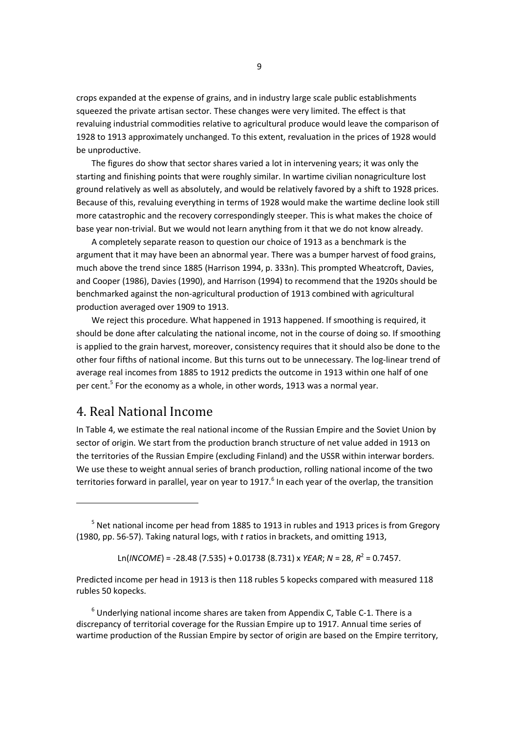crops expanded at the expense of grains, and in industry large scale public establishments squeezed the private artisan sector. These changes were very limited. The effect is that revaluing industrial commodities relative to agricultural produce would leave the comparison of 1928 to 1913 approximately unchanged. To this extent, revaluation in the prices of 1928 would be unproductive.

The figures do show that sector shares varied a lot in intervening years; it was only the starting and finishing points that were roughly similar. In wartime civilian nonagriculture lost ground relatively as well as absolutely, and would be relatively favored by a shift to 1928 prices. Because of this, revaluing everything in terms of 1928 would make the wartime decline look still more catastrophic and the recovery correspondingly steeper. This is what makes the choice of base year non-trivial. But we would not learn anything from it that we do not know already.

A completely separate reason to question our choice of 1913 as a benchmark is the argument that it may have been an abnormal year. There was a bumper harvest of food grains, much above the trend since 1885 (Harrison 1994, p. 333n). This prompted Wheatcroft, Davies, and Cooper (1986), Davies (1990), and Harrison (1994) to recommend that the 1920s should be benchmarked against the non-agricultural production of 1913 combined with agricultural production averaged over 1909 to 1913.

We reject this procedure. What happened in 1913 happened. If smoothing is required, it should be done after calculating the national income, not in the course of doing so. If smoothing is applied to the grain harvest, moreover, consistency requires that it should also be done to the other four fifths of national income. But this turns out to be unnecessary. The log-linear trend of average real incomes from 1885 to 1912 predicts the outcome in 1913 within one half of one per cent.<sup>5</sup> For the economy as a whole, in other words, 1913 was a normal year.

## 4. Real National Income

In Table 4, we estimate the real national income of the Russian Empire and the Soviet Union by sector of origin. We start from the production branch structure of net value added in 1913 on the territories of the Russian Empire (excluding Finland) and the USSR within interwar borders. We use these to weight annual series of branch production, rolling national income of the two territories forward in parallel, year on year to 1917.<sup>6</sup> In each year of the overlap, the transition

Ln(*INCOME*) = -28.48 (7.535) + 0.01738 (8.731) x *YEAR*; *N* = 28, *R* 2 = 0.7457.

Predicted income per head in 1913 is then 118 rubles 5 kopecks compared with measured 118 rubles 50 kopecks.

 $6$  Underlying national income shares are taken from Appendix C, Table C-1. There is a discrepancy of territorial coverage for the Russian Empire up to 1917. Annual time series of wartime production of the Russian Empire by sector of origin are based on the Empire territory,

 $<sup>5</sup>$  Net national income per head from 1885 to 1913 in rubles and 1913 prices is from Gregory</sup> (1980, pp. 56-57). Taking natural logs, with *t* ratios in brackets, and omitting 1913,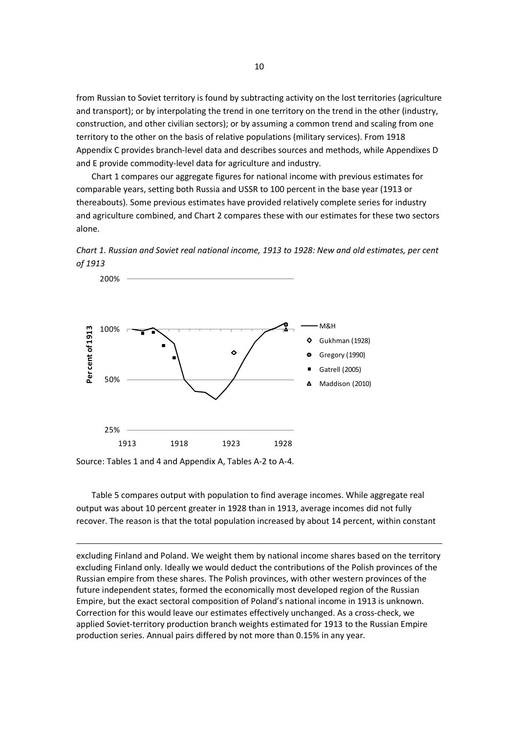from Russian to Soviet territory is found by subtracting activity on the lost territories (agriculture and transport); or by interpolating the trend in one territory on the trend in the other (industry, construction, and other civilian sectors); or by assuming a common trend and scaling from one territory to the other on the basis of relative populations (military services). From 1918 Appendix C provides branch-level data and describes sources and methods, while Appendixes D and E provide commodity-level data for agriculture and industry.

Chart 1 compares our aggregate figures for national income with previous estimates for comparable years, setting both Russia and USSR to 100 percent in the base year (1913 or thereabouts). Some previous estimates have provided relatively complete series for industry and agriculture combined, and Chart 2 compares these with our estimates for these two sectors alone.





Source: Tables 1 and 4 and Appendix A, Tables A-2 to A-4.

Table 5 compares output with population to find average incomes. While aggregate real output was about 10 percent greater in 1928 than in 1913, average incomes did not fully recover. The reason is that the total population increased by about 14 percent, within constant

excluding Finland and Poland. We weight them by national income shares based on the territory excluding Finland only. Ideally we would deduct the contributions of the Polish provinces of the Russian empire from these shares. The Polish provinces, with other western provinces of the future independent states, formed the economically most developed region of the Russian Empire, but the exact sectoral composition of Poland's national income in 1913 is unknown. Correction for this would leave our estimates effectively unchanged. As a cross-check, we applied Soviet-territory production branch weights estimated for 1913 to the Russian Empire production series. Annual pairs differed by not more than 0.15% in any year.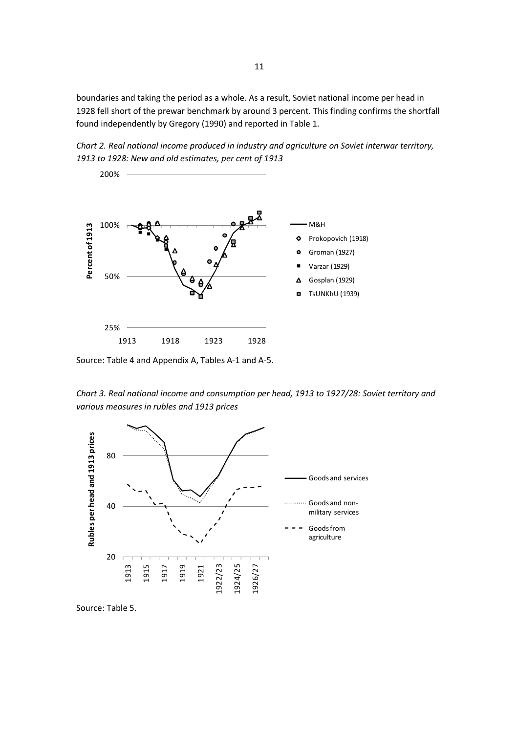boundaries and taking the period as a whole. As a result, Soviet national income per head in 1928 fell short of the prewar benchmark by around 3 percent. This finding confirms the shortfall found independently by Gregory (1990) and reported in Table 1.

*Chart 2. Real national income produced in industry and agriculture on Soviet interwar territory, 1913 to 1928: New and old estimates, per cent of 1913*



Source: Table 4 and Appendix A, Tables A-1 and A-5.

*Chart 3. Real national income and consumption per head, 1913 to 1927/28: Soviet territory and various measures in rubles and 1913 prices*



Source: Table 5.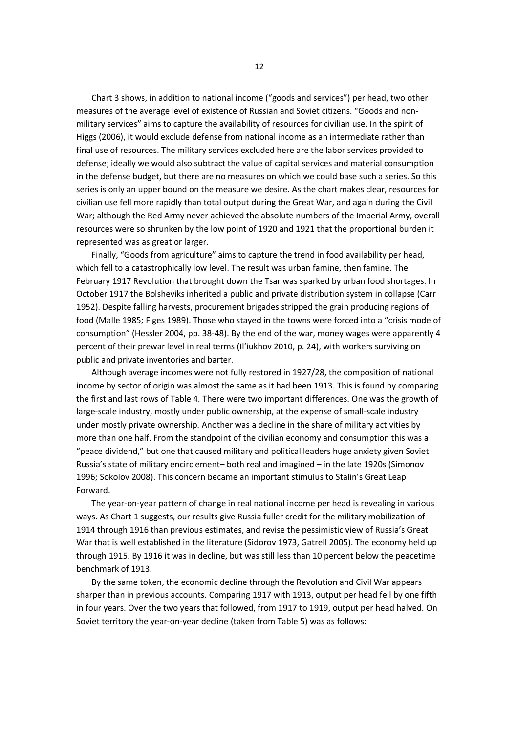Chart 3 shows, in addition to national income ("goods and services") per head, two other measures of the average level of existence of Russian and Soviet citizens. "Goods and nonmilitary services" aims to capture the availability of resources for civilian use. In the spirit of Higgs (2006), it would exclude defense from national income as an intermediate rather than final use of resources. The military services excluded here are the labor services provided to defense; ideally we would also subtract the value of capital services and material consumption in the defense budget, but there are no measures on which we could base such a series. So this series is only an upper bound on the measure we desire. As the chart makes clear, resources for civilian use fell more rapidly than total output during the Great War, and again during the Civil War; although the Red Army never achieved the absolute numbers of the Imperial Army, overall resources were so shrunken by the low point of 1920 and 1921 that the proportional burden it represented was as great or larger.

Finally, "Goods from agriculture" aims to capture the trend in food availability per head, which fell to a catastrophically low level. The result was urban famine, then famine. The February 1917 Revolution that brought down the Tsar was sparked by urban food shortages. In October 1917 the Bolsheviks inherited a public and private distribution system in collapse (Carr 1952). Despite falling harvests, procurement brigades stripped the grain producing regions of food (Malle 1985; Figes 1989). Those who stayed in the towns were forced into a "crisis mode of consumption" (Hessler 2004, pp. 38-48). By the end of the war, money wages were apparently 4 percent of their prewar level in real terms (Il'iukhov 2010, p. 24), with workers surviving on public and private inventories and barter.

Although average incomes were not fully restored in 1927/28, the composition of national income by sector of origin was almost the same as it had been 1913. This is found by comparing the first and last rows of Table 4. There were two important differences. One was the growth of large-scale industry, mostly under public ownership, at the expense of small-scale industry under mostly private ownership. Another was a decline in the share of military activities by more than one half. From the standpoint of the civilian economy and consumption this was a "peace dividend," but one that caused military and political leaders huge anxiety given Soviet Russia's state of military encirclement– both real and imagined – in the late 1920s (Simonov 1996; Sokolov 2008). This concern became an important stimulus to Stalin's Great Leap Forward.

The year-on-year pattern of change in real national income per head is revealing in various ways. As Chart 1 suggests, our results give Russia fuller credit for the military mobilization of 1914 through 1916 than previous estimates, and revise the pessimistic view of Russia's Great War that is well established in the literature (Sidorov 1973, Gatrell 2005). The economy held up through 1915. By 1916 it was in decline, but was still less than 10 percent below the peacetime benchmark of 1913.

By the same token, the economic decline through the Revolution and Civil War appears sharper than in previous accounts. Comparing 1917 with 1913, output per head fell by one fifth in four years. Over the two years that followed, from 1917 to 1919, output per head halved. On Soviet territory the year-on-year decline (taken from Table 5) was as follows: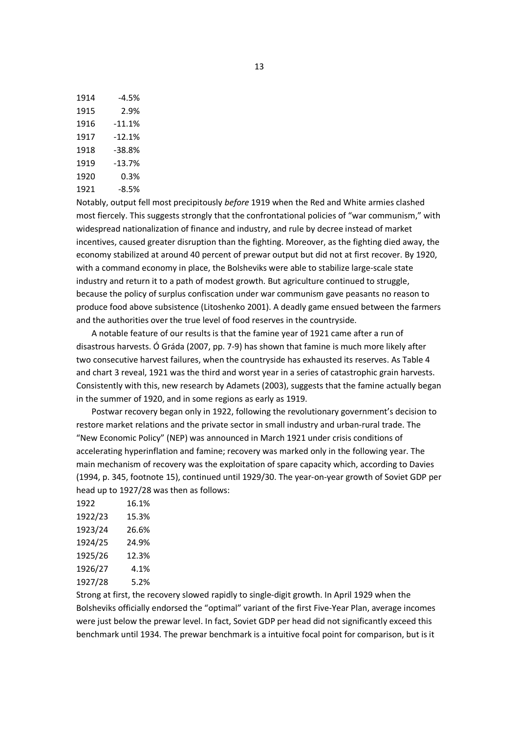| 1914 | -4.5%  |
|------|--------|
| 1915 | 2.9%   |
| 1916 | -11.1% |
| 1917 | -12.1% |
| 1918 | -38.8% |
| 1919 | -13.7% |
| 1920 | 0.3%   |
| 1921 | -8.5%  |
|      |        |

Notably, output fell most precipitously *before* 1919 when the Red and White armies clashed most fiercely. This suggests strongly that the confrontational policies of "war communism," with widespread nationalization of finance and industry, and rule by decree instead of market incentives, caused greater disruption than the fighting. Moreover, as the fighting died away, the economy stabilized at around 40 percent of prewar output but did not at first recover. By 1920, with a command economy in place, the Bolsheviks were able to stabilize large-scale state industry and return it to a path of modest growth. But agriculture continued to struggle, because the policy of surplus confiscation under war communism gave peasants no reason to produce food above subsistence (Litoshenko 2001). A deadly game ensued between the farmers and the authorities over the true level of food reserves in the countryside.

A notable feature of our results is that the famine year of 1921 came after a run of disastrous harvests. Ó Gráda (2007, pp. 7-9) has shown that famine is much more likely after two consecutive harvest failures, when the countryside has exhausted its reserves. As Table 4 and chart 3 reveal, 1921 was the third and worst year in a series of catastrophic grain harvests. Consistently with this, new research by Adamets (2003), suggests that the famine actually began in the summer of 1920, and in some regions as early as 1919.

Postwar recovery began only in 1922, following the revolutionary government's decision to restore market relations and the private sector in small industry and urban-rural trade. The "New Economic Policy" (NEP) was announced in March 1921 under crisis conditions of accelerating hyperinflation and famine; recovery was marked only in the following year. The main mechanism of recovery was the exploitation of spare capacity which, according to Davies (1994, p. 345, footnote 15), continued until 1929/30. The year-on-year growth of Soviet GDP per head up to 1927/28 was then as follows:

| 16.1% |
|-------|
| 15.3% |
| 26.6% |
| 24.9% |
| 12.3% |
| 4.1%  |
| 5.2%  |
|       |

Strong at first, the recovery slowed rapidly to single-digit growth. In April 1929 when the Bolsheviks officially endorsed the "optimal" variant of the first Five-Year Plan, average incomes were just below the prewar level. In fact, Soviet GDP per head did not significantly exceed this benchmark until 1934. The prewar benchmark is a intuitive focal point for comparison, but is it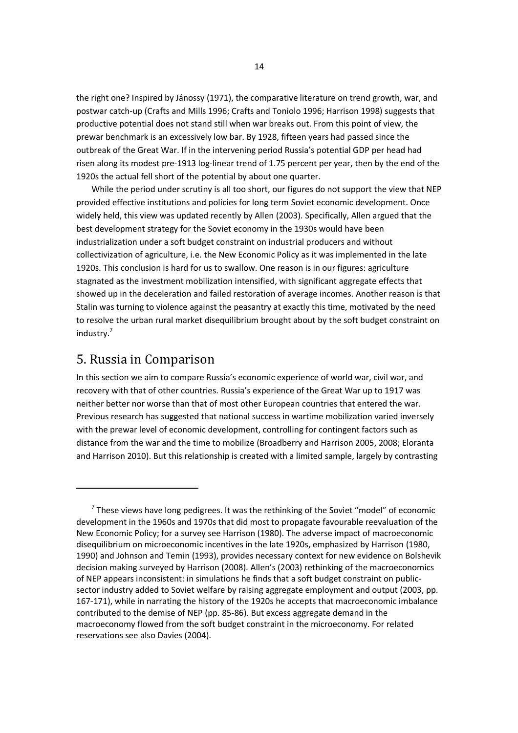the right one? Inspired by Jánossy (1971), the comparative literature on trend growth, war, and postwar catch-up (Crafts and Mills 1996; Crafts and Toniolo 1996; Harrison 1998) suggests that productive potential does not stand still when war breaks out. From this point of view, the prewar benchmark is an excessively low bar. By 1928, fifteen years had passed since the outbreak of the Great War. If in the intervening period Russia's potential GDP per head had risen along its modest pre-1913 log-linear trend of 1.75 percent per year, then by the end of the 1920s the actual fell short of the potential by about one quarter.

While the period under scrutiny is all too short, our figures do not support the view that NEP provided effective institutions and policies for long term Soviet economic development. Once widely held, this view was updated recently by Allen (2003). Specifically, Allen argued that the best development strategy for the Soviet economy in the 1930s would have been industrialization under a soft budget constraint on industrial producers and without collectivization of agriculture, i.e. the New Economic Policy as it was implemented in the late 1920s. This conclusion is hard for us to swallow. One reason is in our figures: agriculture stagnated as the investment mobilization intensified, with significant aggregate effects that showed up in the deceleration and failed restoration of average incomes. Another reason is that Stalin was turning to violence against the peasantry at exactly this time, motivated by the need to resolve the urban rural market disequilibrium brought about by the soft budget constraint on industry.<sup>7</sup>

# 5. Russia in Comparison

In this section we aim to compare Russia's economic experience of world war, civil war, and recovery with that of other countries. Russia's experience of the Great War up to 1917 was neither better nor worse than that of most other European countries that entered the war. Previous research has suggested that national success in wartime mobilization varied inversely with the prewar level of economic development, controlling for contingent factors such as distance from the war and the time to mobilize (Broadberry and Harrison 2005, 2008; Eloranta and Harrison 2010). But this relationship is created with a limited sample, largely by contrasting

 $^7$  These views have long pedigrees. It was the rethinking of the Soviet "model" of economic development in the 1960s and 1970s that did most to propagate favourable reevaluation of the New Economic Policy; for a survey see Harrison (1980). The adverse impact of macroeconomic disequilibrium on microeconomic incentives in the late 1920s, emphasized by Harrison (1980, 1990) and Johnson and Temin (1993), provides necessary context for new evidence on Bolshevik decision making surveyed by Harrison (2008). Allen's (2003) rethinking of the macroeconomics of NEP appears inconsistent: in simulations he finds that a soft budget constraint on publicsector industry added to Soviet welfare by raising aggregate employment and output (2003, pp. 167-171), while in narrating the history of the 1920s he accepts that macroeconomic imbalance contributed to the demise of NEP (pp. 85-86). But excess aggregate demand in the macroeconomy flowed from the soft budget constraint in the microeconomy. For related reservations see also Davies (2004).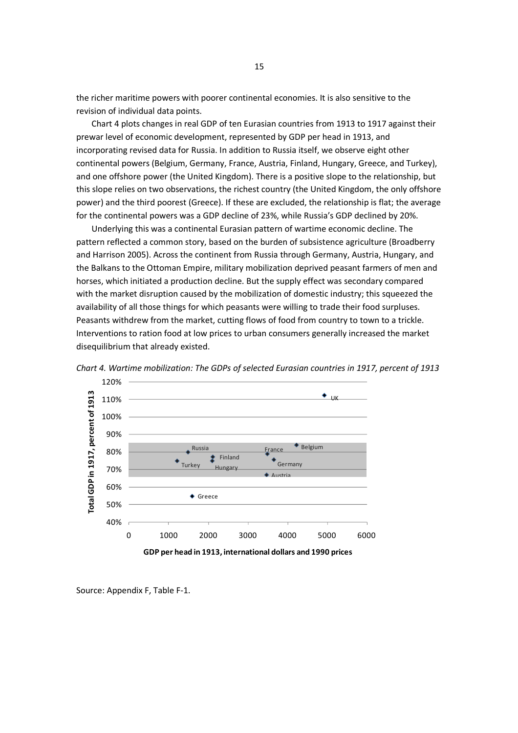the richer maritime powers with poorer continental economies. It is also sensitive to the revision of individual data points.

Chart 4 plots changes in real GDP of ten Eurasian countries from 1913 to 1917 against their prewar level of economic development, represented by GDP per head in 1913, and incorporating revised data for Russia. In addition to Russia itself, we observe eight other continental powers (Belgium, Germany, France, Austria, Finland, Hungary, Greece, and Turkey), and one offshore power (the United Kingdom). There is a positive slope to the relationship, but this slope relies on two observations, the richest country (the United Kingdom, the only offshore power) and the third poorest (Greece). If these are excluded, the relationship is flat; the average for the continental powers was a GDP decline of 23%, while Russia's GDP declined by 20%.

Underlying this was a continental Eurasian pattern of wartime economic decline. The pattern reflected a common story, based on the burden of subsistence agriculture (Broadberry and Harrison 2005). Across the continent from Russia through Germany, Austria, Hungary, and the Balkans to the Ottoman Empire, military mobilization deprived peasant farmers of men and horses, which initiated a production decline. But the supply effect was secondary compared with the market disruption caused by the mobilization of domestic industry; this squeezed the availability of all those things for which peasants were willing to trade their food surpluses. Peasants withdrew from the market, cutting flows of food from country to town to a trickle. Interventions to ration food at low prices to urban consumers generally increased the market disequilibrium that already existed.



*Chart 4. Wartime mobilization: The GDPs of selected Eurasian countries in 1917, percent of 1913*

Source: Appendix F, Table F-1.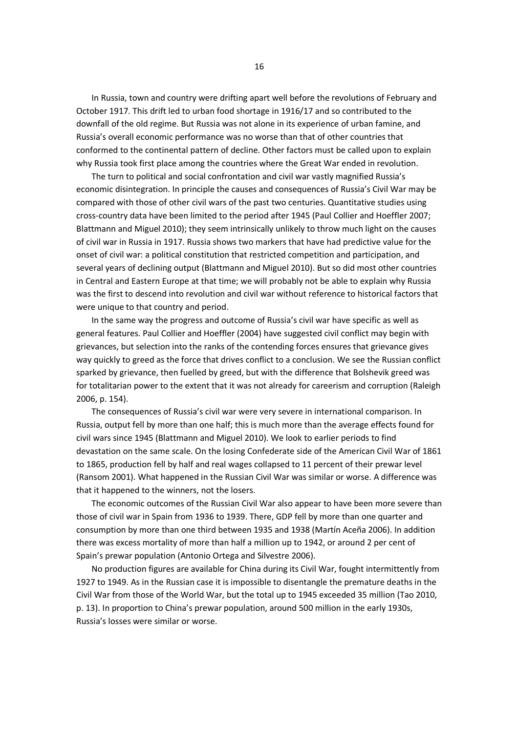In Russia, town and country were drifting apart well before the revolutions of February and October 1917. This drift led to urban food shortage in 1916/17 and so contributed to the downfall of the old regime. But Russia was not alone in its experience of urban famine, and Russia's overall economic performance was no worse than that of other countries that conformed to the continental pattern of decline. Other factors must be called upon to explain why Russia took first place among the countries where the Great War ended in revolution.

The turn to political and social confrontation and civil war vastly magnified Russia's economic disintegration. In principle the causes and consequences of Russia's Civil War may be compared with those of other civil wars of the past two centuries. Quantitative studies using cross-country data have been limited to the period after 1945 (Paul Collier and Hoeffler 2007; Blattmann and Miguel 2010); they seem intrinsically unlikely to throw much light on the causes of civil war in Russia in 1917. Russia shows two markers that have had predictive value for the onset of civil war: a political constitution that restricted competition and participation, and several years of declining output (Blattmann and Miguel 2010). But so did most other countries in Central and Eastern Europe at that time; we will probably not be able to explain why Russia was the first to descend into revolution and civil war without reference to historical factors that were unique to that country and period.

In the same way the progress and outcome of Russia's civil war have specific as well as general features. Paul Collier and Hoeffler (2004) have suggested civil conflict may begin with grievances, but selection into the ranks of the contending forces ensures that grievance gives way quickly to greed as the force that drives conflict to a conclusion. We see the Russian conflict sparked by grievance, then fuelled by greed, but with the difference that Bolshevik greed was for totalitarian power to the extent that it was not already for careerism and corruption (Raleigh 2006, p. 154).

The consequences of Russia's civil war were very severe in international comparison. In Russia, output fell by more than one half; this is much more than the average effects found for civil wars since 1945 (Blattmann and Miguel 2010). We look to earlier periods to find devastation on the same scale. On the losing Confederate side of the American Civil War of 1861 to 1865, production fell by half and real wages collapsed to 11 percent of their prewar level (Ransom 2001). What happened in the Russian Civil War was similar or worse. A difference was that it happened to the winners, not the losers.

The economic outcomes of the Russian Civil War also appear to have been more severe than those of civil war in Spain from 1936 to 1939. There, GDP fell by more than one quarter and consumption by more than one third between 1935 and 1938 (Martín Aceña 2006). In addition there was excess mortality of more than half a million up to 1942, or around 2 per cent of Spain's prewar population (Antonio Ortega and Silvestre 2006).

No production figures are available for China during its Civil War, fought intermittently from 1927 to 1949. As in the Russian case it is impossible to disentangle the premature deaths in the Civil War from those of the World War, but the total up to 1945 exceeded 35 million (Tao 2010, p. 13). In proportion to China's prewar population, around 500 million in the early 1930s, Russia's losses were similar or worse.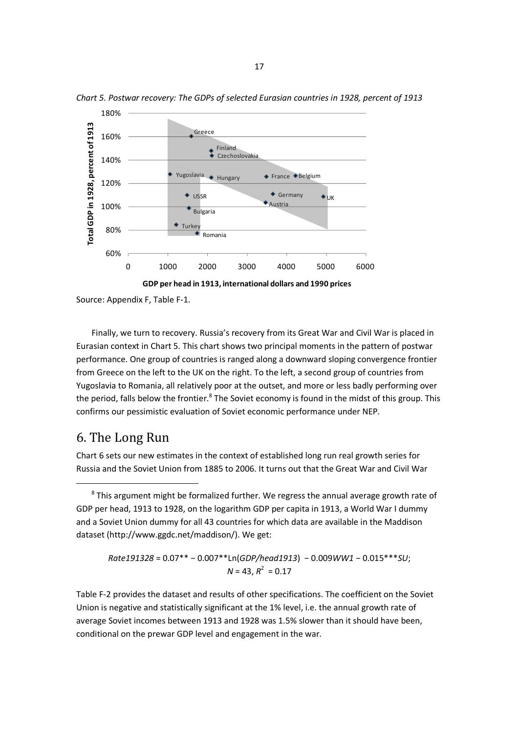

*Chart 5. Postwar recovery: The GDPs of selected Eurasian countries in 1928, percent of 1913*

Source: Appendix F, Table F-1.

Finally, we turn to recovery. Russia's recovery from its Great War and Civil War is placed in Eurasian context in Chart 5. This chart shows two principal moments in the pattern of postwar performance. One group of countries is ranged along a downward sloping convergence frontier from Greece on the left to the UK on the right. To the left, a second group of countries from Yugoslavia to Romania, all relatively poor at the outset, and more or less badly performing over the period, falls below the frontier.<sup>8</sup> The Soviet economy is found in the midst of this group. This confirms our pessimistic evaluation of Soviet economic performance under NEP.

# 6. The Long Run

Chart 6 sets our new estimates in the context of established long run real growth series for Russia and the Soviet Union from 1885 to 2006. It turns out that the Great War and Civil War

```
Rate191328 = 0.07** − 0.007**Ln(GDP/head1913) − 0.009WW1 − 0.015***SU;
                N = 43, R^2 = 0.17
```
Table F-2 provides the dataset and results of other specifications. The coefficient on the Soviet Union is negative and statistically significant at the 1% level, i.e. the annual growth rate of average Soviet incomes between 1913 and 1928 was 1.5% slower than it should have been, conditional on the prewar GDP level and engagement in the war.

 ${}^{8}$  This argument might be formalized further. We regress the annual average growth rate of GDP per head, 1913 to 1928, on the logarithm GDP per capita in 1913, a World War I dummy and a Soviet Union dummy for all 43 countries for which data are available in the Maddison dataset (http://www.ggdc.net/maddison/). We get: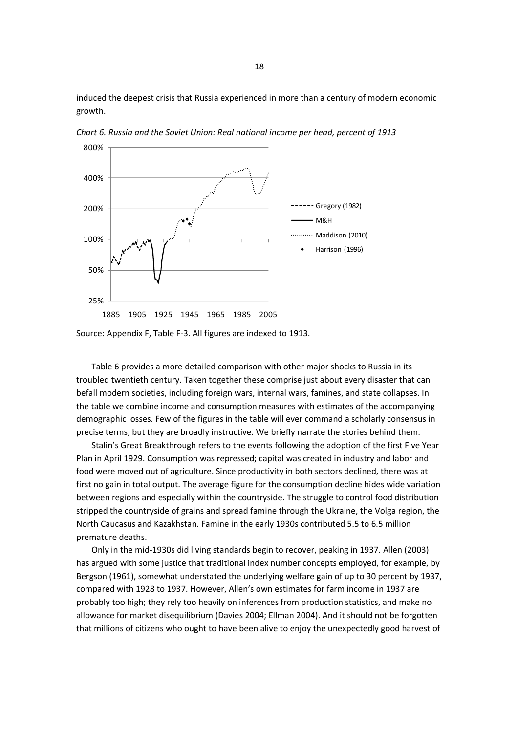induced the deepest crisis that Russia experienced in more than a century of modern economic growth.



*Chart 6. Russia and the Soviet Union: Real national income per head, percent of 1913*

Source: Appendix F, Table F-3. All figures are indexed to 1913.

Table 6 provides a more detailed comparison with other major shocks to Russia in its troubled twentieth century. Taken together these comprise just about every disaster that can befall modern societies, including foreign wars, internal wars, famines, and state collapses. In the table we combine income and consumption measures with estimates of the accompanying demographic losses. Few of the figures in the table will ever command a scholarly consensus in precise terms, but they are broadly instructive. We briefly narrate the stories behind them.

Stalin's Great Breakthrough refers to the events following the adoption of the first Five Year Plan in April 1929. Consumption was repressed; capital was created in industry and labor and food were moved out of agriculture. Since productivity in both sectors declined, there was at first no gain in total output. The average figure for the consumption decline hides wide variation between regions and especially within the countryside. The struggle to control food distribution stripped the countryside of grains and spread famine through the Ukraine, the Volga region, the North Caucasus and Kazakhstan. Famine in the early 1930s contributed 5.5 to 6.5 million premature deaths.

Only in the mid-1930s did living standards begin to recover, peaking in 1937. Allen (2003) has argued with some justice that traditional index number concepts employed, for example, by Bergson (1961), somewhat understated the underlying welfare gain of up to 30 percent by 1937, compared with 1928 to 1937. However, Allen's own estimates for farm income in 1937 are probably too high; they rely too heavily on inferences from production statistics, and make no allowance for market disequilibrium (Davies 2004; Ellman 2004). And it should not be forgotten that millions of citizens who ought to have been alive to enjoy the unexpectedly good harvest of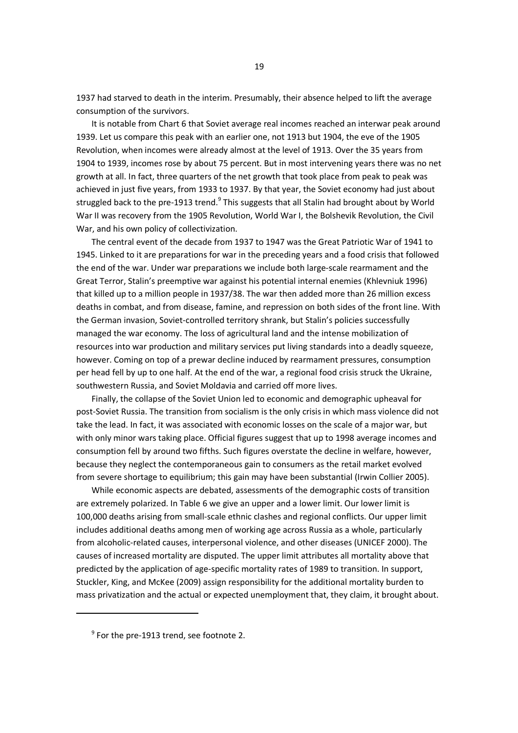1937 had starved to death in the interim. Presumably, their absence helped to lift the average consumption of the survivors.

It is notable from Chart 6 that Soviet average real incomes reached an interwar peak around 1939. Let us compare this peak with an earlier one, not 1913 but 1904, the eve of the 1905 Revolution, when incomes were already almost at the level of 1913. Over the 35 years from 1904 to 1939, incomes rose by about 75 percent. But in most intervening years there was no net growth at all. In fact, three quarters of the net growth that took place from peak to peak was achieved in just five years, from 1933 to 1937. By that year, the Soviet economy had just about struggled back to the pre-1913 trend.<sup>9</sup> This suggests that all Stalin had brought about by World War II was recovery from the 1905 Revolution, World War I, the Bolshevik Revolution, the Civil War, and his own policy of collectivization.

The central event of the decade from 1937 to 1947 was the Great Patriotic War of 1941 to 1945. Linked to it are preparations for war in the preceding years and a food crisis that followed the end of the war. Under war preparations we include both large-scale rearmament and the Great Terror, Stalin's preemptive war against his potential internal enemies (Khlevniuk 1996) that killed up to a million people in 1937/38. The war then added more than 26 million excess deaths in combat, and from disease, famine, and repression on both sides of the front line. With the German invasion, Soviet-controlled territory shrank, but Stalin's policies successfully managed the war economy. The loss of agricultural land and the intense mobilization of resources into war production and military services put living standards into a deadly squeeze, however. Coming on top of a prewar decline induced by rearmament pressures, consumption per head fell by up to one half. At the end of the war, a regional food crisis struck the Ukraine, southwestern Russia, and Soviet Moldavia and carried off more lives.

Finally, the collapse of the Soviet Union led to economic and demographic upheaval for post-Soviet Russia. The transition from socialism is the only crisis in which mass violence did not take the lead. In fact, it was associated with economic losses on the scale of a major war, but with only minor wars taking place. Official figures suggest that up to 1998 average incomes and consumption fell by around two fifths. Such figures overstate the decline in welfare, however, because they neglect the contemporaneous gain to consumers as the retail market evolved from severe shortage to equilibrium; this gain may have been substantial (Irwin Collier 2005).

While economic aspects are debated, assessments of the demographic costs of transition are extremely polarized. In Table 6 we give an upper and a lower limit. Our lower limit is 100,000 deaths arising from small-scale ethnic clashes and regional conflicts. Our upper limit includes additional deaths among men of working age across Russia as a whole, particularly from alcoholic-related causes, interpersonal violence, and other diseases (UNICEF 2000). The causes of increased mortality are disputed. The upper limit attributes all mortality above that predicted by the application of age-specific mortality rates of 1989 to transition. In support, Stuckler, King, and McKee (2009) assign responsibility for the additional mortality burden to mass privatization and the actual or expected unemployment that, they claim, it brought about.

 $^9$  For the pre-1913 trend, see footnote 2.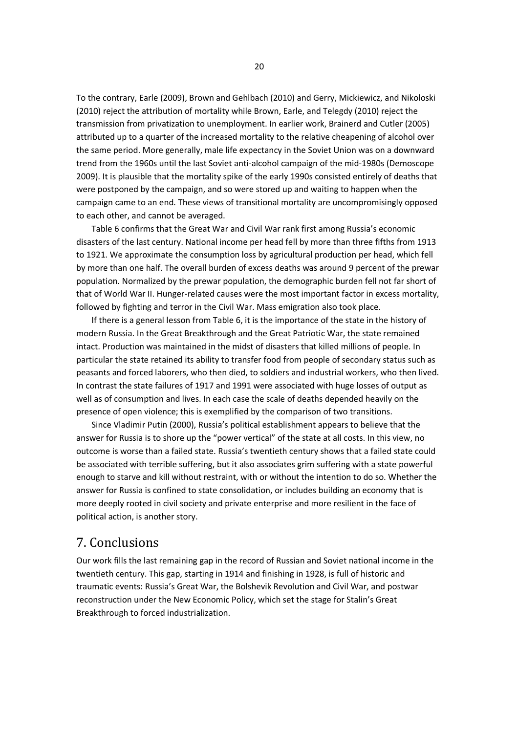To the contrary, Earle (2009), Brown and Gehlbach (2010) and Gerry, Mickiewicz, and Nikoloski (2010) reject the attribution of mortality while Brown, Earle, and Telegdy (2010) reject the transmission from privatization to unemployment. In earlier work, Brainerd and Cutler (2005) attributed up to a quarter of the increased mortality to the relative cheapening of alcohol over the same period. More generally, male life expectancy in the Soviet Union was on a downward trend from the 1960s until the last Soviet anti-alcohol campaign of the mid-1980s (Demoscope 2009). It is plausible that the mortality spike of the early 1990s consisted entirely of deaths that were postponed by the campaign, and so were stored up and waiting to happen when the campaign came to an end. These views of transitional mortality are uncompromisingly opposed to each other, and cannot be averaged.

Table 6 confirms that the Great War and Civil War rank first among Russia's economic disasters of the last century. National income per head fell by more than three fifths from 1913 to 1921. We approximate the consumption loss by agricultural production per head, which fell by more than one half. The overall burden of excess deaths was around 9 percent of the prewar population. Normalized by the prewar population, the demographic burden fell not far short of that of World War II. Hunger-related causes were the most important factor in excess mortality, followed by fighting and terror in the Civil War. Mass emigration also took place.

If there is a general lesson from Table 6, it is the importance of the state in the history of modern Russia. In the Great Breakthrough and the Great Patriotic War, the state remained intact. Production was maintained in the midst of disasters that killed millions of people. In particular the state retained its ability to transfer food from people of secondary status such as peasants and forced laborers, who then died, to soldiers and industrial workers, who then lived. In contrast the state failures of 1917 and 1991 were associated with huge losses of output as well as of consumption and lives. In each case the scale of deaths depended heavily on the presence of open violence; this is exemplified by the comparison of two transitions.

Since Vladimir Putin (2000), Russia's political establishment appears to believe that the answer for Russia is to shore up the "power vertical" of the state at all costs. In this view, no outcome is worse than a failed state. Russia's twentieth century shows that a failed state could be associated with terrible suffering, but it also associates grim suffering with a state powerful enough to starve and kill without restraint, with or without the intention to do so. Whether the answer for Russia is confined to state consolidation, or includes building an economy that is more deeply rooted in civil society and private enterprise and more resilient in the face of political action, is another story.

# 7. Conclusions

Our work fills the last remaining gap in the record of Russian and Soviet national income in the twentieth century. This gap, starting in 1914 and finishing in 1928, is full of historic and traumatic events: Russia's Great War, the Bolshevik Revolution and Civil War, and postwar reconstruction under the New Economic Policy, which set the stage for Stalin's Great Breakthrough to forced industrialization.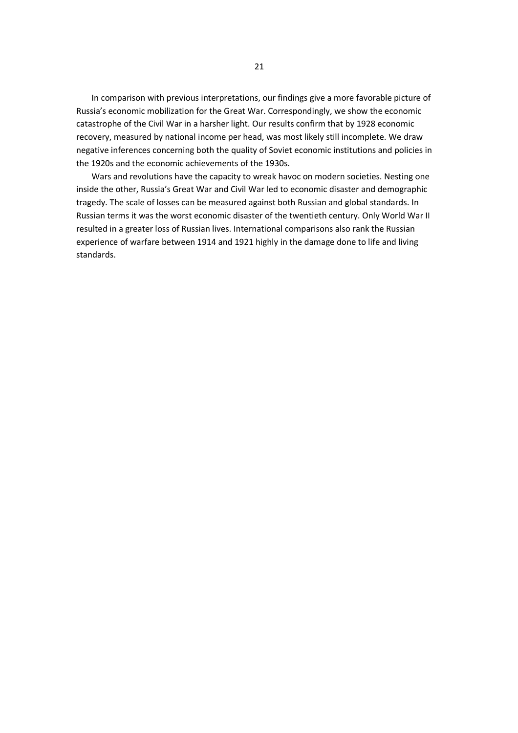In comparison with previous interpretations, our findings give a more favorable picture of Russia's economic mobilization for the Great War. Correspondingly, we show the economic catastrophe of the Civil War in a harsher light. Our results confirm that by 1928 economic recovery, measured by national income per head, was most likely still incomplete. We draw negative inferences concerning both the quality of Soviet economic institutions and policies in the 1920s and the economic achievements of the 1930s.

Wars and revolutions have the capacity to wreak havoc on modern societies. Nesting one inside the other, Russia's Great War and Civil War led to economic disaster and demographic tragedy. The scale of losses can be measured against both Russian and global standards. In Russian terms it was the worst economic disaster of the twentieth century. Only World War II resulted in a greater loss of Russian lives. International comparisons also rank the Russian experience of warfare between 1914 and 1921 highly in the damage done to life and living standards.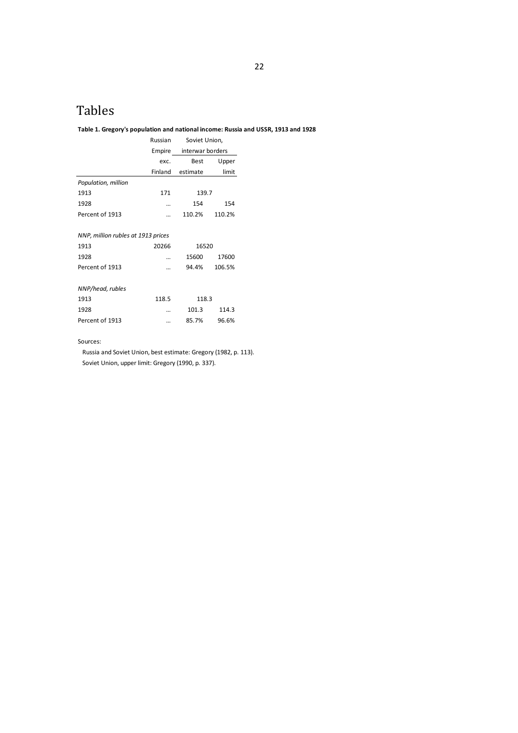# Tables

### **Table 1. Gregory's population and national income: Russia and USSR, 1913 and 1928**

|                                    | Russian | Soviet Union,    |        |  |
|------------------------------------|---------|------------------|--------|--|
|                                    | Empire  | interwar borders |        |  |
|                                    | exc.    | Best             | Upper  |  |
|                                    | Finland | estimate         | limit  |  |
| Population, million                |         |                  |        |  |
| 1913                               | 171     | 139.7            |        |  |
| 1928                               |         | 154              | 154    |  |
| Percent of 1913                    |         | 110.2%           | 110.2% |  |
|                                    |         |                  |        |  |
| NNP, million rubles at 1913 prices |         |                  |        |  |
| 1913                               | 20266   | 16520            |        |  |
| 1928                               |         | 15600            | 17600  |  |
| Percent of 1913                    |         | 94.4%            | 106.5% |  |
|                                    |         |                  |        |  |
| NNP/head, rubles                   |         |                  |        |  |
| 1913                               | 118.5   | 118.3            |        |  |
| 1928                               |         | 101.3            | 114.3  |  |
| Percent of 1913                    |         | 85.7%            | 96.6%  |  |

Sources:

Russia and Soviet Union, best estimate: Gregory (1982, p. 113). Soviet Union, upper limit: Gregory (1990, p. 337).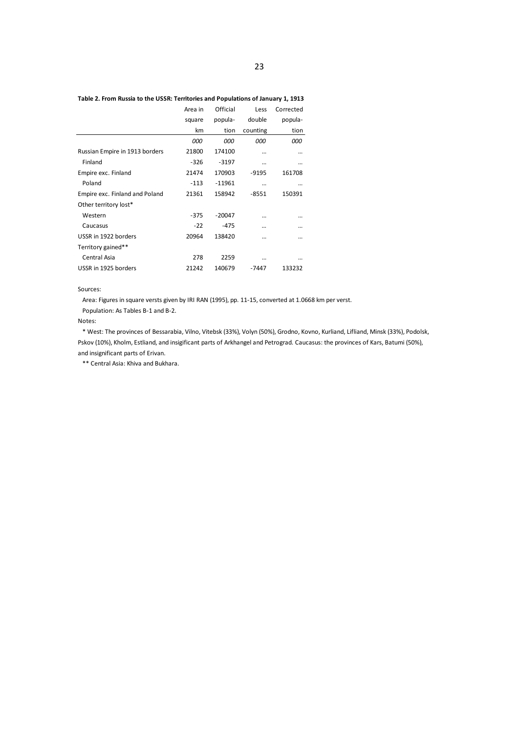|                                | Area in | Official | Less     | Corrected |
|--------------------------------|---------|----------|----------|-----------|
|                                | square  | popula-  | double   | popula-   |
|                                | km      | tion     | counting | tion      |
|                                | 000     | 000      | 000      | 000       |
| Russian Empire in 1913 borders | 21800   | 174100   |          |           |
| Finland                        | $-326$  | $-3197$  |          |           |
| Empire exc. Finland            | 21474   | 170903   | -9195    | 161708    |
| Poland                         | $-113$  | $-11961$ | $\cdots$ |           |
| Empire exc. Finland and Poland | 21361   | 158942   | $-8551$  | 150391    |
| Other territory lost*          |         |          |          |           |
| Western                        | $-375$  | $-20047$ |          |           |
| Caucasus                       | $-22$   | $-475$   |          |           |
| USSR in 1922 borders           | 20964   | 138420   |          |           |
| Territory gained**             |         |          |          |           |
| Central Asia                   | 278     | 2259     |          |           |
| USSR in 1925 borders           | 21242   | 140679   | $-7447$  | 133232    |

### **Table 2. From Russia to the USSR: Territories and Populations of January 1, 1913**

#### Sources:

Area: Figures in square versts given by IRI RAN (1995), pp. 11-15, converted at 1.0668 km per verst.

Population: As Tables B-1 and B-2.

#### Notes:

\* West: The provinces of Bessarabia, Vilno, Vitebsk (33%), Volyn (50%), Grodno, Kovno, Kurliand, Lifliand, Minsk (33%), Podolsk, Pskov (10%), Kholm, Estliand, and insigificant parts of Arkhangel and Petrograd. Caucasus: the provinces of Kars, Batumi (50%), and insignificant parts of Erivan.

\*\* Central Asia: Khiva and Bukhara.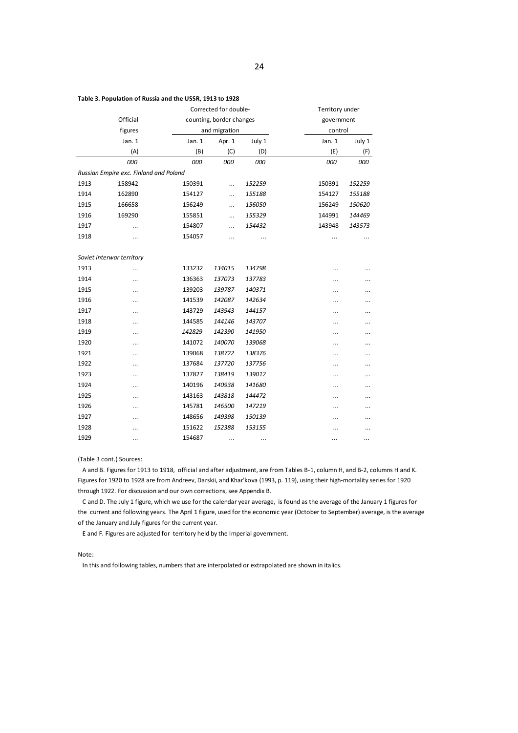|      |                                        |          | Corrected for double-    |        | Territory under |           |  |
|------|----------------------------------------|----------|--------------------------|--------|-----------------|-----------|--|
|      | Official                               |          | counting, border changes |        | government      |           |  |
|      | figures                                |          | and migration            |        | control         |           |  |
|      | Jan. 1                                 | Jan. $1$ | Apr. 1                   | July 1 | Jan. 1          | July 1    |  |
|      | (A)                                    | (B)      | (C)                      | (D)    | (E)             | (F)       |  |
|      | 000                                    | 000      | 000                      | 000    | 000             | 000       |  |
|      | Russian Empire exc. Finland and Poland |          |                          |        |                 |           |  |
| 1913 | 158942                                 | 150391   |                          | 152259 | 150391          | 152259    |  |
| 1914 | 162890                                 | 154127   |                          | 155188 | 154127          | 155188    |  |
| 1915 | 166658                                 | 156249   |                          | 156050 | 156249          | 150620    |  |
| 1916 | 169290                                 | 155851   | $\ldots$                 | 155329 | 144991          | 144469    |  |
| 1917 |                                        | 154807   |                          | 154432 | 143948          | 143573    |  |
| 1918 |                                        | 154057   |                          |        | $\cdots$        |           |  |
|      |                                        |          |                          |        |                 |           |  |
|      | Soviet interwar territory              |          |                          |        |                 |           |  |
| 1913 |                                        | 133232   | 134015                   | 134798 |                 |           |  |
| 1914 |                                        | 136363   | 137073                   | 137783 |                 | $\ddotsc$ |  |
| 1915 | $\cdots$                               | 139203   | 139787                   | 140371 |                 |           |  |
| 1916 |                                        | 141539   | 142087                   | 142634 |                 |           |  |
| 1917 |                                        | 143729   | 143943                   | 144157 |                 | $\ddotsc$ |  |
| 1918 |                                        | 144585   | 144146                   | 143707 |                 |           |  |
| 1919 | $\cdots$                               | 142829   | 142390                   | 141950 |                 |           |  |
| 1920 |                                        | 141072   | 140070                   | 139068 |                 |           |  |
| 1921 |                                        | 139068   | 138722                   | 138376 |                 | $\ddotsc$ |  |
| 1922 |                                        | 137684   | 137720                   | 137756 |                 | $\cdots$  |  |
| 1923 |                                        | 137827   | 138419                   | 139012 |                 |           |  |
| 1924 | $\cdots$                               | 140196   | 140938                   | 141680 |                 |           |  |
| 1925 |                                        | 143163   | 143818                   | 144472 |                 |           |  |
| 1926 |                                        | 145781   | 146500                   | 147219 |                 |           |  |
| 1927 |                                        | 148656   | 149398                   | 150139 |                 | $\cdots$  |  |
| 1928 | $\ddotsc$                              | 151622   | 152388                   | 153155 |                 | $\ddotsc$ |  |

#### **Table 3. Population of Russia and the USSR, 1913 to 1928**

(Table 3 cont.) Sources:

A and B. Figures for 1913 to 1918, official and after adjustment, are from Tables B-1, column H, and B-2, columns H and K. Figures for 1920 to 1928 are from Andreev, Darskii, and Khar'kova (1993, p. 119), using their high-mortality series for 1920 through 1922. For discussion and our own corrections, see Appendix B.

1929 ... 154687 ... ... ... ... ... ... ... ...

C and D. The July 1 figure, which we use for the calendar year average, is found as the average of the January 1 figures for the current and following years. The April 1 figure, used for the economic year (October to September) average, is the average of the January and July figures for the current year.

E and F. Figures are adjusted for territory held by the Imperial government.

#### Note:

In this and following tables, numbers that are interpolated or extrapolated are shown in italics.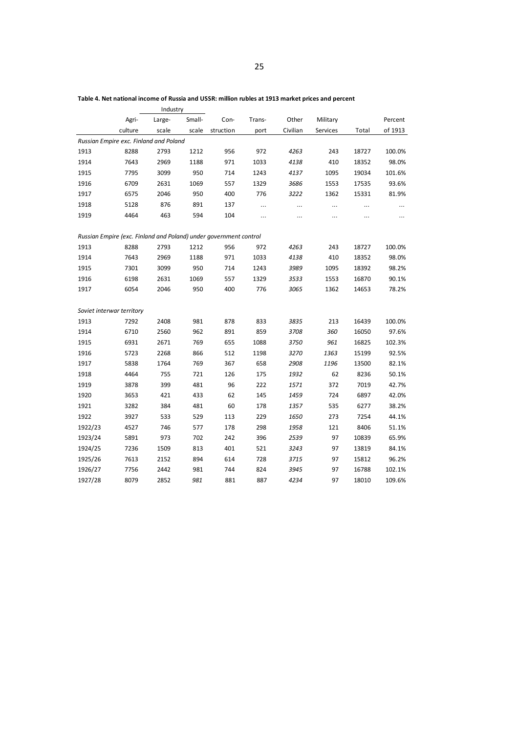|         |                                                                   | Industry |        |           |        |          |          |       |         |
|---------|-------------------------------------------------------------------|----------|--------|-----------|--------|----------|----------|-------|---------|
|         | Agri-                                                             | Large-   | Small- | Con-      | Trans- | Other    | Military |       | Percent |
|         | culture                                                           | scale    | scale  | struction | port   | Civilian | Services | Total | of 1913 |
|         | Russian Empire exc. Finland and Poland                            |          |        |           |        |          |          |       |         |
| 1913    | 8288                                                              | 2793     | 1212   | 956       | 972    | 4263     | 243      | 18727 | 100.0%  |
| 1914    | 7643                                                              | 2969     | 1188   | 971       | 1033   | 4138     | 410      | 18352 | 98.0%   |
| 1915    | 7795                                                              | 3099     | 950    | 714       | 1243   | 4137     | 1095     | 19034 | 101.6%  |
| 1916    | 6709                                                              | 2631     | 1069   | 557       | 1329   | 3686     | 1553     | 17535 | 93.6%   |
| 1917    | 6575                                                              | 2046     | 950    | 400       | 776    | 3222     | 1362     | 15331 | 81.9%   |
| 1918    | 5128                                                              | 876      | 891    | 137       |        | $\cdots$ | $\cdots$ |       |         |
| 1919    | 4464                                                              | 463      | 594    | 104       |        |          |          |       |         |
|         |                                                                   |          |        |           |        |          |          |       |         |
|         | Russian Empire (exc. Finland and Poland) under government control |          |        |           |        |          |          |       |         |
| 1913    | 8288                                                              | 2793     | 1212   | 956       | 972    | 4263     | 243      | 18727 | 100.0%  |
| 1914    | 7643                                                              | 2969     | 1188   | 971       | 1033   | 4138     | 410      | 18352 | 98.0%   |
| 1915    | 7301                                                              | 3099     | 950    | 714       | 1243   | 3989     | 1095     | 18392 | 98.2%   |
| 1916    | 6198                                                              | 2631     | 1069   | 557       | 1329   | 3533     | 1553     | 16870 | 90.1%   |
| 1917    | 6054                                                              | 2046     | 950    | 400       | 776    | 3065     | 1362     | 14653 | 78.2%   |
|         |                                                                   |          |        |           |        |          |          |       |         |
|         | Soviet interwar territory                                         |          |        |           |        |          |          |       |         |
| 1913    | 7292                                                              | 2408     | 981    | 878       | 833    | 3835     | 213      | 16439 | 100.0%  |
| 1914    | 6710                                                              | 2560     | 962    | 891       | 859    | 3708     | 360      | 16050 | 97.6%   |
| 1915    | 6931                                                              | 2671     | 769    | 655       | 1088   | 3750     | 961      | 16825 | 102.3%  |
| 1916    | 5723                                                              | 2268     | 866    | 512       | 1198   | 3270     | 1363     | 15199 | 92.5%   |
| 1917    | 5838                                                              | 1764     | 769    | 367       | 658    | 2908     | 1196     | 13500 | 82.1%   |
| 1918    | 4464                                                              | 755      | 721    | 126       | 175    | 1932     | 62       | 8236  | 50.1%   |
| 1919    | 3878                                                              | 399      | 481    | 96        | 222    | 1571     | 372      | 7019  | 42.7%   |
| 1920    | 3653                                                              | 421      | 433    | 62        | 145    | 1459     | 724      | 6897  | 42.0%   |
| 1921    | 3282                                                              | 384      | 481    | 60        | 178    | 1357     | 535      | 6277  | 38.2%   |
| 1922    | 3927                                                              | 533      | 529    | 113       | 229    | 1650     | 273      | 7254  | 44.1%   |
| 1922/23 | 4527                                                              | 746      | 577    | 178       | 298    | 1958     | 121      | 8406  | 51.1%   |
| 1923/24 | 5891                                                              | 973      | 702    | 242       | 396    | 2539     | 97       | 10839 | 65.9%   |
| 1924/25 | 7236                                                              | 1509     | 813    | 401       | 521    | 3243     | 97       | 13819 | 84.1%   |
| 1925/26 | 7613                                                              | 2152     | 894    | 614       | 728    | 3715     | 97       | 15812 | 96.2%   |
| 1926/27 | 7756                                                              | 2442     | 981    | 744       | 824    | 3945     | 97       | 16788 | 102.1%  |
| 1927/28 | 8079                                                              | 2852     | 981    | 881       | 887    | 4234     | 97       | 18010 | 109.6%  |

**Table 4. Net national income of Russia and USSR: million rubles at 1913 market prices and percent**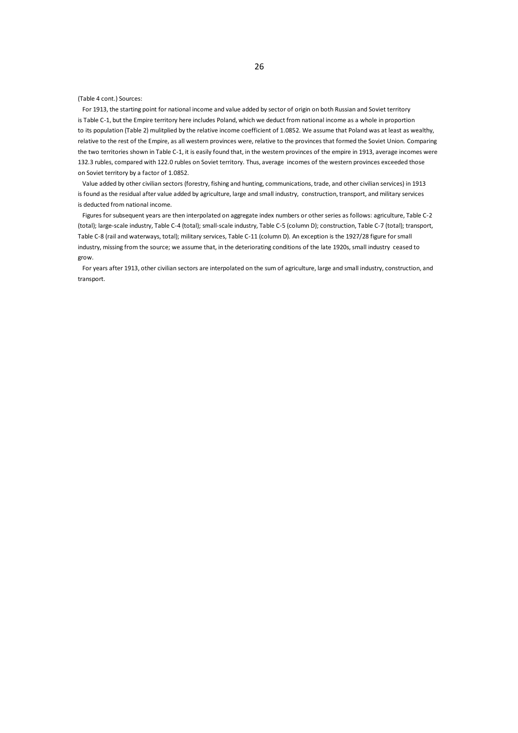(Table 4 cont.) Sources:

For 1913, the starting point for national income and value added by sector of origin on both Russian and Soviet territory is Table C-1, but the Empire territory here includes Poland, which we deduct from national income as a whole in proportion to its population (Table 2) mulitplied by the relative income coefficient of 1.0852. We assume that Poland was at least as wealthy, relative to the rest of the Empire, as all western provinces were, relative to the provinces that formed the Soviet Union. Comparing the two territories shown in Table C-1, it is easily found that, in the western provinces of the empire in 1913, average incomes were 132.3 rubles, compared with 122.0 rubles on Soviet territory. Thus, average incomes of the western provinces exceeded those on Soviet territory by a factor of 1.0852.

Value added by other civilian sectors (forestry, fishing and hunting, communications, trade, and other civilian services) in 1913 is found as the residual after value added by agriculture, large and small industry, construction, transport, and military services is deducted from national income.

Figures for subsequent years are then interpolated on aggregate index numbers or other series as follows: agriculture, Table C-2 (total); large-scale industry, Table C-4 (total); small-scale industry, Table C-5 (column D); construction, Table C-7 (total); transport, Table C-8 (rail and waterways, total); military services, Table C-11 (column D). An exception is the 1927/28 figure for small industry, missing from the source; we assume that, in the deteriorating conditions of the late 1920s, small industry ceased to grow.

For years after 1913, other civilian sectors are interpolated on the sum of agriculture, large and small industry, construction, and transport.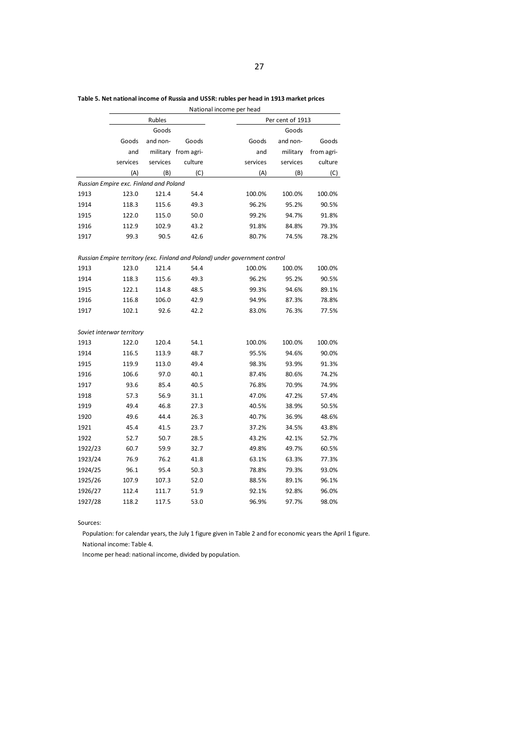|         | National income per head               |          |                     |                                                                             |                  |            |  |  |
|---------|----------------------------------------|----------|---------------------|-----------------------------------------------------------------------------|------------------|------------|--|--|
|         |                                        | Rubles   |                     |                                                                             | Per cent of 1913 |            |  |  |
|         |                                        | Goods    |                     |                                                                             | Goods            |            |  |  |
|         | Goods                                  | and non- | Goods               | Goods                                                                       | and non-         | Goods      |  |  |
|         | and                                    |          | military from agri- | and                                                                         | military         | from agri- |  |  |
|         | services                               | services | culture             | services                                                                    | services         | culture    |  |  |
|         | (A)                                    | (B)      | (C)                 | (A)                                                                         | (B)              | (C)        |  |  |
|         | Russian Empire exc. Finland and Poland |          |                     |                                                                             |                  |            |  |  |
| 1913    | 123.0                                  | 121.4    | 54.4                | 100.0%                                                                      | 100.0%           | 100.0%     |  |  |
| 1914    | 118.3                                  | 115.6    | 49.3                | 96.2%                                                                       | 95.2%            | 90.5%      |  |  |
| 1915    | 122.0                                  | 115.0    | 50.0                | 99.2%                                                                       | 94.7%            | 91.8%      |  |  |
| 1916    | 112.9                                  | 102.9    | 43.2                | 91.8%                                                                       | 84.8%            | 79.3%      |  |  |
| 1917    | 99.3                                   | 90.5     | 42.6                | 80.7%                                                                       | 74.5%            | 78.2%      |  |  |
|         |                                        |          |                     |                                                                             |                  |            |  |  |
|         |                                        |          |                     | Russian Empire territory (exc. Finland and Poland) under government control |                  |            |  |  |
| 1913    | 123.0                                  | 121.4    | 54.4                | 100.0%                                                                      | 100.0%           | 100.0%     |  |  |
| 1914    | 118.3                                  | 115.6    | 49.3                | 96.2%                                                                       | 95.2%            | 90.5%      |  |  |
| 1915    | 122.1                                  | 114.8    | 48.5                | 99.3%                                                                       | 94.6%            | 89.1%      |  |  |
| 1916    | 116.8                                  | 106.0    | 42.9                | 94.9%                                                                       | 87.3%            | 78.8%      |  |  |
| 1917    | 102.1                                  | 92.6     | 42.2                | 83.0%                                                                       | 76.3%            | 77.5%      |  |  |
|         |                                        |          |                     |                                                                             |                  |            |  |  |
|         | Soviet interwar territory              |          |                     |                                                                             |                  |            |  |  |
| 1913    | 122.0                                  | 120.4    | 54.1                | 100.0%                                                                      | 100.0%           | 100.0%     |  |  |
| 1914    | 116.5                                  | 113.9    | 48.7                | 95.5%                                                                       | 94.6%            | 90.0%      |  |  |
| 1915    | 119.9                                  | 113.0    | 49.4                | 98.3%                                                                       | 93.9%            | 91.3%      |  |  |
| 1916    | 106.6                                  | 97.0     | 40.1                | 87.4%                                                                       | 80.6%            | 74.2%      |  |  |
| 1917    | 93.6                                   | 85.4     | 40.5                | 76.8%                                                                       | 70.9%            | 74.9%      |  |  |
| 1918    | 57.3                                   | 56.9     | 31.1                | 47.0%                                                                       | 47.2%            | 57.4%      |  |  |
| 1919    | 49.4                                   | 46.8     | 27.3                | 40.5%                                                                       | 38.9%            | 50.5%      |  |  |
| 1920    | 49.6                                   | 44.4     | 26.3                | 40.7%                                                                       | 36.9%            | 48.6%      |  |  |
| 1921    | 45.4                                   | 41.5     | 23.7                | 37.2%                                                                       | 34.5%            | 43.8%      |  |  |
| 1922    | 52.7                                   | 50.7     | 28.5                | 43.2%                                                                       | 42.1%            | 52.7%      |  |  |
| 1922/23 | 60.7                                   | 59.9     | 32.7                | 49.8%                                                                       | 49.7%            | 60.5%      |  |  |
| 1923/24 | 76.9                                   | 76.2     | 41.8                | 63.1%                                                                       | 63.3%            | 77.3%      |  |  |
| 1924/25 | 96.1                                   | 95.4     | 50.3                | 78.8%                                                                       | 79.3%            | 93.0%      |  |  |
| 1925/26 | 107.9                                  | 107.3    | 52.0                | 88.5%                                                                       | 89.1%            | 96.1%      |  |  |
| 1926/27 | 112.4                                  | 111.7    | 51.9                | 92.1%                                                                       | 92.8%            | 96.0%      |  |  |
| 1927/28 | 118.2                                  | 117.5    | 53.0                | 96.9%                                                                       | 97.7%            | 98.0%      |  |  |

**Table 5. Net national income of Russia and USSR: rubles per head in 1913 market prices**

Sources:

Population: for calendar years, the July 1 figure given in Table 2 and for economic years the April 1 figure. National income: Table 4.

Income per head: national income, divided by population.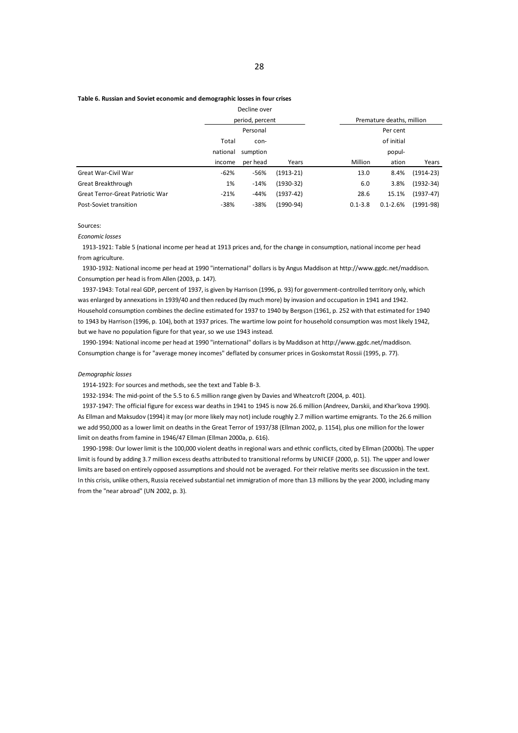#### **Table 6. Russian and Soviet economic and demographic losses in four crises**

|          |          |             |                                 | Premature deaths, million |  |  |  |
|----------|----------|-------------|---------------------------------|---------------------------|--|--|--|
| Personal |          |             | Per cent                        |                           |  |  |  |
| Total    | con-     |             | of initial                      |                           |  |  |  |
| national | sumption |             | popul-                          |                           |  |  |  |
| income   | per head | Years       | Million<br>ation                | Years                     |  |  |  |
| -62%     | $-56%$   | $(1913-21)$ | 13.0<br>8.4%                    | $(1914-23)$               |  |  |  |
| 1%       | $-14%$   | $(1930-32)$ | 6.0<br>3.8%                     | $(1932 - 34)$             |  |  |  |
| $-21%$   | $-44%$   | $(1937-42)$ | 28.6<br>15.1%                   | $(1937-47)$               |  |  |  |
| $-38%$   | $-38%$   | $(1990-94)$ | $0.1 - 2.6%$<br>$0.1 - 3.8$     | $(1991-98)$               |  |  |  |
|          |          |             | Decline over<br>period, percent |                           |  |  |  |

Sources:

*Economic losses*

1913-1921: Table 5 (national income per head at 1913 prices and, for the change in consumption, national income per head from agriculture.

1930-1932: National income per head at 1990 "international" dollars is by Angus Maddison at http://www.ggdc.net/maddison. Consumption per head is from Allen (2003, p. 147).

1937-1943: Total real GDP, percent of 1937, is given by Harrison (1996, p. 93) for government-controlled territory only, which was enlarged by annexations in 1939/40 and then reduced (by much more) by invasion and occupation in 1941 and 1942. Household consumption combines the decline estimated for 1937 to 1940 by Bergson (1961, p. 252 with that estimated for 1940 to 1943 by Harrison (1996, p. 104), both at 1937 prices. The wartime low point for household consumption was most likely 1942, but we have no population figure for that year, so we use 1943 instead.

1990-1994: National income per head at 1990 "international" dollars is by Maddison at http://www.ggdc.net/maddison. Consumption change is for "average money incomes" deflated by consumer prices in Goskomstat Rossii (1995, p. 77).

#### *Demographic losses*

1914-1923: For sources and methods, see the text and Table B-3.

1932-1934: The mid-point of the 5.5 to 6.5 million range given by Davies and Wheatcroft (2004, p. 401).

1937-1947: The official figure for excess war deaths in 1941 to 1945 is now 26.6 million (Andreev, Darskii, and Khar'kova 1990). As Ellman and Maksudov (1994) it may (or more likely may not) include roughly 2.7 million wartime emigrants. To the 26.6 million we add 950,000 as a lower limit on deaths in the Great Terror of 1937/38 (Ellman 2002, p. 1154), plus one million for the lower limit on deaths from famine in 1946/47 Ellman (Ellman 2000a, p. 616).

1990-1998: Our lower limit is the 100,000 violent deaths in regional wars and ethnic conflicts, cited by Ellman (2000b). The upper limit is found by adding 3.7 million excess deaths attributed to transitional reforms by UNICEF (2000, p. 51). The upper and lower limits are based on entirely opposed assumptions and should not be averaged. For their relative merits see discussion in the text. In this crisis, unlike others, Russia received substantial net immigration of more than 13 millions by the year 2000, including many from the "near abroad" (UN 2002, p. 3).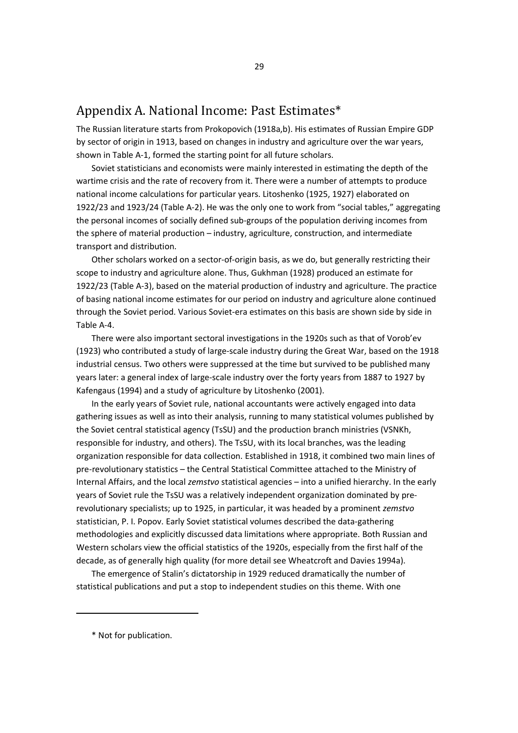# Appendix A. National Income: Past Estimates\*

The Russian literature starts from Prokopovich (1918a,b). His estimates of Russian Empire GDP by sector of origin in 1913, based on changes in industry and agriculture over the war years, shown in Table A-1, formed the starting point for all future scholars.

Soviet statisticians and economists were mainly interested in estimating the depth of the wartime crisis and the rate of recovery from it. There were a number of attempts to produce national income calculations for particular years. Litoshenko (1925, 1927) elaborated on 1922/23 and 1923/24 (Table A-2). He was the only one to work from "social tables," aggregating the personal incomes of socially defined sub-groups of the population deriving incomes from the sphere of material production – industry, agriculture, construction, and intermediate transport and distribution.

Other scholars worked on a sector-of-origin basis, as we do, but generally restricting their scope to industry and agriculture alone. Thus, Gukhman (1928) produced an estimate for 1922/23 (Table A-3), based on the material production of industry and agriculture. The practice of basing national income estimates for our period on industry and agriculture alone continued through the Soviet period. Various Soviet-era estimates on this basis are shown side by side in Table A-4.

There were also important sectoral investigations in the 1920s such as that of Vorob'ev (1923) who contributed a study of large-scale industry during the Great War, based on the 1918 industrial census. Two others were suppressed at the time but survived to be published many years later: a general index of large-scale industry over the forty years from 1887 to 1927 by Kafengaus (1994) and a study of agriculture by Litoshenko (2001).

In the early years of Soviet rule, national accountants were actively engaged into data gathering issues as well as into their analysis, running to many statistical volumes published by the Soviet central statistical agency (TsSU) and the production branch ministries (VSNKh, responsible for industry, and others). The TsSU, with its local branches, was the leading organization responsible for data collection. Established in 1918, it combined two main lines of pre-revolutionary statistics – the Central Statistical Committee attached to the Ministry of Internal Affairs, and the local *zemstvo* statistical agencies – into a unified hierarchy. In the early years of Soviet rule the TsSU was a relatively independent organization dominated by prerevolutionary specialists; up to 1925, in particular, it was headed by a prominent *zemstvo* statistician, P. I. Popov. Early Soviet statistical volumes described the data-gathering methodologies and explicitly discussed data limitations where appropriate. Both Russian and Western scholars view the official statistics of the 1920s, especially from the first half of the decade, as of generally high quality (for more detail see Wheatcroft and Davies 1994a).

The emergence of Stalin's dictatorship in 1929 reduced dramatically the number of statistical publications and put a stop to independent studies on this theme. With one

<sup>\*</sup> Not for publication.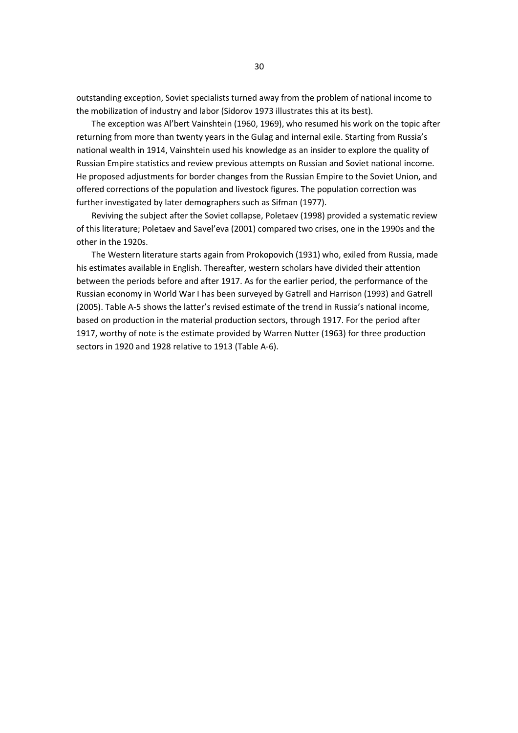outstanding exception, Soviet specialists turned away from the problem of national income to the mobilization of industry and labor (Sidorov 1973 illustrates this at its best).

The exception was Al'bert Vainshtein (1960, 1969), who resumed his work on the topic after returning from more than twenty years in the Gulag and internal exile. Starting from Russia's national wealth in 1914, Vainshtein used his knowledge as an insider to explore the quality of Russian Empire statistics and review previous attempts on Russian and Soviet national income. He proposed adjustments for border changes from the Russian Empire to the Soviet Union, and offered corrections of the population and livestock figures. The population correction was further investigated by later demographers such as Sifman (1977).

Reviving the subject after the Soviet collapse, Poletaev (1998) provided a systematic review of this literature; Poletaev and Savel'eva (2001) compared two crises, one in the 1990s and the other in the 1920s.

The Western literature starts again from Prokopovich (1931) who, exiled from Russia, made his estimates available in English. Thereafter, western scholars have divided their attention between the periods before and after 1917. As for the earlier period, the performance of the Russian economy in World War I has been surveyed by Gatrell and Harrison (1993) and Gatrell (2005). Table A-5 shows the latter's revised estimate of the trend in Russia's national income, based on production in the material production sectors, through 1917. For the period after 1917, worthy of note is the estimate provided by Warren Nutter (1963) for three production sectors in 1920 and 1928 relative to 1913 (Table A-6).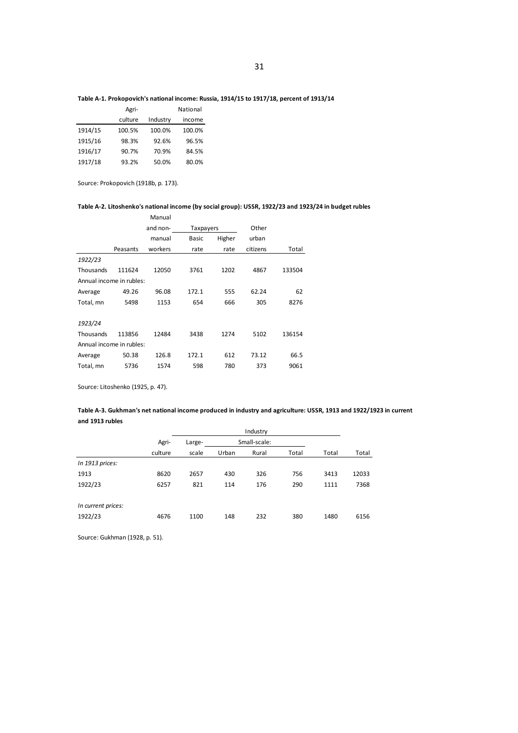### **Table A-1. Prokopovich's national income: Russia, 1914/15 to 1917/18, percent of 1913/14**

|         | Agri-   |          | National |
|---------|---------|----------|----------|
|         | culture | Industry | income   |
| 1914/15 | 100.5%  | 100.0%   | 100.0%   |
| 1915/16 | 98.3%   | 92.6%    | 96.5%    |
| 1916/17 | 90.7%   | 70.9%    | 84.5%    |
| 1917/18 | 93.2%   | 50.0%    | 80.0%    |

Source: Prokopovich (1918b, p. 173).

### **Table A-2. Litoshenko's national income (by social group): USSR, 1922/23 and 1923/24 in budget rubles**

|                          |                          | Manual   |           |        |          |        |  |  |  |  |
|--------------------------|--------------------------|----------|-----------|--------|----------|--------|--|--|--|--|
|                          |                          | and non- | Taxpayers |        | Other    |        |  |  |  |  |
|                          |                          | manual   | Basic     | Higher | urban    |        |  |  |  |  |
|                          | Peasants                 | workers  | rate      | rate   | citizens | Total  |  |  |  |  |
| 1922/23                  |                          |          |           |        |          |        |  |  |  |  |
| Thousands                | 111624                   | 12050    | 3761      | 1202   | 4867     | 133504 |  |  |  |  |
| Annual income in rubles: |                          |          |           |        |          |        |  |  |  |  |
| Average                  | 49.26                    | 96.08    | 172.1     | 555    | 62.24    | 62     |  |  |  |  |
| Total, mn                | 5498                     | 1153     | 654       | 666    | 305      | 8276   |  |  |  |  |
|                          |                          |          |           |        |          |        |  |  |  |  |
| 1923/24                  |                          |          |           |        |          |        |  |  |  |  |
| Thousands                | 113856                   | 12484    | 3438      | 1274   | 5102     | 136154 |  |  |  |  |
|                          | Annual income in rubles: |          |           |        |          |        |  |  |  |  |
| Average                  | 50.38                    | 126.8    | 172.1     | 612    | 73.12    | 66.5   |  |  |  |  |
| Total, mn                | 5736                     | 1574     | 598       | 780    | 373      | 9061   |  |  |  |  |
|                          |                          |          |           |        |          |        |  |  |  |  |

Source: Litoshenko (1925, p. 47).

### **Table A-3. Gukhman's net national income produced in industry and agriculture: USSR, 1913 and 1922/1923 in current and 1913 rubles**

|                    | Industry |        |       |              |       |       |       |
|--------------------|----------|--------|-------|--------------|-------|-------|-------|
|                    | Agri-    | Large- |       | Small-scale: |       |       |       |
|                    | culture  | scale  | Urban | Rural        | Total | Total | Total |
| In 1913 prices:    |          |        |       |              |       |       |       |
| 1913               | 8620     | 2657   | 430   | 326          | 756   | 3413  | 12033 |
| 1922/23            | 6257     | 821    | 114   | 176          | 290   | 1111  | 7368  |
|                    |          |        |       |              |       |       |       |
| In current prices: |          |        |       |              |       |       |       |
| 1922/23            | 4676     | 1100   | 148   | 232          | 380   | 1480  | 6156  |

Source: Gukhman (1928, p. 51).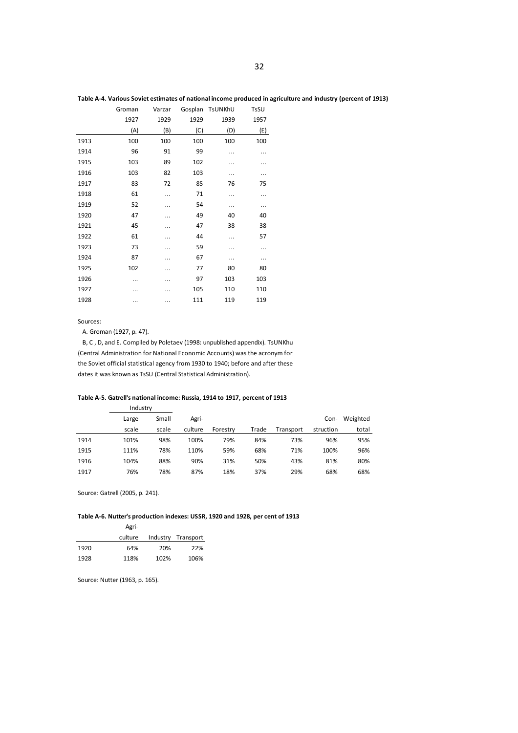| Table A-4. Various Soviet estimates of national income produced in agriculture and industry (percent of 1913) |  |  |  |  |
|---------------------------------------------------------------------------------------------------------------|--|--|--|--|
|---------------------------------------------------------------------------------------------------------------|--|--|--|--|

|      | Groman | Varzar |      | Gosplan TsUNKhU | TsSU |
|------|--------|--------|------|-----------------|------|
|      | 1927   | 1929   | 1929 | 1939            | 1957 |
|      | (A)    | (B)    | (C)  | (D)             | (E)  |
| 1913 | 100    | 100    | 100  | 100             | 100  |
| 1914 | 96     | 91     | 99   |                 |      |
| 1915 | 103    | 89     | 102  |                 | .    |
| 1916 | 103    | 82     | 103  |                 |      |
| 1917 | 83     | 72     | 85   | 76              | 75   |
| 1918 | 61     |        | 71   |                 |      |
| 1919 | 52     |        | 54   |                 |      |
| 1920 | 47     |        | 49   | 40              | 40   |
| 1921 | 45     |        | 47   | 38              | 38   |
| 1922 | 61     |        | 44   |                 | 57   |
| 1923 | 73     |        | 59   |                 | .    |
| 1924 | 87     |        | 67   |                 | .    |
| 1925 | 102    |        | 77   | 80              | 80   |
| 1926 |        |        | 97   | 103             | 103  |
| 1927 |        |        | 105  | 110             | 110  |
| 1928 |        |        | 111  | 119             | 119  |
|      |        |        |      |                 |      |

Sources:

A. Groman (1927, p. 47).

B, C , D, and E. Compiled by Poletaev (1998: unpublished appendix). TsUNKhu (Central Administration for National Economic Accounts) was the acronym for the Soviet official statistical agency from 1930 to 1940; before and after these dates it was known as TsSU (Central Statistical Administration).

#### **Table A-5. Gatrell's national income: Russia, 1914 to 1917, percent of 1913**

|      | Industry |       |         |          |       |           |           |          |
|------|----------|-------|---------|----------|-------|-----------|-----------|----------|
|      | Large    | Small | Agri-   |          |       |           | Con-      | Weighted |
|      | scale    | scale | culture | Forestry | Trade | Transport | struction | total    |
| 1914 | 101%     | 98%   | 100%    | 79%      | 84%   | 73%       | 96%       | 95%      |
| 1915 | 111%     | 78%   | 110%    | 59%      | 68%   | 71%       | 100%      | 96%      |
| 1916 | 104%     | 88%   | 90%     | 31%      | 50%   | 43%       | 81%       | 80%      |
| 1917 | 76%      | 78%   | 87%     | 18%      | 37%   | 29%       | 68%       | 68%      |

Source: Gatrell (2005, p. 241).

### **Table A-6. Nutter's production indexes: USSR, 1920 and 1928, per cent of 1913**

|      | Agri-   |      |                    |
|------|---------|------|--------------------|
|      | culture |      | Industry Transport |
| 1920 | 64%     | 20%  | 22%                |
| 1928 | 118%    | 102% | 106%               |

Source: Nutter (1963, p. 165).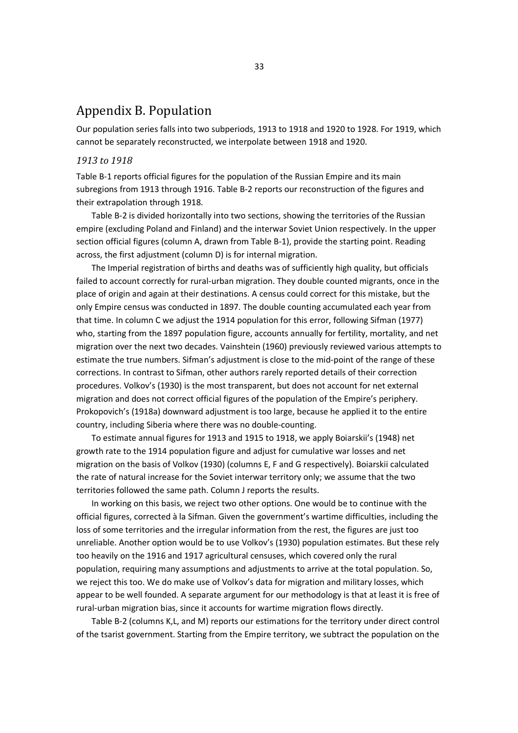# Appendix B. Population

Our population series falls into two subperiods, 1913 to 1918 and 1920 to 1928. For 1919, which cannot be separately reconstructed, we interpolate between 1918 and 1920.

### *1913 to 1918*

Table B-1 reports official figures for the population of the Russian Empire and its main subregions from 1913 through 1916. Table B-2 reports our reconstruction of the figures and their extrapolation through 1918.

Table B-2 is divided horizontally into two sections, showing the territories of the Russian empire (excluding Poland and Finland) and the interwar Soviet Union respectively. In the upper section official figures (column A, drawn from Table B-1), provide the starting point. Reading across, the first adjustment (column D) is for internal migration.

The Imperial registration of births and deaths was of sufficiently high quality, but officials failed to account correctly for rural-urban migration. They double counted migrants, once in the place of origin and again at their destinations. A census could correct for this mistake, but the only Empire census was conducted in 1897. The double counting accumulated each year from that time. In column C we adjust the 1914 population for this error, following Sifman (1977) who, starting from the 1897 population figure, accounts annually for fertility, mortality, and net migration over the next two decades. Vainshtein (1960) previously reviewed various attempts to estimate the true numbers. Sifman's adjustment is close to the mid-point of the range of these corrections. In contrast to Sifman, other authors rarely reported details of their correction procedures. Volkov's (1930) is the most transparent, but does not account for net external migration and does not correct official figures of the population of the Empire's periphery. Prokopovich's (1918a) downward adjustment is too large, because he applied it to the entire country, including Siberia where there was no double-counting.

To estimate annual figures for 1913 and 1915 to 1918, we apply Boiarskii's (1948) net growth rate to the 1914 population figure and adjust for cumulative war losses and net migration on the basis of Volkov (1930) (columns E, F and G respectively). Boiarskii calculated the rate of natural increase for the Soviet interwar territory only; we assume that the two territories followed the same path. Column J reports the results.

In working on this basis, we reject two other options. One would be to continue with the official figures, corrected à la Sifman. Given the government's wartime difficulties, including the loss of some territories and the irregular information from the rest, the figures are just too unreliable. Another option would be to use Volkov's (1930) population estimates. But these rely too heavily on the 1916 and 1917 agricultural censuses, which covered only the rural population, requiring many assumptions and adjustments to arrive at the total population. So, we reject this too. We do make use of Volkov's data for migration and military losses, which appear to be well founded. A separate argument for our methodology is that at least it is free of rural-urban migration bias, since it accounts for wartime migration flows directly.

Table B-2 (columns K,L, and M) reports our estimations for the territory under direct control of the tsarist government. Starting from the Empire territory, we subtract the population on the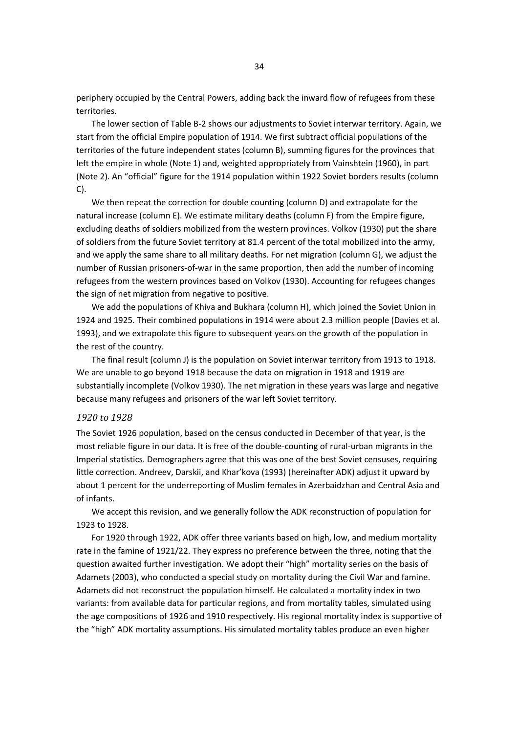periphery occupied by the Central Powers, adding back the inward flow of refugees from these territories.

The lower section of Table B-2 shows our adjustments to Soviet interwar territory. Again, we start from the official Empire population of 1914. We first subtract official populations of the territories of the future independent states (column B), summing figures for the provinces that left the empire in whole (Note 1) and, weighted appropriately from Vainshtein (1960), in part (Note 2). An "official" figure for the 1914 population within 1922 Soviet borders results (column C).

We then repeat the correction for double counting (column D) and extrapolate for the natural increase (column E). We estimate military deaths (column F) from the Empire figure, excluding deaths of soldiers mobilized from the western provinces. Volkov (1930) put the share of soldiers from the future Soviet territory at 81.4 percent of the total mobilized into the army, and we apply the same share to all military deaths. For net migration (column G), we adjust the number of Russian prisoners-of-war in the same proportion, then add the number of incoming refugees from the western provinces based on Volkov (1930). Accounting for refugees changes the sign of net migration from negative to positive.

We add the populations of Khiva and Bukhara (column H), which joined the Soviet Union in 1924 and 1925. Their combined populations in 1914 were about 2.3 million people (Davies et al. 1993), and we extrapolate this figure to subsequent years on the growth of the population in the rest of the country.

The final result (column J) is the population on Soviet interwar territory from 1913 to 1918. We are unable to go beyond 1918 because the data on migration in 1918 and 1919 are substantially incomplete (Volkov 1930). The net migration in these years was large and negative because many refugees and prisoners of the war left Soviet territory.

## *1920 to 1928*

The Soviet 1926 population, based on the census conducted in December of that year, is the most reliable figure in our data. It is free of the double-counting of rural-urban migrants in the Imperial statistics. Demographers agree that this was one of the best Soviet censuses, requiring little correction. Andreev, Darskii, and Khar'kova (1993) (hereinafter ADK) adjust it upward by about 1 percent for the underreporting of Muslim females in Azerbaidzhan and Central Asia and of infants.

We accept this revision, and we generally follow the ADK reconstruction of population for 1923 to 1928.

For 1920 through 1922, ADK offer three variants based on high, low, and medium mortality rate in the famine of 1921/22. They express no preference between the three, noting that the question awaited further investigation. We adopt their "high" mortality series on the basis of Adamets (2003), who conducted a special study on mortality during the Civil War and famine. Adamets did not reconstruct the population himself. He calculated a mortality index in two variants: from available data for particular regions, and from mortality tables, simulated using the age compositions of 1926 and 1910 respectively. His regional mortality index is supportive of the "high" ADK mortality assumptions. His simulated mortality tables produce an even higher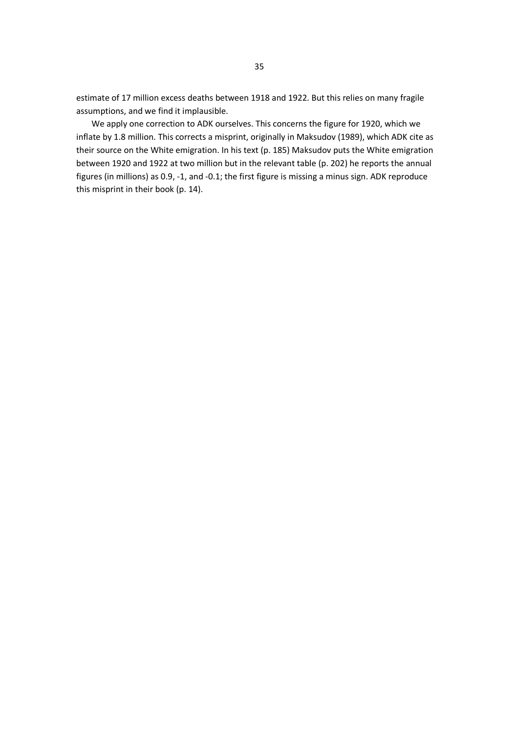estimate of 17 million excess deaths between 1918 and 1922. But this relies on many fragile assumptions, and we find it implausible.

We apply one correction to ADK ourselves. This concerns the figure for 1920, which we inflate by 1.8 million. This corrects a misprint, originally in Maksudov (1989), which ADK cite as their source on the White emigration. In his text (p. 185) Maksudov puts the White emigration between 1920 and 1922 at two million but in the relevant table (p. 202) he reports the annual figures (in millions) as 0.9, -1, and -0.1; the first figure is missing a minus sign. ADK reproduce this misprint in their book (p. 14).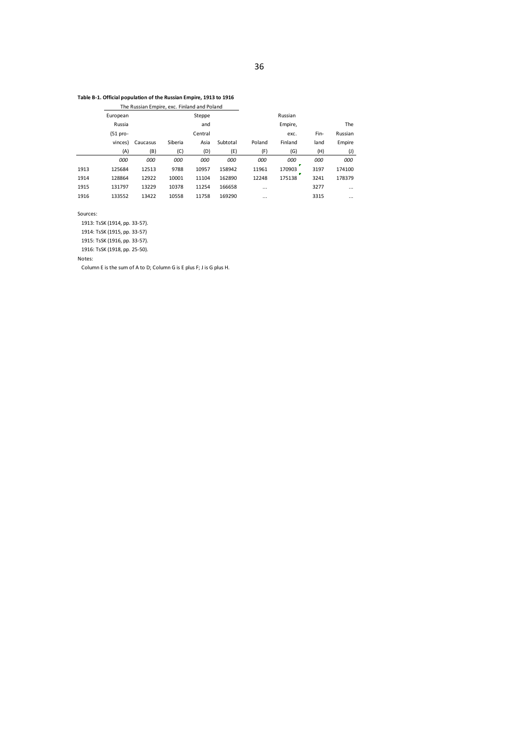### **Table B-1. Official population of the Russian Empire, 1913 to 1916**

The Russian Empire, exc. Finland and Poland

|      |             |          | - - -   |         |          |          |             |      |                |
|------|-------------|----------|---------|---------|----------|----------|-------------|------|----------------|
|      | European    |          |         | Steppe  |          |          | Russian     |      |                |
|      | Russia      |          |         | and     |          |          | Empire,     |      | The            |
|      | $(51 pro -$ |          |         | Central |          |          | exc.        | Fin- | Russian        |
|      | vinces)     | Caucasus | Siberia | Asia    | Subtotal | Poland   | Finland     | land | Empire         |
|      | (A)         | (B)      | (C)     | (D)     | (E)      | (F)      | (G)         | (H)  | $(\mathsf{I})$ |
|      | 000         | 000      | 000     | 000     | 000      | 000      | 000         | 000  | 000            |
| 1913 | 125684      | 12513    | 9788    | 10957   | 158942   | 11961    | 170903<br>п | 3197 | 174100         |
| 1914 | 128864      | 12922    | 10001   | 11104   | 162890   | 12248    | 175138      | 3241 | 178379         |
| 1915 | 131797      | 13229    | 10378   | 11254   | 166658   | $\cdots$ |             | 3277 | $\cdots$       |
| 1916 | 133552      | 13422    | 10558   | 11758   | 169290   | $\cdots$ |             | 3315 | $\cdots$       |

Sources:

1913: TsSK (1914, pp. 33-57).

1914: TsSK (1915, pp. 33-57)

1915: TsSK (1916, pp. 33-57).

1916: TsSK (1918, pp. 25-50).

Notes:

Column E is the sum of A to D; Column G is E plus F; J is G plus H.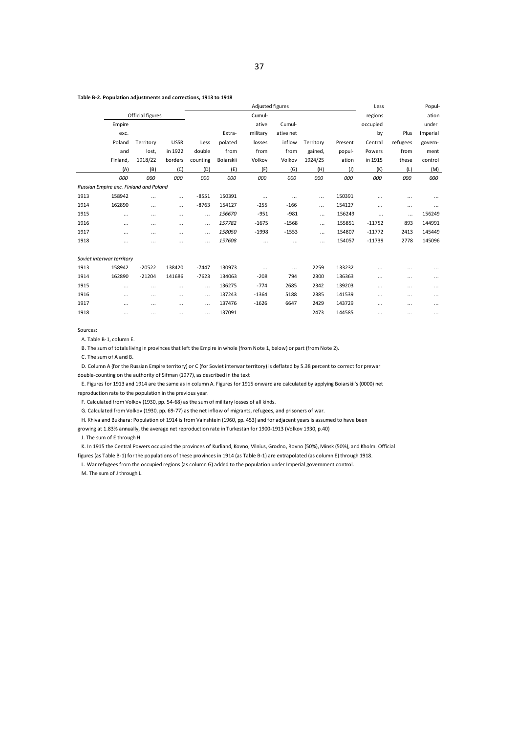### **Table B-2. Population adjustments and corrections, 1913 to 1918**

|      |                                        |                  |             |          |           | Adjusted figures | Less      |           | Popul-         |          |          |          |
|------|----------------------------------------|------------------|-------------|----------|-----------|------------------|-----------|-----------|----------------|----------|----------|----------|
|      |                                        | Official figures |             |          |           | Cumul-           |           |           |                | regions  |          | ation    |
|      | Empire                                 |                  |             |          |           | ative            | Cumul-    |           |                | occupied |          | under    |
|      | exc.                                   |                  |             |          | Extra-    | military         | ative net |           |                | by       | Plus     | Imperial |
|      | Poland                                 | Territory        | <b>USSR</b> | Less     | polated   | losses           | inflow    | Territory | Present        | Central  | refugees | govern-  |
|      | and                                    | lost,            | in 1922     | double   | from      | from             | from      | gained,   | popul-         | Powers   | from     | ment     |
|      | Finland,                               | 1918/22          | borders     | counting | Boiarskii | Volkov           | Volkov    | 1924/25   | ation          | in 1915  | these    | control  |
|      | (A)                                    | (B)              | (C)         | (D)      | (E)       | (F)              | (G)       | (H)       | $(\mathsf{J})$ | (K)      | (L)      | (M)      |
|      | 000                                    | 000              | 000         | 000      | 000       | 000              | 000       | 000       | 000            | 000      | 000      | 000      |
|      | Russian Empire exc. Finland and Poland |                  |             |          |           |                  |           |           |                |          |          |          |
| 1913 | 158942                                 | $\cdots$         | $\cdots$    | $-8551$  | 150391    | $\cdots$         | $\cdots$  | $\cdots$  | 150391         | $\cdots$ | $\cdots$ | $\cdots$ |
| 1914 | 162890                                 | $\cdots$         | $\cdots$    | $-8763$  | 154127    | $-255$           | $-166$    | $\cdots$  | 154127         | $\cdots$ | $\cdots$ | $\cdots$ |
| 1915 |                                        |                  | $\cdots$    | $\cdots$ | 156670    | $-951$           | $-981$    | $\cdots$  | 156249         |          | $\cdots$ | 156249   |
| 1916 | $\cdots$                               | $\cdots$         | $\cdots$    | $\cdots$ | 157782    | $-1675$          | $-1568$   | $\cdots$  | 155851         | $-11752$ | 893      | 144991   |
| 1917 | $\cdots$                               | $\cdots$         | $\cdots$    | $\cdots$ | 158050    | $-1998$          | $-1553$   | $\cdots$  | 154807         | $-11772$ | 2413     | 145449   |
| 1918 |                                        |                  | $\cdots$    | .        | 157608    | $\cdots$         |           | $\cdots$  | 154057         | $-11739$ | 2778     | 145096   |
|      |                                        |                  |             |          |           |                  |           |           |                |          |          |          |
|      | Soviet interwar territory              |                  |             |          |           |                  |           |           |                |          |          |          |
| 1913 | 158942                                 | $-20522$         | 138420      | $-7447$  | 130973    | $\cdots$         | $\cdots$  | 2259      | 133232         | $\cdots$ |          | $\cdots$ |
| 1914 | 162890                                 | $-21204$         | 141686      | $-7623$  | 134063    | $-208$           | 794       | 2300      | 136363         | $\cdots$ |          | $\cdots$ |
| 1915 | $\cdots$                               | $\cdots$         | $\cdots$    | $\cdots$ | 136275    | $-774$           | 2685      | 2342      | 139203         | $\cdots$ | $\cdots$ | $\cdots$ |
| 1916 |                                        |                  | $\cdots$    | $\cdots$ | 137243    | $-1364$          | 5188      | 2385      | 141539         | $\cdots$ | $\cdots$ | $\cdots$ |
| 1917 | $\cdots$                               | $\cdots$         | $\cdots$    | $\cdots$ | 137476    | $-1626$          | 6647      | 2429      | 143729         | $\cdots$ | $\cdots$ | $\cdots$ |
| 1918 | $\cdots$                               | $\cdots$         | $\cdots$    | .        | 137091    |                  |           | 2473      | 144585         | $\cdots$ | $\cdots$ | $\cdots$ |
|      |                                        |                  |             |          |           |                  |           |           |                |          |          |          |

Sources:

A. Table B-1, column E.

B. The sum of totals living in provinces that left the Empire in whole (from Note 1, below) or part (from Note 2).

C. The sum of A and B.

D. Column A (for the Russian Empire territory) or C (for Soviet interwar territory) is deflated by 5.38 percent to correct for prewar double-counting on the authority of Sifman (1977), as described in the text

E. Figures for 1913 and 1914 are the same as in column A. Figures for 1915 onward are calculated by applying Boiarskii's (0000) net reproduction rate to the population in the previous year.

F. Calculated from Volkov (1930, pp. 54-68) as the sum of military losses of all kinds.

G. Calculated from Volkov (1930, pp. 69-77) as the net inflow of migrants, refugees, and prisoners of war.

H. Khiva and Bukhara: Population of 1914 is from Vainshtein (1960, pp. 453) and for adjacent years is assumed to have been

growing at 1.83% annually, the average net reproduction rate in Turkestan for 1900-1913 (Volkov 1930, p.40) J. The sum of E through H.

K. In 1915 the Central Powers occupied the provinces of Kurliand, Kovno, Vilnius, Grodno, Rovno (50%), Minsk (50%), and Kholm. Official figures (as Table B-1) for the populations of these provinces in 1914 (as Table B-1) are extrapolated (as column E) through 1918.

L. War refugees from the occupied regions (as column G) added to the population under Imperial government control.

M. The sum of J through L.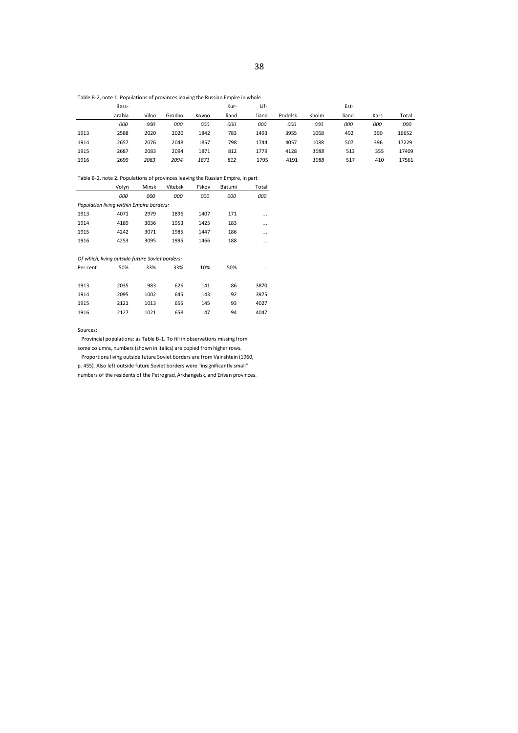Table B-2, note 1. Populations of provinces leaving the Russian Empire in whole

|      | Bess-  |       |        |       | Kur-  | Lif-  |         |       | Est-  |      |       |
|------|--------|-------|--------|-------|-------|-------|---------|-------|-------|------|-------|
|      | arabia | Vilno | Grodno | Kovno | liand | liand | Podolsk | Kholm | liand | Kars | Total |
|      | 000    | 000   | 000    | 000   | 000   | 000   | 000     | 000   | 000   | 000  | 000   |
| 1913 | 2588   | 2020  | 2020   | 1842  | 783   | 1493  | 3955    | 1068  | 492   | 390  | 16652 |
| 1914 | 2657   | 2076  | 2048   | 1857  | 798   | 1744  | 4057    | 1088  | 507   | 396  | 17229 |
| 1915 | 2687   | 2083  | 2094   | 1871  | 812   | 1779  | 4128    | 1088  | 513   | 355  | 17409 |
| 1916 | 2699   | 2083  | 2094   | 1871  | 812   | 1795  | 4191    | 1088  | 517   | 410  | 17561 |

Table B-2, note 2. Populations of provinces leaving the Russian Empire, in part

|                                                 | Volyn | <b>Minsk</b> | Vitebsk | Pskov | Batumi | Total |
|-------------------------------------------------|-------|--------------|---------|-------|--------|-------|
|                                                 | 000   | 000          | 000     | 000   | 000    | 000   |
| Population living within Empire borders:        |       |              |         |       |        |       |
| 1913                                            | 4071  | 2979         | 1896    | 1407  | 171    | .     |
| 1914                                            | 4189  | 3036         | 1953    | 1425  | 183    | .     |
| 1915                                            | 4242  | 3071         | 1985    | 1447  | 186    | .     |
| 1916                                            | 4253  | 3095         | 1995    | 1466  | 188    | .     |
|                                                 |       |              |         |       |        |       |
| Of which, living outside future Soviet borders: |       |              |         |       |        |       |
| Per cent                                        | 50%   | 33%          | 33%     | 10%   | 50%    |       |
|                                                 |       |              |         |       |        |       |
| 1913                                            | 2035  | 983          | 626     | 141   | 86     | 3870  |
| 1914                                            | 2095  | 1002         | 645     | 143   | 92     | 3975  |
| 1915                                            | 2121  | 1013         | 655     | 145   | 93     | 4027  |
| 1916                                            | 2127  | 1021         | 658     | 147   | 94     | 4047  |
|                                                 |       |              |         |       |        |       |

Sources:

Provincial populations: as Table B-1. To fill in observations missing from some columns, numbers (shown in italics) are copied from higher rows.

Proportions living outside future Soviet borders are from Vainshtein (1960,

p. 455). Also left outside future Soviet borders were "insignificantly small"

numbers of the residents of the Petrograd, Arkhangelsk, and Erivan provinces.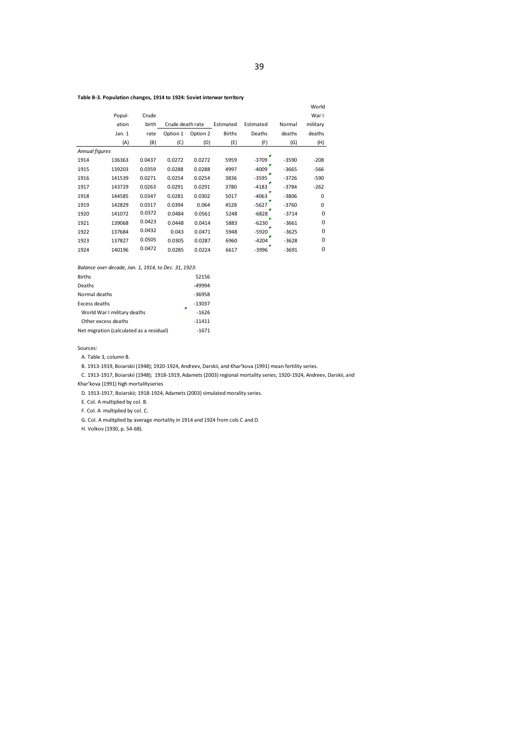|                       | Popul- | Crude  |                  |          |               |           |         | World<br>Warl    |
|-----------------------|--------|--------|------------------|----------|---------------|-----------|---------|------------------|
|                       | ation  | birth  | Crude death rate |          | Estimated     | Estimated | Normal  | military         |
|                       | Jan. 1 | rate   | Option 1         | Option 2 | <b>Births</b> | Deaths    | deaths  | deaths           |
|                       | (A)    | (B)    | (C)              | (D)      | (E)           | (F)       | (G)     | (H)              |
| <b>Annual figures</b> |        |        |                  |          |               | P         |         |                  |
| 1914                  | 136363 | 0.0437 | 0.0272           | 0.0272   | 5959          | $-3709$   | $-3590$ | $-208$           |
| 1915                  | 139203 | 0.0359 | 0.0288           | 0.0288   | 4997          | $-4009$   | $-3665$ | $-566$           |
| 1916                  | 141539 | 0.0271 | 0.0254           | 0.0254   | 3836          | $-3595$   | $-3726$ | $-590$           |
| 1917                  | 143729 | 0.0263 | 0.0291           | 0.0291   | 3780          | $-4183$   | $-3784$ | $-262$           |
| 1918                  | 144585 | 0.0347 | 0.0281           | 0.0302   | 5017          | $-4063$   | $-3806$ | 0                |
| 1919                  | 142829 | 0.0317 | 0.0394           | 0.064    | 4528          | $-5627$   | $-3760$ | 0                |
| 1920                  | 141072 | 0.0372 | 0.0484           | 0.0561   | 5248          | $-6828$   | $-3714$ | $\mathbf{0}$     |
| 1921                  | 139068 | 0.0423 | 0.0448           | 0.0414   | 5883          | $-6230$   | $-3661$ | $\mathbf{0}$     |
| 1922                  | 137684 | 0.0432 | 0.043            | 0.0471   | 5948          | $-5920$   | $-3625$ | $\boldsymbol{0}$ |
| 1923                  | 137827 | 0.0505 | 0.0305           | 0.0287   | 6960          | $-4204$   | $-3628$ | $\mathbf{0}$     |
| 1924                  | 140196 | 0.0472 | 0.0285           | 0.0224   | 6617          | $-3996$   | $-3691$ | $\mathbf{0}$     |
|                       |        |        |                  |          |               |           |         |                  |

### **Table B-3. Population changes, 1914 to 1924: Soviet interwar territory**

*Balance over decade, Jan. 1, 1914, to Dec. 31, 1923:*

| <b>Births</b>                            | 52156    |
|------------------------------------------|----------|
| Deaths                                   | $-49994$ |
| Normal deaths                            | $-36958$ |
| Excess deaths                            | $-13037$ |
| World War I military deaths              | $-1626$  |
| Other excess deaths                      | $-11411$ |
| Net migration (calculated as a residual) | $-1671$  |

Sources:

A. Table 3, column B.

B. 1913-1919, Boiarskii (1948); 1920-1924, Andreev, Darskii, and Khar'kova (1991) mean fertility series.

C. 1913-1917, Boiarskii (1948); 1918-1919, Adamets (2003) regional mortality series; 1920-1924, Andreev, Darskii, and Khar'kova (1991) high mortalityseries

D. 1913-1917, Boiarskii; 1918-1924, Adamets (2003) simulated morality series.

E. Col. A multiplied by col. B.

F. Col. A multiplied by col. C.

G. Col. A mulitplied by average mortality in 1914 and 1924 from cols C and D.

H. Volkov (1930, p. 54-68).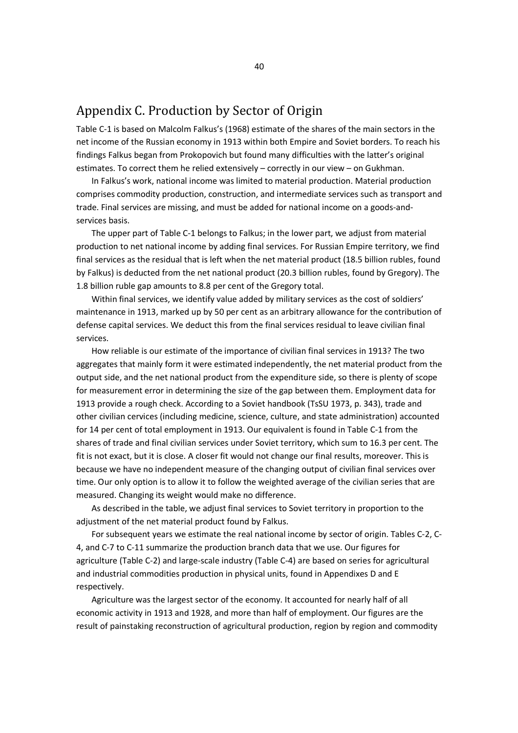## Appendix C. Production by Sector of Origin

Table C-1 is based on Malcolm Falkus's (1968) estimate of the shares of the main sectors in the net income of the Russian economy in 1913 within both Empire and Soviet borders. To reach his findings Falkus began from Prokopovich but found many difficulties with the latter's original estimates. To correct them he relied extensively – correctly in our view – on Gukhman.

In Falkus's work, national income was limited to material production. Material production comprises commodity production, construction, and intermediate services such as transport and trade. Final services are missing, and must be added for national income on a goods-andservices basis.

The upper part of Table C-1 belongs to Falkus; in the lower part, we adjust from material production to net national income by adding final services. For Russian Empire territory, we find final services as the residual that is left when the net material product (18.5 billion rubles, found by Falkus) is deducted from the net national product (20.3 billion rubles, found by Gregory). The 1.8 billion ruble gap amounts to 8.8 per cent of the Gregory total.

Within final services, we identify value added by military services as the cost of soldiers' maintenance in 1913, marked up by 50 per cent as an arbitrary allowance for the contribution of defense capital services. We deduct this from the final services residual to leave civilian final services.

How reliable is our estimate of the importance of civilian final services in 1913? The two aggregates that mainly form it were estimated independently, the net material product from the output side, and the net national product from the expenditure side, so there is plenty of scope for measurement error in determining the size of the gap between them. Employment data for 1913 provide a rough check. According to a Soviet handbook (TsSU 1973, p. 343), trade and other civilian cervices (including medicine, science, culture, and state administration) accounted for 14 per cent of total employment in 1913. Our equivalent is found in Table C-1 from the shares of trade and final civilian services under Soviet territory, which sum to 16.3 per cent. The fit is not exact, but it is close. A closer fit would not change our final results, moreover. This is because we have no independent measure of the changing output of civilian final services over time. Our only option is to allow it to follow the weighted average of the civilian series that are measured. Changing its weight would make no difference.

As described in the table, we adjust final services to Soviet territory in proportion to the adjustment of the net material product found by Falkus.

For subsequent years we estimate the real national income by sector of origin. Tables C-2, C-4, and C-7 to C-11 summarize the production branch data that we use. Our figures for agriculture (Table C-2) and large-scale industry (Table C-4) are based on series for agricultural and industrial commodities production in physical units, found in Appendixes D and E respectively.

Agriculture was the largest sector of the economy. It accounted for nearly half of all economic activity in 1913 and 1928, and more than half of employment. Our figures are the result of painstaking reconstruction of agricultural production, region by region and commodity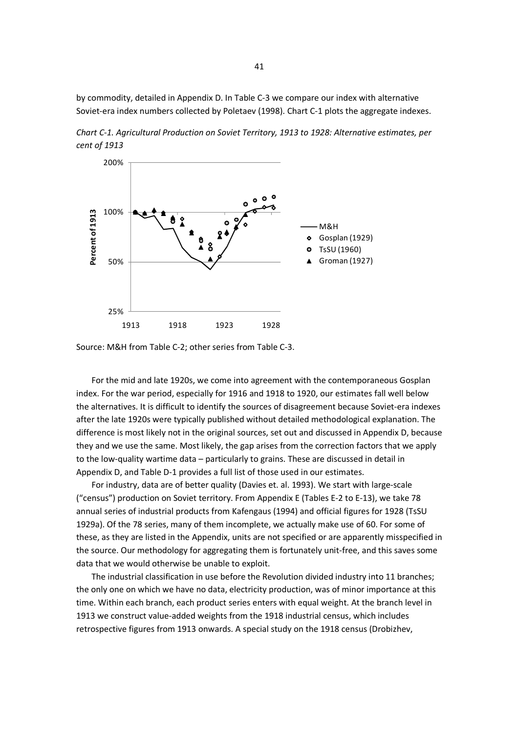by commodity, detailed in Appendix D. In Table C-3 we compare our index with alternative Soviet-era index numbers collected by Poletaev (1998). Chart C-1 plots the aggregate indexes.

*Chart C-1. Agricultural Production on Soviet Territory, 1913 to 1928: Alternative estimates, per cent of 1913*



Source: M&H from Table C-2; other series from Table C-3.

For the mid and late 1920s, we come into agreement with the contemporaneous Gosplan index. For the war period, especially for 1916 and 1918 to 1920, our estimates fall well below the alternatives. It is difficult to identify the sources of disagreement because Soviet-era indexes after the late 1920s were typically published without detailed methodological explanation. The difference is most likely not in the original sources, set out and discussed in Appendix D, because they and we use the same. Most likely, the gap arises from the correction factors that we apply to the low-quality wartime data – particularly to grains. These are discussed in detail in Appendix D, and Table D-1 provides a full list of those used in our estimates.

For industry, data are of better quality (Davies et. al. 1993). We start with large-scale ("census") production on Soviet territory. From Appendix E (Tables E-2 to E-13), we take 78 annual series of industrial products from Kafengaus (1994) and official figures for 1928 (TsSU 1929a). Of the 78 series, many of them incomplete, we actually make use of 60. For some of these, as they are listed in the Appendix, units are not specified or are apparently misspecified in the source. Our methodology for aggregating them is fortunately unit-free, and this saves some data that we would otherwise be unable to exploit.

The industrial classification in use before the Revolution divided industry into 11 branches; the only one on which we have no data, electricity production, was of minor importance at this time. Within each branch, each product series enters with equal weight. At the branch level in 1913 we construct value-added weights from the 1918 industrial census, which includes retrospective figures from 1913 onwards. A special study on the 1918 census (Drobizhev,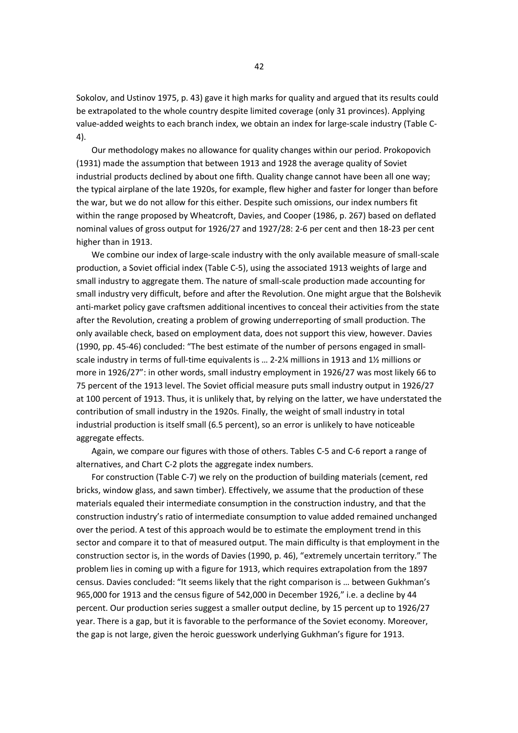Sokolov, and Ustinov 1975, p. 43) gave it high marks for quality and argued that its results could be extrapolated to the whole country despite limited coverage (only 31 provinces). Applying value-added weights to each branch index, we obtain an index for large-scale industry (Table C-4).

Our methodology makes no allowance for quality changes within our period. Prokopovich (1931) made the assumption that between 1913 and 1928 the average quality of Soviet industrial products declined by about one fifth. Quality change cannot have been all one way; the typical airplane of the late 1920s, for example, flew higher and faster for longer than before the war, but we do not allow for this either. Despite such omissions, our index numbers fit within the range proposed by Wheatcroft, Davies, and Cooper (1986, p. 267) based on deflated nominal values of gross output for 1926/27 and 1927/28: 2-6 per cent and then 18-23 per cent higher than in 1913.

We combine our index of large-scale industry with the only available measure of small-scale production, a Soviet official index (Table C-5), using the associated 1913 weights of large and small industry to aggregate them. The nature of small-scale production made accounting for small industry very difficult, before and after the Revolution. One might argue that the Bolshevik anti-market policy gave craftsmen additional incentives to conceal their activities from the state after the Revolution, creating a problem of growing underreporting of small production. The only available check, based on employment data, does not support this view, however. Davies (1990, pp. 45-46) concluded: "The best estimate of the number of persons engaged in smallscale industry in terms of full-time equivalents is … 2-2¼ millions in 1913 and 1½ millions or more in 1926/27": in other words, small industry employment in 1926/27 was most likely 66 to 75 percent of the 1913 level. The Soviet official measure puts small industry output in 1926/27 at 100 percent of 1913. Thus, it is unlikely that, by relying on the latter, we have understated the contribution of small industry in the 1920s. Finally, the weight of small industry in total industrial production is itself small (6.5 percent), so an error is unlikely to have noticeable aggregate effects.

Again, we compare our figures with those of others. Tables C-5 and C-6 report a range of alternatives, and Chart C-2 plots the aggregate index numbers.

For construction (Table C-7) we rely on the production of building materials (cement, red bricks, window glass, and sawn timber). Effectively, we assume that the production of these materials equaled their intermediate consumption in the construction industry, and that the construction industry's ratio of intermediate consumption to value added remained unchanged over the period. A test of this approach would be to estimate the employment trend in this sector and compare it to that of measured output. The main difficulty is that employment in the construction sector is, in the words of Davies (1990, p. 46), "extremely uncertain territory." The problem lies in coming up with a figure for 1913, which requires extrapolation from the 1897 census. Davies concluded: "It seems likely that the right comparison is … between Gukhman's 965,000 for 1913 and the census figure of 542,000 in December 1926," i.e. a decline by 44 percent. Our production series suggest a smaller output decline, by 15 percent up to 1926/27 year. There is a gap, but it is favorable to the performance of the Soviet economy. Moreover, the gap is not large, given the heroic guesswork underlying Gukhman's figure for 1913.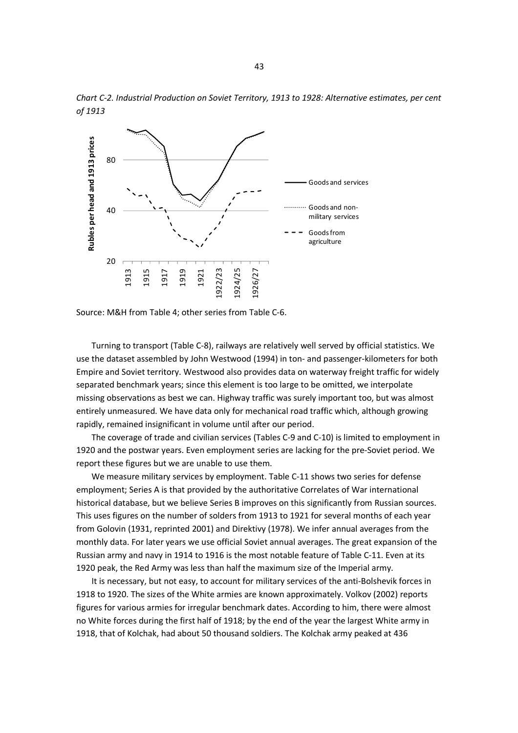

*Chart C-2. Industrial Production on Soviet Territory, 1913 to 1928: Alternative estimates, per cent of 1913*

Source: M&H from Table 4; other series from Table C-6.

Turning to transport (Table C-8), railways are relatively well served by official statistics. We use the dataset assembled by John Westwood (1994) in ton- and passenger-kilometers for both Empire and Soviet territory. Westwood also provides data on waterway freight traffic for widely separated benchmark years; since this element is too large to be omitted, we interpolate missing observations as best we can. Highway traffic was surely important too, but was almost entirely unmeasured. We have data only for mechanical road traffic which, although growing rapidly, remained insignificant in volume until after our period.

The coverage of trade and civilian services (Tables C-9 and C-10) is limited to employment in 1920 and the postwar years. Even employment series are lacking for the pre-Soviet period. We report these figures but we are unable to use them.

We measure military services by employment. Table C-11 shows two series for defense employment; Series A is that provided by the authoritative Correlates of War international historical database, but we believe Series B improves on this significantly from Russian sources. This uses figures on the number of solders from 1913 to 1921 for several months of each year from Golovin (1931, reprinted 2001) and Direktivy (1978). We infer annual averages from the monthly data. For later years we use official Soviet annual averages. The great expansion of the Russian army and navy in 1914 to 1916 is the most notable feature of Table C-11. Even at its 1920 peak, the Red Army was less than half the maximum size of the Imperial army.

It is necessary, but not easy, to account for military services of the anti-Bolshevik forces in 1918 to 1920. The sizes of the White armies are known approximately. Volkov (2002) reports figures for various armies for irregular benchmark dates. According to him, there were almost no White forces during the first half of 1918; by the end of the year the largest White army in 1918, that of Kolchak, had about 50 thousand soldiers. The Kolchak army peaked at 436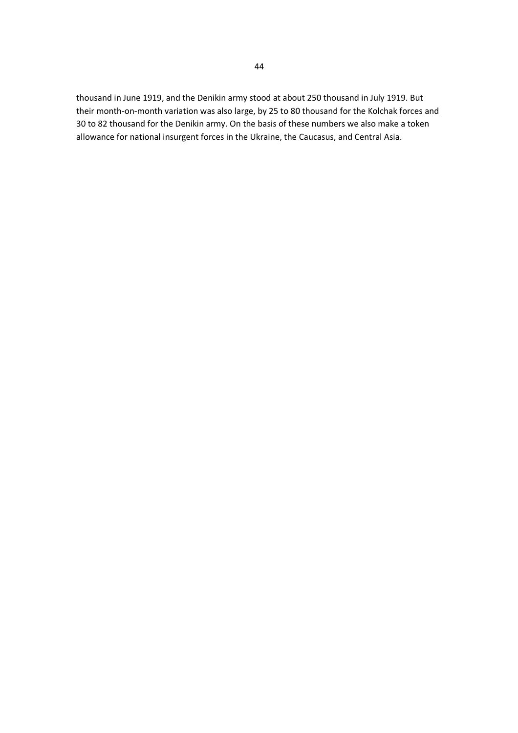thousand in June 1919, and the Denikin army stood at about 250 thousand in July 1919. But their month-on-month variation was also large, by 25 to 80 thousand for the Kolchak forces and 30 to 82 thousand for the Denikin army. On the basis of these numbers we also make a token allowance for national insurgent forces in the Ukraine, the Caucasus, and Central Asia.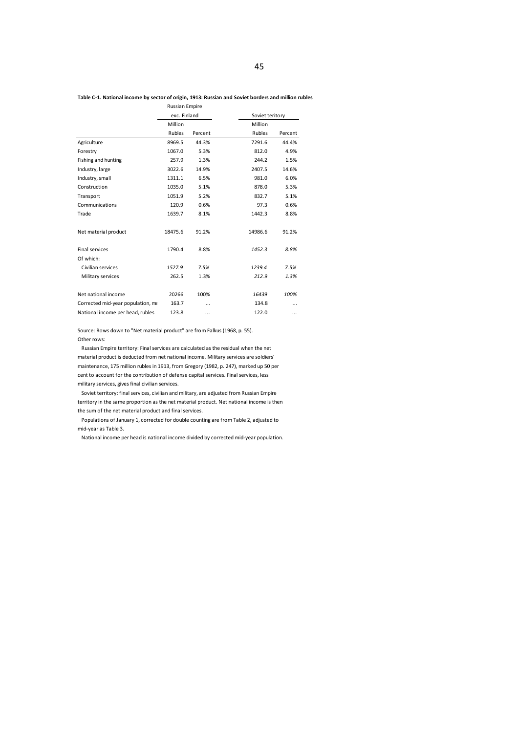### **Table C-1. National income by sector of origin, 1913: Russian and Soviet borders and million rubles**

|                                   | Russian Empire |         |                 |         |
|-----------------------------------|----------------|---------|-----------------|---------|
|                                   | exc. Finland   |         | Soviet teritory |         |
|                                   | Million        |         | Million         |         |
|                                   | Rubles         | Percent | Rubles          | Percent |
| Agriculture                       | 8969.5         | 44.3%   | 7291.6          | 44.4%   |
| Forestry                          | 1067.0         | 5.3%    | 812.0           | 4.9%    |
| Fishing and hunting               | 257.9          | 1.3%    | 244.2           | 1.5%    |
| Industry, large                   | 3022.6         | 14.9%   | 2407.5          | 14.6%   |
| Industry, small                   | 1311.1         | 6.5%    | 981.0           | 6.0%    |
| Construction                      | 1035.0         | 5.1%    | 878.0           | 5.3%    |
| Transport                         | 1051.9         | 5.2%    | 832.7           | 5.1%    |
| Communications                    | 120.9          | 0.6%    | 97.3            | 0.6%    |
| Trade                             | 1639.7         | 8.1%    | 1442.3          | 8.8%    |
| Net material product              | 18475.6        | 91.2%   | 14986.6         | 91.2%   |
| <b>Final services</b>             | 1790.4         | 8.8%    | 1452.3          | 8.8%    |
| Of which:                         |                |         |                 |         |
| Civilian services                 | 1527.9         | 7.5%    | 1239.4          | 7.5%    |
| Military services                 | 262.5          | 1.3%    | 212.9           | 1.3%    |
| Net national income               | 20266          | 100%    | 16439           | 100%    |
| Corrected mid-year population, mi | 163.7          |         | 134.8           |         |
| National income per head, rubles  | 123.8          |         | 122.0           |         |

Source: Rows down to "Net material product" are from Falkus (1968, p. 55). Other rows:

Russian Empire territory: Final services are calculated as the residual when the net material product is deducted from net national income. Military services are soldiers' maintenance, 175 million rubles in 1913, from Gregory (1982, p. 247), marked up 50 per cent to account for the contribution of defense capital services. Final services, less military services, gives final civilian services.

Soviet territory: final services, civilian and military, are adjusted from Russian Empire territory in the same proportion as the net material product. Net national income is then the sum of the net material product and final services.

Populations of January 1, corrected for double counting are from Table 2, adjusted to mid-year as Table 3.

National income per head is national income divided by corrected mid-year population.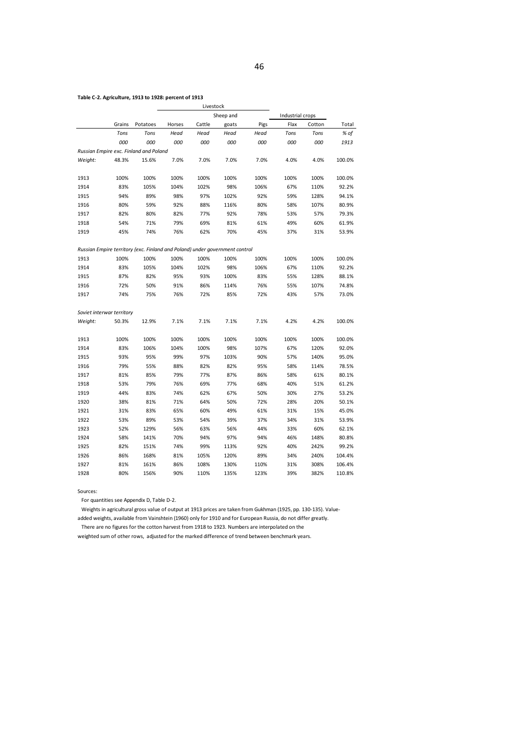### **Table C-2. Agriculture, 1913 to 1928: percent of 1913**

|                           |        |                                                                             |        | Livestock |           |      |                  |        |        |
|---------------------------|--------|-----------------------------------------------------------------------------|--------|-----------|-----------|------|------------------|--------|--------|
|                           |        |                                                                             |        |           | Sheep and |      | Industrial crops |        |        |
|                           | Grains | Potatoes                                                                    | Horses | Cattle    | goats     | Pigs | Flax             | Cotton | Total  |
|                           | Tons   | Tons                                                                        | Head   | Head      | Head      | Head | Tons             | Tons   | % of   |
|                           | 000    | 000                                                                         | 000    | 000       | 000       | 000  | 000              | 000    | 1913   |
|                           |        | Russian Empire exc. Finland and Poland                                      |        |           |           |      |                  |        |        |
| Weight:                   | 48.3%  | 15.6%                                                                       | 7.0%   | 7.0%      | 7.0%      | 7.0% | 4.0%             | 4.0%   | 100.0% |
|                           |        |                                                                             |        |           |           |      |                  |        |        |
| 1913                      | 100%   | 100%                                                                        | 100%   | 100%      | 100%      | 100% | 100%             | 100%   | 100.0% |
| 1914                      | 83%    | 105%                                                                        | 104%   | 102%      | 98%       | 106% | 67%              | 110%   | 92.2%  |
| 1915                      | 94%    | 89%                                                                         | 98%    | 97%       | 102%      | 92%  | 59%              | 128%   | 94.1%  |
| 1916                      | 80%    | 59%                                                                         | 92%    | 88%       | 116%      | 80%  | 58%              | 107%   | 80.9%  |
| 1917                      | 82%    | 80%                                                                         | 82%    | 77%       | 92%       | 78%  | 53%              | 57%    | 79.3%  |
| 1918                      | 54%    | 71%                                                                         | 79%    | 69%       | 81%       | 61%  | 49%              | 60%    | 61.9%  |
| 1919                      | 45%    | 74%                                                                         | 76%    | 62%       | 70%       | 45%  | 37%              | 31%    | 53.9%  |
|                           |        | Russian Empire territory (exc. Finland and Poland) under government control |        |           |           |      |                  |        |        |
| 1913                      | 100%   | 100%                                                                        | 100%   | 100%      | 100%      | 100% | 100%             | 100%   | 100.0% |
| 1914                      | 83%    | 105%                                                                        | 104%   | 102%      | 98%       | 106% | 67%              | 110%   | 92.2%  |
| 1915                      | 87%    | 82%                                                                         | 95%    | 93%       | 100%      | 83%  | 55%              | 128%   | 88.1%  |
| 1916                      | 72%    | 50%                                                                         | 91%    | 86%       | 114%      | 76%  | 55%              | 107%   | 74.8%  |
| 1917                      | 74%    | 75%                                                                         | 76%    | 72%       | 85%       | 72%  | 43%              | 57%    | 73.0%  |
|                           |        |                                                                             |        |           |           |      |                  |        |        |
| Soviet interwar territory |        |                                                                             |        |           |           |      |                  |        |        |
| Weight:                   | 50.3%  | 12.9%                                                                       | 7.1%   | 7.1%      | 7.1%      | 7.1% | 4.2%             | 4.2%   | 100.0% |
| 1913                      | 100%   | 100%                                                                        | 100%   | 100%      | 100%      | 100% | 100%             | 100%   | 100.0% |
| 1914                      | 83%    | 106%                                                                        | 104%   | 100%      | 98%       | 107% | 67%              | 120%   | 92.0%  |
| 1915                      | 93%    | 95%                                                                         | 99%    | 97%       | 103%      | 90%  | 57%              | 140%   | 95.0%  |
| 1916                      | 79%    | 55%                                                                         | 88%    | 82%       | 82%       | 95%  | 58%              | 114%   | 78.5%  |
| 1917                      | 81%    | 85%                                                                         | 79%    | 77%       | 87%       | 86%  | 58%              | 61%    | 80.1%  |
| 1918                      | 53%    | 79%                                                                         | 76%    | 69%       | 77%       | 68%  | 40%              | 51%    | 61.2%  |
| 1919                      | 44%    | 83%                                                                         | 74%    | 62%       | 67%       | 50%  | 30%              | 27%    | 53.2%  |
| 1920                      | 38%    | 81%                                                                         | 71%    | 64%       | 50%       | 72%  | 28%              | 20%    | 50.1%  |
| 1921                      | 31%    | 83%                                                                         | 65%    | 60%       | 49%       | 61%  | 31%              | 15%    | 45.0%  |
| 1922                      | 53%    | 89%                                                                         | 53%    | 54%       | 39%       | 37%  | 34%              | 31%    | 53.9%  |
|                           | 52%    | 129%                                                                        |        |           | 56%       | 44%  |                  |        |        |
| 1923                      |        |                                                                             | 56%    | 63%       |           |      | 33%              | 60%    | 62.1%  |
| 1924                      | 58%    | 141%                                                                        | 70%    | 94%       | 97%       | 94%  | 46%              | 148%   | 80.8%  |
| 1925                      | 82%    | 151%                                                                        | 74%    | 99%       | 113%      | 92%  | 40%              | 242%   | 99.2%  |
| 1926                      | 86%    | 168%                                                                        | 81%    | 105%      | 120%      | 89%  | 34%              | 240%   | 104.4% |
| 1927                      | 81%    | 161%                                                                        | 86%    | 108%      | 130%      | 110% | 31%              | 308%   | 106.4% |
| 1928                      | 80%    | 156%                                                                        | 90%    | 110%      | 135%      | 123% | 39%              | 382%   | 110.8% |

Sources:

For quantities see Appendix D, Table D-2.

Weights in agricultural gross value of output at 1913 prices are taken from Gukhman (1925, pp. 130-135). Valueadded weights, available from Vainshtein (1960) only for 1910 and for European Russia, do not differ greatly.

There are no figures for the cotton harvest from 1918 to 1923. Numbers are interpolated on the weighted sum of other rows, adjusted for the marked difference of trend between benchmark years.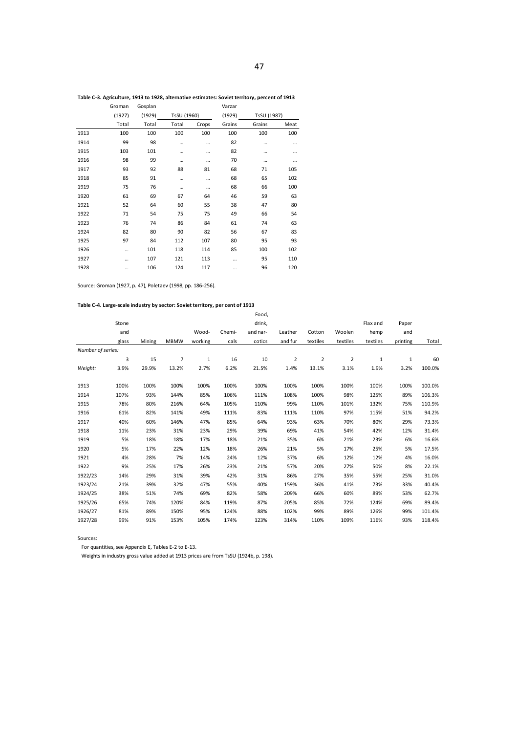| Table C-3. Agriculture, 1913 to 1928, alternative estimates: Soviet territory, percent of 1913 |  |  |
|------------------------------------------------------------------------------------------------|--|--|
|                                                                                                |  |  |

| Groman | Gosplan |       |       | Varzar      |        |             |
|--------|---------|-------|-------|-------------|--------|-------------|
| (1927) | (1929)  |       |       | (1929)      |        |             |
| Total  | Total   | Total | Crops | Grains      | Grains | Meat        |
| 100    | 100     | 100   | 100   | 100         | 100    | 100         |
| 99     | 98      |       |       | 82          |        |             |
| 103    | 101     |       |       | 82          |        |             |
| 98     | 99      |       |       | 70          |        |             |
| 93     | 92      | 88    | 81    | 68          | 71     | 105         |
| 85     | 91      |       |       | 68          | 65     | 102         |
| 75     | 76      |       |       | 68          | 66     | 100         |
| 61     | 69      | 67    | 64    | 46          | 59     | 63          |
| 52     | 64      | 60    | 55    | 38          | 47     | 80          |
| 71     | 54      | 75    | 75    | 49          | 66     | 54          |
| 76     | 74      | 86    | 84    | 61          | 74     | 63          |
| 82     | 80      | 90    | 82    | 56          | 67     | 83          |
| 97     | 84      | 112   | 107   | 80          | 95     | 93          |
|        | 101     | 118   | 114   | 85          | 100    | 102         |
|        | 107     | 121   | 113   |             | 95     | 110         |
|        | 106     | 124   | 117   |             | 96     | 120         |
|        |         |       |       | TsSU (1960) |        | TsSU (1987) |

Source: Groman (1927, p. 47), Poletaev (1998, pp. 186-256).

### **Table C-4. Large-scale industry by sector: Soviet territory, per cent of 1913**

|                   |       |        |             |              |        | Food,    |                |          |                |          |              |        |
|-------------------|-------|--------|-------------|--------------|--------|----------|----------------|----------|----------------|----------|--------------|--------|
|                   | Stone |        |             |              |        | drink,   |                |          |                | Flax and | Paper        |        |
|                   | and   |        |             | Wood-        | Chemi- | and nar- | Leather        | Cotton   | Woolen         | hemp     | and          |        |
|                   | glass | Mining | <b>MBMW</b> | working      | cals   | cotics   | and fur        | textiles | textiles       | textiles | printing     | Total  |
| Number of series: |       |        |             |              |        |          |                |          |                |          |              |        |
|                   | 3     | 15     | 7           | $\mathbf{1}$ | 16     | 10       | $\overline{2}$ | 2        | $\overline{2}$ | 1        | $\mathbf{1}$ | 60     |
| Weight:           | 3.9%  | 29.9%  | 13.2%       | 2.7%         | 6.2%   | 21.5%    | 1.4%           | 13.1%    | 3.1%           | 1.9%     | 3.2%         | 100.0% |
| 1913              | 100%  | 100%   | 100%        | 100%         | 100%   | 100%     | 100%           | 100%     | 100%           | 100%     | 100%         | 100.0% |
| 1914              | 107%  | 93%    | 144%        | 85%          | 106%   | 111%     | 108%           | 100%     | 98%            | 125%     | 89%          | 106.3% |
| 1915              | 78%   | 80%    | 216%        | 64%          | 105%   | 110%     | 99%            | 110%     | 101%           | 132%     | 75%          | 110.9% |
| 1916              | 61%   | 82%    | 141%        | 49%          | 111%   | 83%      | 111%           | 110%     | 97%            | 115%     | 51%          | 94.2%  |
| 1917              | 40%   | 60%    | 146%        | 47%          | 85%    | 64%      | 93%            | 63%      | 70%            | 80%      | 29%          | 73.3%  |
| 1918              | 11%   | 23%    | 31%         | 23%          | 29%    | 39%      | 69%            | 41%      | 54%            | 42%      | 12%          | 31.4%  |
| 1919              | 5%    | 18%    | 18%         | 17%          | 18%    | 21%      | 35%            | 6%       | 21%            | 23%      | 6%           | 16.6%  |
| 1920              | 5%    | 17%    | 22%         | 12%          | 18%    | 26%      | 21%            | 5%       | 17%            | 25%      | 5%           | 17.5%  |
| 1921              | 4%    | 28%    | 7%          | 14%          | 24%    | 12%      | 37%            | 6%       | 12%            | 12%      | 4%           | 16.0%  |
| 1922              | 9%    | 25%    | 17%         | 26%          | 23%    | 21%      | 57%            | 20%      | 27%            | 50%      | 8%           | 22.1%  |
| 1922/23           | 14%   | 29%    | 31%         | 39%          | 42%    | 31%      | 86%            | 27%      | 35%            | 55%      | 25%          | 31.0%  |
| 1923/24           | 21%   | 39%    | 32%         | 47%          | 55%    | 40%      | 159%           | 36%      | 41%            | 73%      | 33%          | 40.4%  |
| 1924/25           | 38%   | 51%    | 74%         | 69%          | 82%    | 58%      | 209%           | 66%      | 60%            | 89%      | 53%          | 62.7%  |
| 1925/26           | 65%   | 74%    | 120%        | 84%          | 119%   | 87%      | 205%           | 85%      | 72%            | 124%     | 69%          | 89.4%  |
| 1926/27           | 81%   | 89%    | 150%        | 95%          | 124%   | 88%      | 102%           | 99%      | 89%            | 126%     | 99%          | 101.4% |
| 1927/28           | 99%   | 91%    | 153%        | 105%         | 174%   | 123%     | 314%           | 110%     | 109%           | 116%     | 93%          | 118.4% |

Sources:

For quantities, see Appendix E, Tables E-2 to E-13.

Weights in industry gross value added at 1913 prices are from TsSU (1924b, p. 198).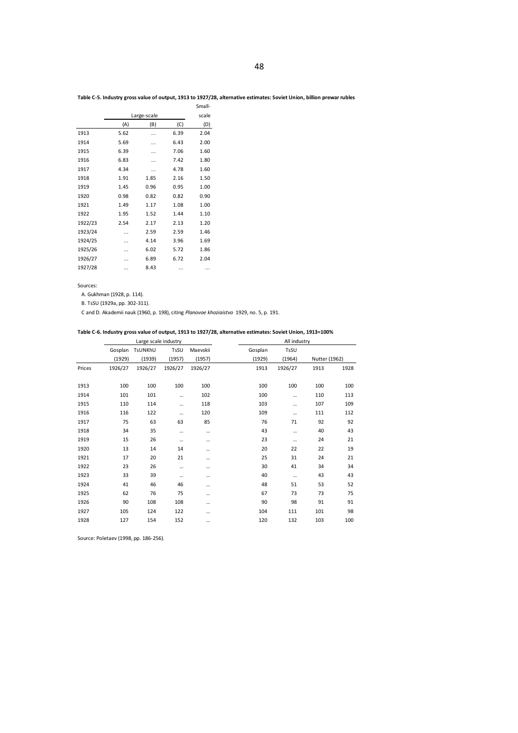### **Table C-5. Industry gross value of output, 1913 to 1927/28, alternative estimates: Soviet Union, billion prewar rubles**

|         |      |             |      | Small- |
|---------|------|-------------|------|--------|
|         |      | Large-scale |      | scale  |
|         | (A)  | (B)         | (C)  | (D)    |
| 1913    | 5.62 |             | 6.39 | 2.04   |
| 1914    | 5.69 |             | 6.43 | 2.00   |
| 1915    | 6.39 |             | 7.06 | 1.60   |
| 1916    | 6.83 | .           | 7.42 | 1.80   |
| 1917    | 4.34 |             | 4.78 | 1.60   |
| 1918    | 1.91 | 1.85        | 2.16 | 1.50   |
| 1919    | 1.45 | 0.96        | 0.95 | 1.00   |
| 1920    | 0.98 | 0.82        | 0.82 | 0.90   |
| 1921    | 1.49 | 1.17        | 1.08 | 1.00   |
| 1922    | 1.95 | 1.52        | 1.44 | 1.10   |
| 1922/23 | 2.54 | 2.17        | 2.13 | 1.20   |
| 1923/24 |      | 2.59        | 2.59 | 1.46   |
| 1924/25 |      | 4.14        | 3.96 | 1.69   |
| 1925/26 |      | 6.02        | 5.72 | 1.86   |
| 1926/27 |      | 6.89        | 6.72 | 2.04   |
| 1927/28 |      | 8.43        |      |        |
|         |      |             |      |        |

Sources:

A. Gukhman (1928, p. 114).

B. TsSU (1929a, pp. 302-311).

C and D. Akademii nauk (1960, p. 198), citing *Planovoe khoziaistvo* 1929, no. 5, p. 191.

### **Table C-6. Industry gross value of output, 1913 to 1927/28, alternative estimates: Soviet Union, 1913=100%**

|        |         | Large scale industry |          |          |         | All industry |               |      |  |
|--------|---------|----------------------|----------|----------|---------|--------------|---------------|------|--|
|        | Gosplan | TsUNKhU              | TsSU     | Maevskii | Gosplan | TsSU         |               |      |  |
|        | (1929)  | (1939)               | (1957)   | (1957)   | (1929)  | (1964)       | Nutter (1962) |      |  |
| Prices | 1926/27 | 1926/27              | 1926/27  | 1926/27  | 1913    | 1926/27      | 1913          | 1928 |  |
| 1913   | 100     | 100                  | 100      | 100      | 100     | 100          | 100           | 100  |  |
| 1914   | 101     | 101                  |          | 102      | 100     |              | 110           | 113  |  |
| 1915   | 110     | 114                  |          | 118      | 103     |              | 107           | 109  |  |
| 1916   | 116     | 122                  | $\cdots$ | 120      | 109     |              | 111           | 112  |  |
| 1917   | 75      | 63                   | 63       | 85       | 76      | 71           | 92            | 92   |  |
| 1918   | 34      | 35                   | $\cdots$ |          | 43      |              | 40            | 43   |  |
| 1919   | 15      | 26                   | $\cdots$ |          | 23      |              | 24            | 21   |  |
| 1920   | 13      | 14                   | 14       |          | 20      | 22           | 22            | 19   |  |
| 1921   | 17      | 20                   | 21       |          | 25      | 31           | 24            | 21   |  |
| 1922   | 23      | 26                   | $\cdots$ |          | 30      | 41           | 34            | 34   |  |
| 1923   | 33      | 39                   | $\cdots$ |          | 40      | $\cdots$     | 43            | 43   |  |
| 1924   | 41      | 46                   | 46       |          | 48      | 51           | 53            | 52   |  |
| 1925   | 62      | 76                   | 75       |          | 67      | 73           | 73            | 75   |  |
| 1926   | 90      | 108                  | 108      |          | 90      | 98           | 91            | 91   |  |
| 1927   | 105     | 124                  | 122      |          | 104     | 111          | 101           | 98   |  |
| 1928   | 127     | 154                  | 152      |          | 120     | 132          | 103           | 100  |  |

Source: Poletaev (1998, pp. 186-256).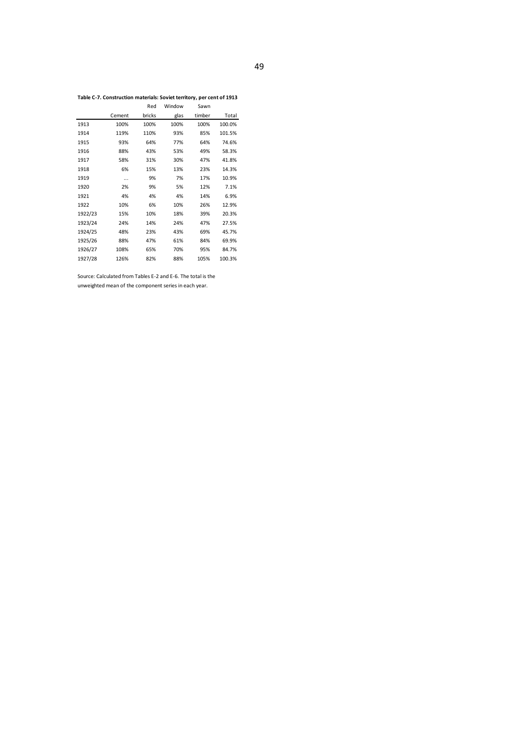**Table C-7. Construction materials: Soviet territory, per cent of 1913**

|         |        | Red    | Window | Sawn   |        |
|---------|--------|--------|--------|--------|--------|
|         | Cement | bricks | glas   | timber | Total  |
| 1913    | 100%   | 100%   | 100%   | 100%   | 100.0% |
| 1914    | 119%   | 110%   | 93%    | 85%    | 101.5% |
| 1915    | 93%    | 64%    | 77%    | 64%    | 74.6%  |
| 1916    | 88%    | 43%    | 53%    | 49%    | 58.3%  |
| 1917    | 58%    | 31%    | 30%    | 47%    | 41.8%  |
| 1918    | 6%     | 15%    | 13%    | 23%    | 14.3%  |
| 1919    |        | 9%     | 7%     | 17%    | 10.9%  |
| 1920    | 2%     | 9%     | 5%     | 12%    | 7.1%   |
| 1921    | 4%     | 4%     | 4%     | 14%    | 6.9%   |
| 1922    | 10%    | 6%     | 10%    | 26%    | 12.9%  |
| 1922/23 | 15%    | 10%    | 18%    | 39%    | 20.3%  |
| 1923/24 | 24%    | 14%    | 24%    | 47%    | 27.5%  |
| 1924/25 | 48%    | 23%    | 43%    | 69%    | 45.7%  |
| 1925/26 | 88%    | 47%    | 61%    | 84%    | 69.9%  |
| 1926/27 | 108%   | 65%    | 70%    | 95%    | 84.7%  |
| 1927/28 | 126%   | 82%    | 88%    | 105%   | 100.3% |

Source: Calculated from Tables E-2 and E-6. The total is the unweighted mean of the component series in each year.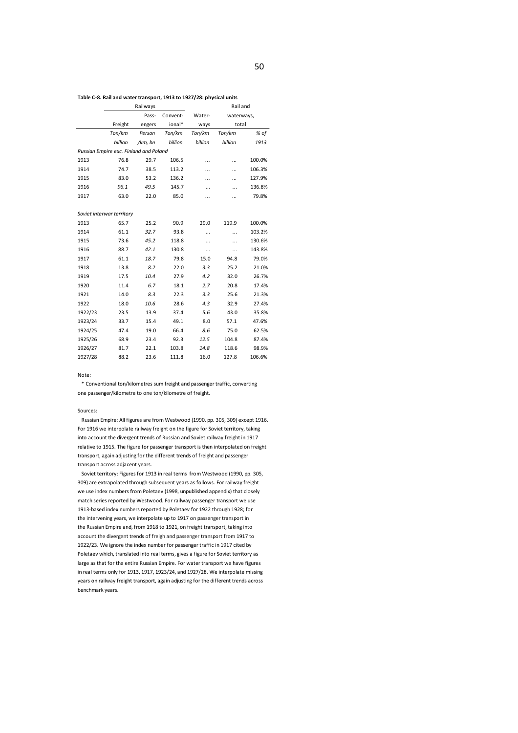### **Table C-8. Rail and water transport, 1913 to 1927/28: physical units**

|                                        |         | Railways |          | Rail and  |            |        |  |
|----------------------------------------|---------|----------|----------|-----------|------------|--------|--|
|                                        |         | Pass-    | Convent- | Water-    | waterways, |        |  |
|                                        | Freight | engers   | ional*   | ways      | total      |        |  |
|                                        | Ton/km  | Person   | Ton/km   | Ton/km    | Ton/km     | % of   |  |
|                                        | billion | /km, bn  | billion  | billion   | billion    | 1913   |  |
| Russian Empire exc. Finland and Poland |         |          |          |           |            |        |  |
| 1913                                   | 76.8    | 29.7     | 106.5    | .         |            | 100.0% |  |
| 1914                                   | 74.7    | 38.5     | 113.2    |           | .          | 106.3% |  |
| 1915                                   | 83.0    | 53.2     | 136.2    |           | .          | 127.9% |  |
| 1916                                   | 96.1    | 49.5     | 145.7    | .         | .          | 136.8% |  |
| 1917                                   | 63.0    | 22.0     | 85.0     |           |            | 79.8%  |  |
|                                        |         |          |          |           |            |        |  |
| Soviet interwar territory              |         |          |          |           |            |        |  |
| 1913                                   | 65.7    | 25.2     | 90.9     | 29.0      | 119.9      | 100.0% |  |
| 1914                                   | 61.1    | 32.7     | 93.8     |           |            | 103.2% |  |
| 1915                                   | 73.6    | 45.2     | 118.8    |           |            | 130.6% |  |
| 1916                                   | 88.7    | 42.1     | 130.8    | $\ddotsc$ |            | 143.8% |  |
| 1917                                   | 61.1    | 18.7     | 79.8     | 15.0      | 94.8       | 79.0%  |  |
| 1918                                   | 13.8    | 8.2      | 22.0     | 3.3       | 25.2       | 21.0%  |  |
| 1919                                   | 17.5    | 10.4     | 27.9     | 4.2       | 32.0       | 26.7%  |  |
| 1920                                   | 11.4    | 6.7      | 18.1     | 2.7       | 20.8       | 17.4%  |  |
| 1921                                   | 14.0    | 8.3      | 22.3     | 3.3       | 25.6       | 21.3%  |  |
| 1922                                   | 18.0    | 10.6     | 28.6     | 4.3       | 32.9       | 27.4%  |  |
| 1922/23                                | 23.5    | 13.9     | 37.4     | 5.6       | 43.0       | 35.8%  |  |
| 1923/24                                | 33.7    | 15.4     | 49.1     | 8.0       | 57.1       | 47.6%  |  |
| 1924/25                                | 47.4    | 19.0     | 66.4     | 8.6       | 75.0       | 62.5%  |  |
| 1925/26                                | 68.9    | 23.4     | 92.3     | 12.5      | 104.8      | 87.4%  |  |
| 1926/27                                | 81.7    | 22.1     | 103.8    | 14.8      | 118.6      | 98.9%  |  |
| 1927/28                                | 88.2    | 23.6     | 111.8    | 16.0      | 127.8      | 106.6% |  |

### Note:

\* Conventional ton/kilometres sum freight and passenger traffic, converting one passenger/kilometre to one ton/kilometre of freight.

### Sources:

Russian Empire: All figures are from Westwood (1990, pp. 305, 309) except 1916. For 1916 we interpolate railway freight on the figure for Soviet territory, taking into account the divergent trends of Russian and Soviet railway freight in 1917 relative to 1915. The figure for passenger transport is then interpolated on freight transport, again adjusting for the different trends of freight and passenger transport across adjacent years.

Soviet territory: Figures for 1913 in real terms from Westwood (1990, pp. 305, 309) are extrapolated through subsequent years as follows. For railway freight we use index numbers from Poletaev (1998, unpublished appendix) that closely match series reported by Westwood. For railway passenger transport we use 1913-based index numbers reported by Poletaev for 1922 through 1928; for the intervening years, we interpolate up to 1917 on passenger transport in the Russian Empire and, from 1918 to 1921, on freight transport, taking into account the divergent trends of freigh and passenger transport from 1917 to 1922/23. We ignore the index number for passenger traffic in 1917 cited by Poletaev which, translated into real terms, gives a figure for Soviet territory as large as that for the entire Russian Empire. For water transport we have figures in real terms only for 1913, 1917, 1923/24, and 1927/28. We interpolate missing years on railway freight transport, again adjusting for the different trends across benchmark years.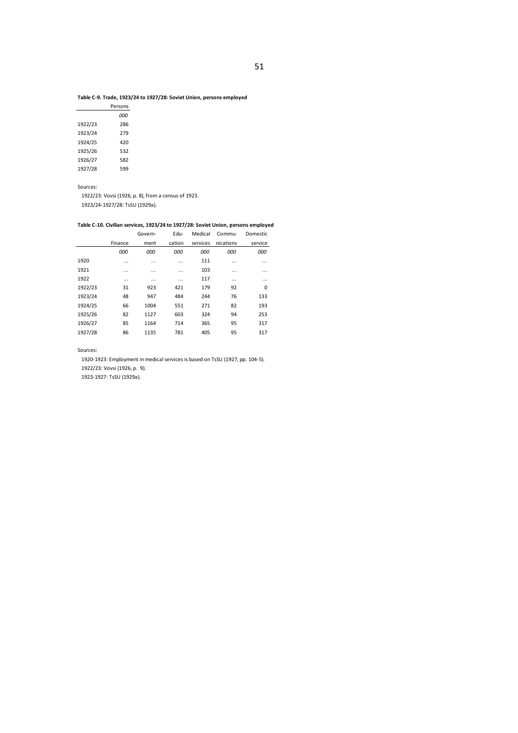### **Table C-9. Trade, 1923/24 to 1927/28: Soviet Union, persons employed**

|         | Persons |
|---------|---------|
|         | ooo     |
| 1922/23 | 286     |
| 1923/24 | 279     |
| 1924/25 | 420     |
| 1925/26 | 532     |
| 1926/27 | 582     |
| 1927/28 | 599     |

Sources:

1922/23: Vovsi (1926, p. 8), from a census of 1923.

1923/24-1927/28: TsSU (1929a).

### **Table C-10. Civilian services, 1923/24 to 1927/28: Soviet Union, persons employed**

|         |          | Govern-  | Edu-     | Medical  | Commu-    | <b>Domestic</b> |
|---------|----------|----------|----------|----------|-----------|-----------------|
|         | Finance  | ment     | cation   | services | nications | service         |
|         | 000      | 000      | 000      | 000      | 000       | 000             |
| 1920    |          | $\cdots$ |          | 111      |           | $\cdots$        |
| 1921    | $\cdots$ | $\cdots$ | $\cdots$ | 103      | $\cdots$  | $\cdots$        |
| 1922    | $\cdots$ | $\cdots$ | $\cdots$ | 117      |           | $\cdots$        |
| 1922/23 | 31       | 923      | 421      | 179      | 92        | 0               |
| 1923/24 | 48       | 947      | 484      | 244      | 76        | 133             |
| 1924/25 | 66       | 1004     | 551      | 271      | 82        | 193             |
| 1925/26 | 82       | 1127     | 603      | 324      | 94        | 253             |
| 1926/27 | 85       | 1164     | 714      | 365      | 95        | 317             |
| 1927/28 | 86       | 1135     | 781      | 405      | 95        | 317             |

Sources:

1920-1923: Employment in medical services is based on TsSU (1927, pp. 104-5).

1922/23: Vovsi (1926, p. 9).

1923-1927: TsSU (1929a).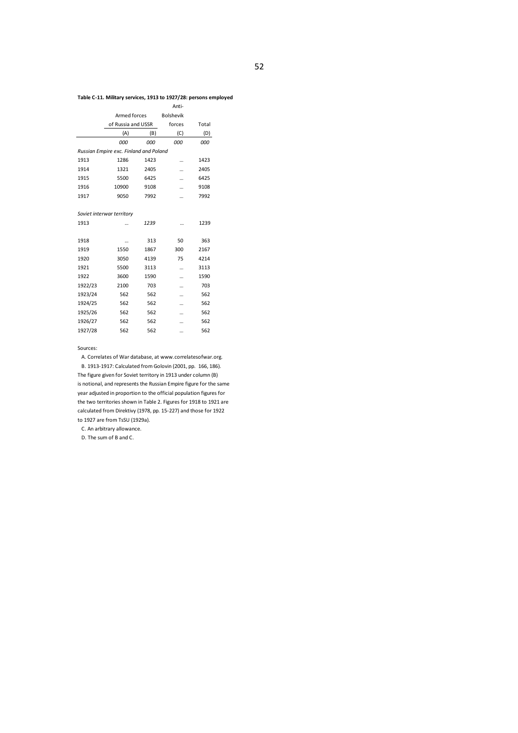### **Table C-11. Military services, 1913 to 1927/28: persons employed**

|                                        | Armed forces              |      | <b>Bolshevik</b> |       |  |  |  |  |  |  |  |
|----------------------------------------|---------------------------|------|------------------|-------|--|--|--|--|--|--|--|
|                                        | of Russia and USSR        |      | forces           | Total |  |  |  |  |  |  |  |
|                                        | (A)                       | (B)  | (C)              | (D)   |  |  |  |  |  |  |  |
|                                        | 000                       | 000  | 000              | 000   |  |  |  |  |  |  |  |
| Russian Empire exc. Finland and Poland |                           |      |                  |       |  |  |  |  |  |  |  |
| 1913                                   | 1286                      | 1423 |                  | 1423  |  |  |  |  |  |  |  |
| 1914                                   | 1321                      | 2405 | .                | 2405  |  |  |  |  |  |  |  |
| 1915                                   | 5500                      | 6425 |                  | 6425  |  |  |  |  |  |  |  |
| 1916                                   | 10900                     | 9108 |                  | 9108  |  |  |  |  |  |  |  |
| 1917                                   | 9050                      | 7992 |                  | 7992  |  |  |  |  |  |  |  |
|                                        |                           |      |                  |       |  |  |  |  |  |  |  |
|                                        | Soviet interwar territory |      |                  |       |  |  |  |  |  |  |  |
| 1913                                   |                           | 1239 | $\ddotsc$        | 1239  |  |  |  |  |  |  |  |
|                                        |                           |      |                  |       |  |  |  |  |  |  |  |
| 1918                                   |                           | 313  | 50               | 363   |  |  |  |  |  |  |  |
| 1919                                   | 1550                      | 1867 | 300              | 2167  |  |  |  |  |  |  |  |
| 1920                                   | 3050                      | 4139 | 75               | 4214  |  |  |  |  |  |  |  |
| 1921                                   | 5500                      | 3113 |                  | 3113  |  |  |  |  |  |  |  |
| 1922                                   | 3600                      | 1590 |                  | 1590  |  |  |  |  |  |  |  |
| 1922/23                                | 2100                      | 703  |                  | 703   |  |  |  |  |  |  |  |
| 1923/24                                | 562                       | 562  |                  | 562   |  |  |  |  |  |  |  |
| 1924/25                                | 562                       | 562  |                  | 562   |  |  |  |  |  |  |  |
| 1925/26                                | 562                       | 562  |                  | 562   |  |  |  |  |  |  |  |
| 1926/27                                | 562                       | 562  |                  | 562   |  |  |  |  |  |  |  |
| 1927/28                                | 562                       | 562  |                  | 562   |  |  |  |  |  |  |  |

### Sources:

A. Correlates of War database, at www.correlatesofwar.org. B. 1913-1917: Calculated from Golovin (2001, pp. 166, 186). The figure given for Soviet territory in 1913 under column (B) is notional, and represents the Russian Empire figure for the same year adjusted in proportion to the official population figures for the two territories shown in Table 2. Figures for 1918 to 1921 are calculated from Direktivy (1978, pp. 15-227) and those for 1922 to 1927 are from TsSU (1929a).

C. An arbitrary allowance.

D. The sum of B and C.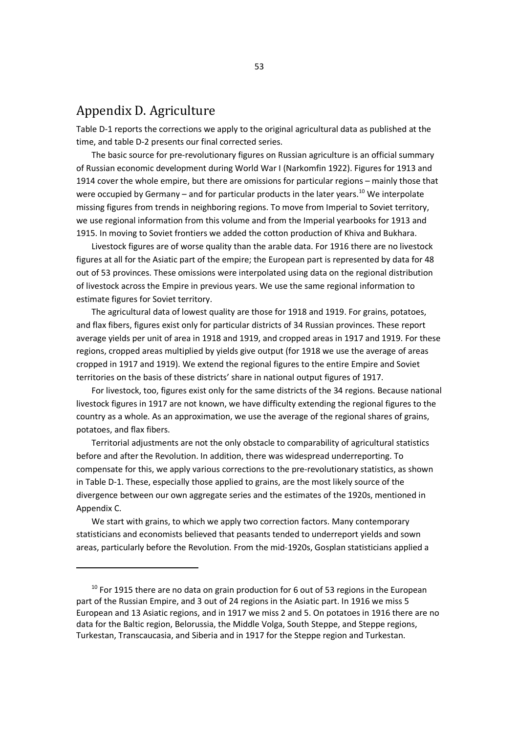## Appendix D. Agriculture

Table D-1 reports the corrections we apply to the original agricultural data as published at the time, and table D-2 presents our final corrected series.

The basic source for pre-revolutionary figures on Russian agriculture is an official summary of Russian economic development during World War I (Narkomfin 1922). Figures for 1913 and 1914 cover the whole empire, but there are omissions for particular regions – mainly those that were occupied by Germany – and for particular products in the later years.<sup>10</sup> We interpolate missing figures from trends in neighboring regions. To move from Imperial to Soviet territory, we use regional information from this volume and from the Imperial yearbooks for 1913 and 1915. In moving to Soviet frontiers we added the cotton production of Khiva and Bukhara.

Livestock figures are of worse quality than the arable data. For 1916 there are no livestock figures at all for the Asiatic part of the empire; the European part is represented by data for 48 out of 53 provinces. These omissions were interpolated using data on the regional distribution of livestock across the Empire in previous years. We use the same regional information to estimate figures for Soviet territory.

The agricultural data of lowest quality are those for 1918 and 1919. For grains, potatoes, and flax fibers, figures exist only for particular districts of 34 Russian provinces. These report average yields per unit of area in 1918 and 1919, and cropped areas in 1917 and 1919. For these regions, cropped areas multiplied by yields give output (for 1918 we use the average of areas cropped in 1917 and 1919). We extend the regional figures to the entire Empire and Soviet territories on the basis of these districts' share in national output figures of 1917.

For livestock, too, figures exist only for the same districts of the 34 regions. Because national livestock figures in 1917 are not known, we have difficulty extending the regional figures to the country as a whole. As an approximation, we use the average of the regional shares of grains, potatoes, and flax fibers.

Territorial adjustments are not the only obstacle to comparability of agricultural statistics before and after the Revolution. In addition, there was widespread underreporting. To compensate for this, we apply various corrections to the pre-revolutionary statistics, as shown in Table D-1. These, especially those applied to grains, are the most likely source of the divergence between our own aggregate series and the estimates of the 1920s, mentioned in Appendix C.

We start with grains, to which we apply two correction factors. Many contemporary statisticians and economists believed that peasants tended to underreport yields and sown areas, particularly before the Revolution. From the mid-1920s, Gosplan statisticians applied a

 $10$  For 1915 there are no data on grain production for 6 out of 53 regions in the European part of the Russian Empire, and 3 out of 24 regions in the Asiatic part. In 1916 we miss 5 European and 13 Asiatic regions, and in 1917 we miss 2 and 5. On potatoes in 1916 there are no data for the Baltic region, Belorussia, the Middle Volga, South Steppe, and Steppe regions, Turkestan, Transcaucasia, and Siberia and in 1917 for the Steppe region and Turkestan.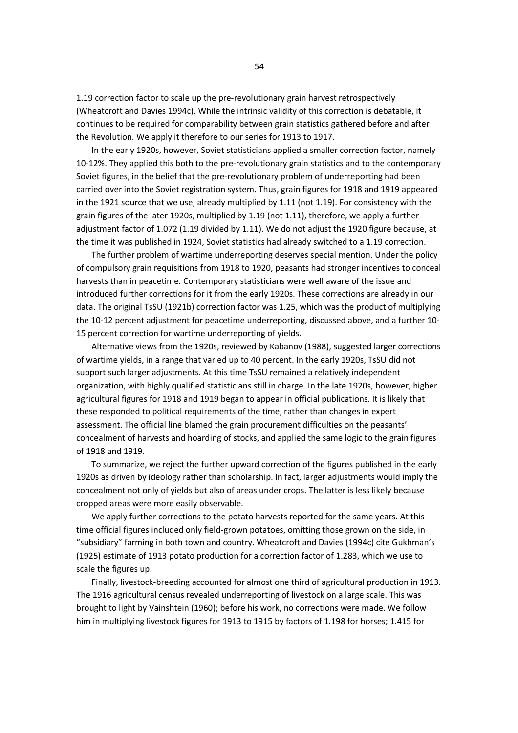1.19 correction factor to scale up the pre-revolutionary grain harvest retrospectively (Wheatcroft and Davies 1994c). While the intrinsic validity of this correction is debatable, it continues to be required for comparability between grain statistics gathered before and after the Revolution. We apply it therefore to our series for 1913 to 1917.

In the early 1920s, however, Soviet statisticians applied a smaller correction factor, namely 10-12%. They applied this both to the pre-revolutionary grain statistics and to the contemporary Soviet figures, in the belief that the pre-revolutionary problem of underreporting had been carried over into the Soviet registration system. Thus, grain figures for 1918 and 1919 appeared in the 1921 source that we use, already multiplied by 1.11 (not 1.19). For consistency with the grain figures of the later 1920s, multiplied by 1.19 (not 1.11), therefore, we apply a further adjustment factor of 1.072 (1.19 divided by 1.11). We do not adjust the 1920 figure because, at the time it was published in 1924, Soviet statistics had already switched to a 1.19 correction.

The further problem of wartime underreporting deserves special mention. Under the policy of compulsory grain requisitions from 1918 to 1920, peasants had stronger incentives to conceal harvests than in peacetime. Contemporary statisticians were well aware of the issue and introduced further corrections for it from the early 1920s. These corrections are already in our data. The original TsSU (1921b) correction factor was 1.25, which was the product of multiplying the 10-12 percent adjustment for peacetime underreporting, discussed above, and a further 10- 15 percent correction for wartime underreporting of yields.

Alternative views from the 1920s, reviewed by Kabanov (1988), suggested larger corrections of wartime yields, in a range that varied up to 40 percent. In the early 1920s, TsSU did not support such larger adjustments. At this time TsSU remained a relatively independent organization, with highly qualified statisticians still in charge. In the late 1920s, however, higher agricultural figures for 1918 and 1919 began to appear in official publications. It is likely that these responded to political requirements of the time, rather than changes in expert assessment. The official line blamed the grain procurement difficulties on the peasants' concealment of harvests and hoarding of stocks, and applied the same logic to the grain figures of 1918 and 1919.

To summarize, we reject the further upward correction of the figures published in the early 1920s as driven by ideology rather than scholarship. In fact, larger adjustments would imply the concealment not only of yields but also of areas under crops. The latter is less likely because cropped areas were more easily observable.

We apply further corrections to the potato harvests reported for the same years. At this time official figures included only field-grown potatoes, omitting those grown on the side, in "subsidiary" farming in both town and country. Wheatcroft and Davies (1994c) cite Gukhman's (1925) estimate of 1913 potato production for a correction factor of 1.283, which we use to scale the figures up.

Finally, livestock-breeding accounted for almost one third of agricultural production in 1913. The 1916 agricultural census revealed underreporting of livestock on a large scale. This was brought to light by Vainshtein (1960); before his work, no corrections were made. We follow him in multiplying livestock figures for 1913 to 1915 by factors of 1.198 for horses; 1.415 for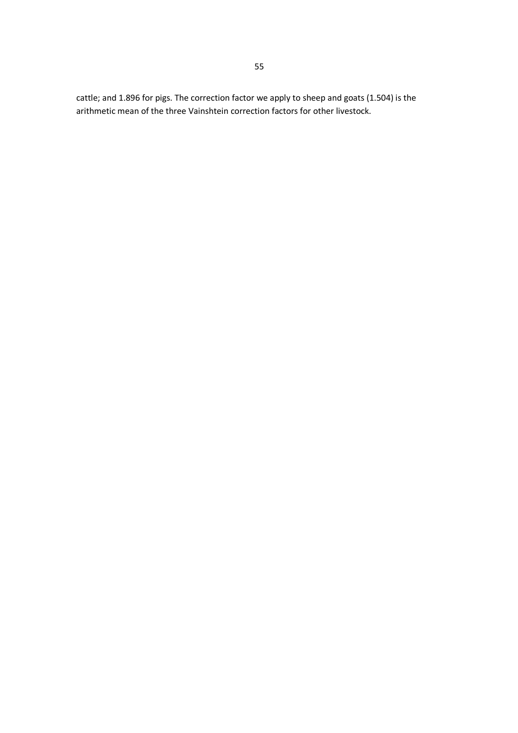cattle; and 1.896 for pigs. The correction factor we apply to sheep and goats (1.504) is the arithmetic mean of the three Vainshtein correction factors for other livestock.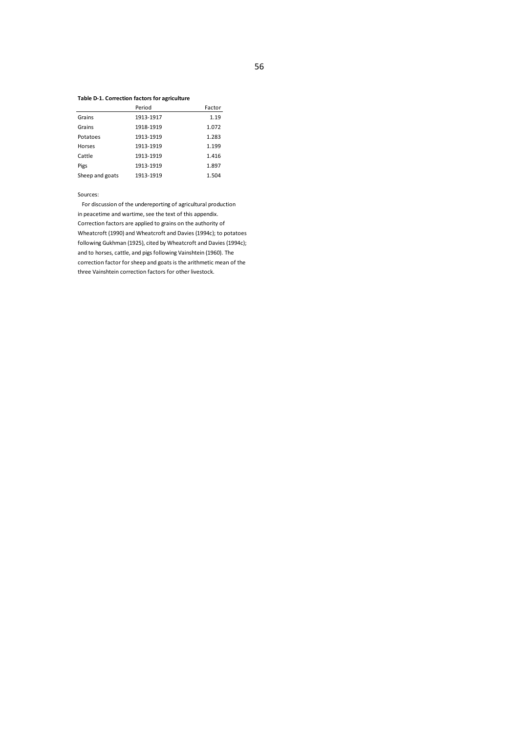### **Table D-1. Correction factors for agriculture**

|                 | Period    | Factor |
|-----------------|-----------|--------|
| Grains          | 1913-1917 | 1.19   |
| Grains          | 1918-1919 | 1.072  |
| Potatoes        | 1913-1919 | 1.283  |
| Horses          | 1913-1919 | 1.199  |
| Cattle          | 1913-1919 | 1.416  |
| Pigs            | 1913-1919 | 1.897  |
| Sheep and goats | 1913-1919 | 1.504  |

Sources:

For discussion of the undereporting of agricultural production in peacetime and wartime, see the text of this appendix. Correction factors are applied to grains on the authority of Wheatcroft (1990) and Wheatcroft and Davies (1994c); to potatoes following Gukhman (1925), cited by Wheatcroft and Davies (1994c); and to horses, cattle, and pigs following Vainshtein (1960). The correction factor for sheep and goats is the arithmetic mean of the three Vainshtein correction factors for other livestock.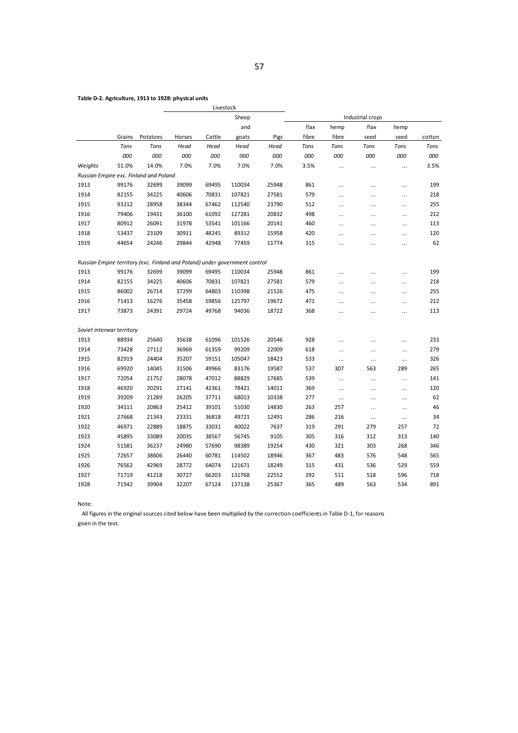### **Table D-2. Agriculture, 1913 to 1928: physical units**

|                           |        |                                                                             |        | Livestock |        |       |       |           |                  |           |        |
|---------------------------|--------|-----------------------------------------------------------------------------|--------|-----------|--------|-------|-------|-----------|------------------|-----------|--------|
|                           |        |                                                                             |        |           | Sheep  |       |       |           | Industrial crops |           |        |
|                           |        |                                                                             |        |           | and    |       | flax  | hemp      | flax             | hemp      |        |
|                           | Grains | Potatoes                                                                    | Horses | Cattle    | goats  | Pigs  | fibre | fibre     | seed             | seed      | cotton |
|                           | Tons   | Tons                                                                        | Head   | Head      | Head   | Head  | Tons  | Tons      | Tons             | Tons      | Tons   |
|                           | 000    | 000                                                                         | 000    | 000       | 000    | 000   | 000   | 000       | 000              | 000       | 000    |
| Weights                   | 51.0%  | 14.0%                                                                       | 7.0%   | 7.0%      | 7.0%   | 7.0%  | 3.5%  | $\cdots$  |                  | $\cdots$  | 3.5%   |
|                           |        | Russian Empire exc. Finland and Poland                                      |        |           |        |       |       |           |                  |           |        |
| 1913                      | 99176  | 32699                                                                       | 39099  | 69495     | 110034 | 25948 | 861   |           |                  |           | 199    |
| 1914                      | 82155  | 34225                                                                       | 40606  | 70831     | 107821 | 27581 | 579   | $\cdots$  |                  | $\cdots$  | 218    |
| 1915                      | 93212  | 28958                                                                       | 38344  | 67462     | 112540 | 23790 | 512   | $\cdots$  |                  | $\cdots$  | 255    |
| 1916                      | 79406  | 19431                                                                       | 36100  | 61092     | 127281 | 20832 | 498   | $\cdots$  |                  | $\cdots$  | 212    |
| 1917                      | 80912  | 26091                                                                       | 31978  | 53541     | 101166 | 20141 | 460   | $\cdots$  |                  | $\cdots$  | 113    |
| 1918                      | 53437  | 23109                                                                       | 30911  | 48245     | 89312  | 15958 | 420   |           |                  | $\cdots$  | 120    |
| 1919                      | 44654  | 24246                                                                       | 29844  | 42948     | 77459  | 11774 | 315   | $\cdots$  | $\cdots$         | $\cdots$  | 62     |
|                           |        | Russian Empire territory (exc. Finland and Poland) under government control |        |           |        |       |       |           |                  |           |        |
| 1913                      | 99176  | 32699                                                                       | 39099  | 69495     | 110034 | 25948 | 861   |           |                  |           | 199    |
| 1914                      | 82155  | 34225                                                                       | 40606  | 70831     | 107821 | 27581 | 579   | $\cdots$  |                  |           | 218    |
| 1915                      | 86002  | 26714                                                                       | 37299  | 64803     | 110398 | 21526 | 475   | $\cdots$  |                  |           | 255    |
| 1916                      | 71413  | 16276                                                                       | 35458  | 59856     | 125797 | 19672 | 471   | $\ddotsc$ | .                | $\ddotsc$ | 212    |
| 1917                      | 73873  | 24391                                                                       | 29724  | 49768     | 94036  | 18722 | 368   | $\cdots$  | .                | $\ddotsc$ | 113    |
| Soviet interwar territory |        |                                                                             |        |           |        |       |       |           |                  |           |        |
| 1913                      | 88934  | 25640                                                                       | 35638  | 61096     | 101526 | 20546 | 928   |           |                  |           | 233    |
| 1914                      | 73428  | 27112                                                                       | 36969  | 61359     | 99209  | 22009 | 618   | $\cdots$  |                  | $\cdots$  | 279    |
| 1915                      | 82919  | 24404                                                                       | 35207  | 59151     | 105047 | 18423 | 533   | $\cdots$  |                  |           | 326    |
| 1916                      | 69920  | 14045                                                                       | 31506  | 49966     | 83176  | 19587 | 537   | 307       | 563              | 289       | 265    |
| 1917                      | 72054  | 21752                                                                       | 28078  | 47012     | 88829  | 17685 | 539   | $\cdots$  | $\cdots$         | $\cdots$  | 141    |
| 1918                      | 46920  | 20291                                                                       | 27141  | 42361     | 78421  | 14011 | 369   | $\cdots$  |                  |           | 120    |
| 1919                      | 39209  | 21289                                                                       | 26205  | 37711     | 68013  | 10338 | 277   | $\cdots$  | $\ddotsc$        | $\ddotsc$ | 62     |
| 1920                      | 34111  | 20863                                                                       | 25412  | 39101     | 51030  | 14830 | 263   | 257       |                  | $\cdots$  | 46     |
| 1921                      | 27668  | 21343                                                                       | 23331  | 36818     | 49721  | 12491 | 286   | 216       | $\cdots$         | $\cdots$  | 34     |
| 1922                      | 46971  | 22889                                                                       | 18875  | 33031     | 40022  | 7637  | 319   | 291       | 279              | 257       | 72     |
| 1923                      | 45895  | 33089                                                                       | 20035  | 38567     | 56745  | 9105  | 305   | 316       | 312              | 313       | 140    |
| 1924                      | 51581  | 36237                                                                       | 24980  | 57690     | 98389  | 19254 | 430   | 321       | 303              | 268       | 346    |
| 1925                      | 72657  | 38606                                                                       | 26440  | 60781     | 114502 | 18946 | 367   | 483       | 576              | 548       | 565    |
| 1926                      | 76562  | 42969                                                                       | 28772  | 64074     | 121671 | 18249 | 315   | 431       | 536              | 529       | 559    |
| 1927                      | 71719  | 41218                                                                       | 30727  | 66203     | 131768 | 22552 | 292   | 511       | 518              | 596       | 718    |
| 1928                      | 71542  | 39904                                                                       | 32207  | 67124     | 137138 | 25367 | 365   | 489       | 563              | 534       | 891    |
|                           |        |                                                                             |        |           |        |       |       |           |                  |           |        |

Note:

All figures in the original sources cited below have been multiplied by the correction coefficients in Table D-1, for reasons

given in the text.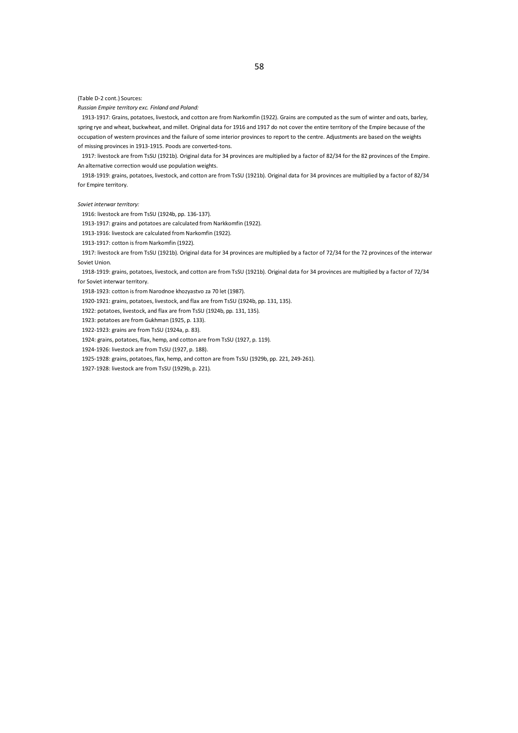(Table D-2 cont.) Sources:

*Russian Empire territory exc. Finland and Poland:*

1913-1917: Grains, potatoes, livestock, and cotton are from Narkomfin (1922). Grains are computed as the sum of winter and oats, barley, spring rye and wheat, buckwheat, and millet. Original data for 1916 and 1917 do not cover the entire territory of the Empire because of the occupation of western provinces and the failure of some interior provinces to report to the centre. Adjustments are based on the weights of missing provinces in 1913-1915. Poods are converted-tons.

1917: livestock are from TsSU (1921b). Original data for 34 provinces are multiplied by a factor of 82/34 for the 82 provinces of the Empire. An alternative correction would use population weights.

1918-1919: grains, potatoes, livestock, and cotton are from TsSU (1921b). Original data for 34 provinces are multiplied by a factor of 82/34 for Empire territory.

*Soviet interwar territory:*

1916: livestock are from TsSU (1924b, pp. 136-137).

1913-1917: grains and potatoes are calculated from Narkkomfin (1922).

1913-1916: livestock are calculated from Narkomfin (1922).

1913-1917: cotton is from Narkomfin (1922).

1917: livestock are from TsSU (1921b). Original data for 34 provinces are multiplied by a factor of 72/34 for the 72 provinces of the interwar Soviet Union.

1918-1919: grains, potatoes, livestock, and cotton are from TsSU (1921b). Original data for 34 provinces are multiplied by a factor of 72/34 for Soviet interwar territory.

1918-1923: cotton is from Narodnoe khozyastvo za 70 let (1987).

1920-1921: grains, potatoes, livestock, and flax are from TsSU (1924b, pp. 131, 135).

1922: potatoes, livestock, and flax are from TsSU (1924b, pp. 131, 135).

1923: potatoes are from Gukhman (1925, p. 133).

1922-1923: grains are from TsSU (1924a, p. 83).

1924: grains, potatoes, flax, hemp, and cotton are from TsSU (1927, p. 119).

1924-1926: livestock are from TsSU (1927, p. 188).

1925-1928: grains, potatoes, flax, hemp, and cotton are from TsSU (1929b, pp. 221, 249-261).

1927-1928: livestock are from TsSU (1929b, p. 221).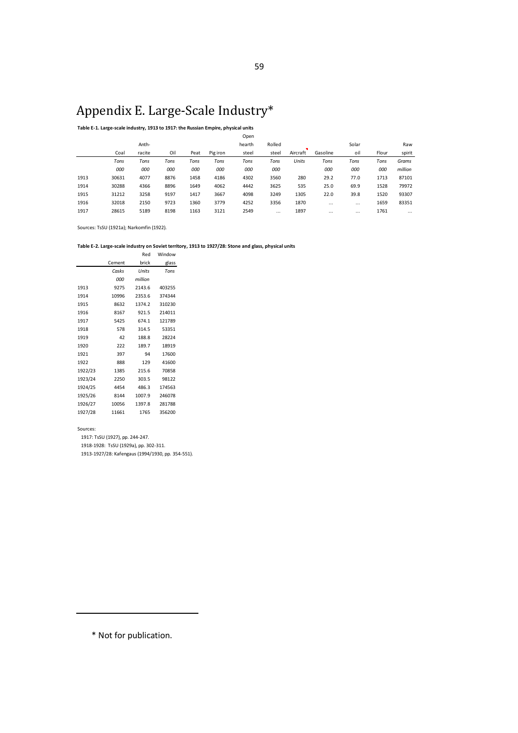# Appendix E. Large-Scale Industry\*

### **Table E-1. Large-scale industry, 1913 to 1917: the Russian Empire, physical units**

|      |       |        |      |      |          | Open   |          |          |          |          |       |          |
|------|-------|--------|------|------|----------|--------|----------|----------|----------|----------|-------|----------|
|      |       | Anth-  |      |      |          | hearth | Rolled   |          |          | Solar    |       | Raw      |
|      | Coal  | racite | Oil  | Peat | Pig iron | steel  | steel    | Aircraft | Gasoline | oil      | Flour | spirit   |
|      | Tons  | Tons   | Tons | Tons | Tons     | Tons   | Tons     | Units    | Tons     | Tons     | Tons  | Grams    |
|      | 000   | 000    | 000  | 000  | 000      | 000    | 000      |          | 000      | 000      | 000   | million  |
| 1913 | 30631 | 4077   | 8876 | 1458 | 4186     | 4302   | 3560     | 280      | 29.2     | 77.0     | 1713  | 87101    |
| 1914 | 30288 | 4366   | 8896 | 1649 | 4062     | 4442   | 3625     | 535      | 25.0     | 69.9     | 1528  | 79972    |
| 1915 | 31212 | 3258   | 9197 | 1417 | 3667     | 4098   | 3249     | 1305     | 22.0     | 39.8     | 1520  | 93307    |
| 1916 | 32018 | 2150   | 9723 | 1360 | 3779     | 4252   | 3356     | 1870     | $\cdots$ | $\cdots$ | 1659  | 83351    |
| 1917 | 28615 | 5189   | 8198 | 1163 | 3121     | 2549   | $\cdots$ | 1897     | $\cdots$ | $\cdots$ | 1761  | $\cdots$ |
|      |       |        |      |      |          |        |          |          |          |          |       |          |

Open

Sources: TsSU (1921a); Narkomfin (1922).

### **Table E-2. Large-scale industry on Soviet territory, 1913 to 1927/28: Stone and glass, physical units**

|         |        | Red     | Window |
|---------|--------|---------|--------|
|         | Cement | brick   | glass  |
|         | Casks  | Units   | Tons   |
|         | 000    | million |        |
| 1913    | 9275   | 2143.6  | 403255 |
| 1914    | 10996  | 2353.6  | 374344 |
| 1915    | 8632   | 1374.2  | 310230 |
| 1916    | 8167   | 921.5   | 214011 |
| 1917    | 5425   | 674.1   | 121789 |
| 1918    | 578    | 314.5   | 53351  |
| 1919    | 42     | 188.8   | 28224  |
| 1920    | 222    | 189.7   | 18919  |
| 1921    | 397    | 94      | 17600  |
| 1922    | 888    | 129     | 41600  |
| 1922/23 | 1385   | 215.6   | 70858  |
| 1923/24 | 2250   | 303.5   | 98122  |
| 1924/25 | 4454   | 486.3   | 174563 |
| 1925/26 | 8144   | 1007.9  | 246078 |
| 1926/27 | 10056  | 1397.8  | 281788 |
| 1927/28 | 11661  | 1765    | 356200 |
|         |        |         |        |

Sources:

1917: TsSU (1927), pp. 244-247.

1918-1928: TsSU (1929a), pp. 302-311.

1913-1927/28: Kafengaus (1994/1930, pp. 354-551).

\* Not for publication.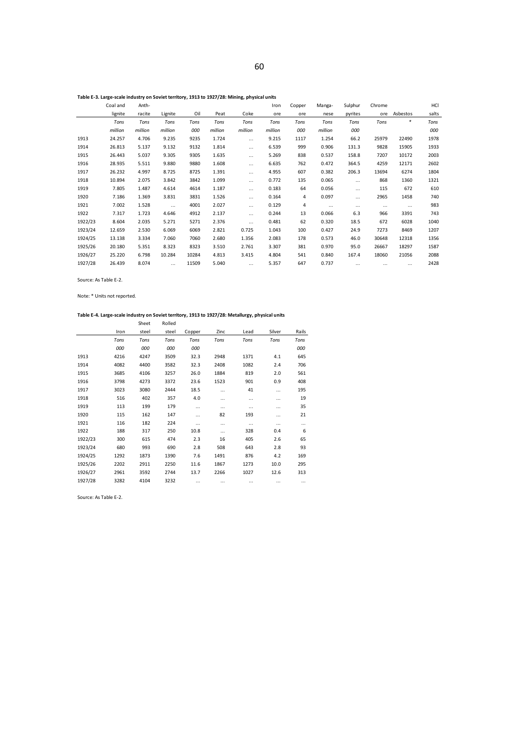|         | Coal and | Anth-   |          |       |         |          | Iron    | Copper | Manga-   | Sulphur  | Chrome   |          | HCI   |
|---------|----------|---------|----------|-------|---------|----------|---------|--------|----------|----------|----------|----------|-------|
|         | lignite  | racite  | Lignite  | Oil   | Peat    | Coke     | ore     | ore    | nese     | pyrites  | ore      | Asbestos | salts |
|         | Tons     | Tons    | Tons     | Tons  | Tons    | Tons     | Tons    | Tons   | Tons     | Tons     | Tons     | *        | Tons  |
|         | million  | million | million  | 000   | million | million  | million | 000    | million  | 000      |          |          | 000   |
| 1913    | 24.257   | 4.706   | 9.235    | 9235  | 1.724   |          | 9.215   | 1117   | 1.254    | 66.2     | 25979    | 22490    | 1978  |
| 1914    | 26.813   | 5.137   | 9.132    | 9132  | 1.814   | $\cdots$ | 6.539   | 999    | 0.906    | 131.3    | 9828     | 15905    | 1933  |
| 1915    | 26.443   | 5.037   | 9.305    | 9305  | 1.635   | $\cdots$ | 5.269   | 838    | 0.537    | 158.8    | 7207     | 10172    | 2003  |
| 1916    | 28.935   | 5.511   | 9.880    | 9880  | 1.608   | $\cdots$ | 6.635   | 762    | 0.472    | 364.5    | 4259     | 12171    | 2602  |
| 1917    | 26.232   | 4.997   | 8.725    | 8725  | 1.391   | $\cdots$ | 4.955   | 607    | 0.382    | 206.3    | 13694    | 6274     | 1804  |
| 1918    | 10.894   | 2.075   | 3.842    | 3842  | 1.099   |          | 0.772   | 135    | 0.065    | $\cdots$ | 868      | 1360     | 1321  |
| 1919    | 7.805    | 1.487   | 4.614    | 4614  | 1.187   | $\cdots$ | 0.183   | 64     | 0.056    | $\cdots$ | 115      | 672      | 610   |
| 1920    | 7.186    | 1.369   | 3.831    | 3831  | 1.526   |          | 0.164   | 4      | 0.097    | $\cdots$ | 2965     | 1458     | 740   |
| 1921    | 7.002    | 1.528   | $\cdots$ | 4001  | 2.027   | $\cdots$ | 0.129   | 4      | $\cdots$ | $\cdots$ | $\cdots$ | $\cdots$ | 983   |
| 1922    | 7.317    | 1.723   | 4.646    | 4912  | 2.137   | $\cdots$ | 0.244   | 13     | 0.066    | 6.3      | 966      | 3391     | 743   |
| 1922/23 | 8.604    | 2.035   | 5.271    | 5271  | 2.376   | $\cdots$ | 0.481   | 62     | 0.320    | 18.5     | 672      | 6028     | 1040  |
| 1923/24 | 12.659   | 2.530   | 6.069    | 6069  | 2.821   | 0.725    | 1.043   | 100    | 0.427    | 24.9     | 7273     | 8469     | 1207  |
| 1924/25 | 13.138   | 3.334   | 7.060    | 7060  | 2.680   | 1.356    | 2.083   | 178    | 0.573    | 46.0     | 30648    | 12318    | 1356  |
| 1925/26 | 20.180   | 5.351   | 8.323    | 8323  | 3.510   | 2.761    | 3.307   | 381    | 0.970    | 95.0     | 26667    | 18297    | 1587  |
| 1926/27 | 25.220   | 6.798   | 10.284   | 10284 | 4.813   | 3.415    | 4.804   | 541    | 0.840    | 167.4    | 18060    | 21056    | 2088  |
| 1927/28 | 26.439   | 8.074   | $\cdots$ | 11509 | 5.040   | $\cdots$ | 5.357   | 647    | 0.737    | $\cdots$ | $\cdots$ | $\cdots$ | 2428  |

Source: As Table E-2.

Note: \* Units not reported.

### **Table E-4. Large-scale industry on Soviet territory, 1913 to 1927/28: Metallurgy, physical units**

|         |      | Sheet | Rolled |          |          |      |        |       |
|---------|------|-------|--------|----------|----------|------|--------|-------|
|         | Iron | steel | steel  | Copper   | Zinc     | Lead | Silver | Rails |
|         | Tons | Tons  | Tons   | Tons     | Tons     | Tons | Tons   | Tons  |
|         | 000  | 000   | 000    | 000      |          |      |        | 000   |
| 1913    | 4216 | 4247  | 3509   | 32.3     | 2948     | 1371 | 4.1    | 645   |
| 1914    | 4082 | 4400  | 3582   | 32.3     | 2408     | 1082 | 2.4    | 706   |
| 1915    | 3685 | 4106  | 3257   | 26.0     | 1884     | 819  | 2.0    | 561   |
| 1916    | 3798 | 4273  | 3372   | 23.6     | 1523     | 901  | 0.9    | 408   |
| 1917    | 3023 | 3080  | 2444   | 18.5     |          | 41   |        | 195   |
| 1918    | 516  | 402   | 357    | 4.0      |          |      |        | 19    |
| 1919    | 113  | 199   | 179    | $\cdots$ |          |      |        | 35    |
| 1920    | 115  | 162   | 147    | .        | 82       | 193  |        | 21    |
| 1921    | 116  | 182   | 224    |          |          |      |        |       |
| 1922    | 188  | 317   | 250    | 10.8     |          | 328  | 0.4    | 6     |
| 1922/23 | 300  | 615   | 474    | 2.3      | 16       | 405  | 2.6    | 65    |
| 1923/24 | 680  | 993   | 690    | 2.8      | 508      | 643  | 2.8    | 93    |
| 1924/25 | 1292 | 1873  | 1390   | 7.6      | 1491     | 876  | 4.2    | 169   |
| 1925/26 | 2202 | 2911  | 2250   | 11.6     | 1867     | 1273 | 10.0   | 295   |
| 1926/27 | 2961 | 3592  | 2744   | 13.7     | 2266     | 1027 | 12.6   | 313   |
| 1927/28 | 3282 | 4104  | 3232   | $\cdots$ | $\cdots$ |      |        |       |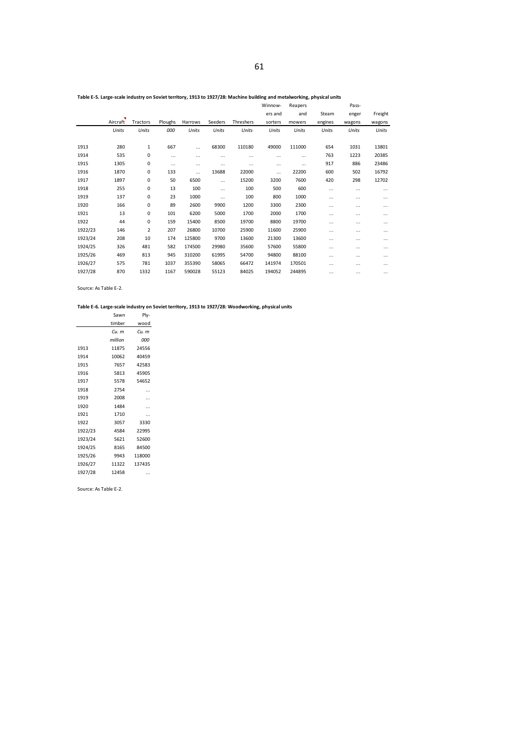|         |          |                |          |          |         |           | Winnow- | Reapers |          | Pass-  |         |
|---------|----------|----------------|----------|----------|---------|-----------|---------|---------|----------|--------|---------|
|         | ×        |                |          |          |         |           | ers and | and     | Steam    | enger  | Freight |
|         | Aircraft | Tractors       | Ploughs  | Harrows  | Seeders | Threshers | sorters | mowers  | engines  | wagons | wagons  |
|         | Units    | Units          | 000      | Units    | Units   | Units     | Units   | Units   | Units    | Units  | Units   |
|         |          |                |          |          |         |           |         |         |          |        |         |
| 1913    | 280      | 1              | 667      | $\cdots$ | 68300   | 110180    | 49000   | 111000  | 654      | 1031   | 13801   |
| 1914    | 535      | 0              | $\cdots$ | $\cdots$ |         |           |         |         | 763      | 1223   | 20385   |
| 1915    | 1305     | 0              | $\cdots$ | $\cdots$ |         |           |         |         | 917      | 886    | 23486   |
| 1916    | 1870     | 0              | 133      | $\cdots$ | 13688   | 22000     |         | 22200   | 600      | 502    | 16792   |
| 1917    | 1897     | 0              | 50       | 6500     |         | 15200     | 3200    | 7600    | 420      | 298    | 12702   |
| 1918    | 255      | 0              | 13       | 100      |         | 100       | 500     | 600     |          |        |         |
| 1919    | 137      | 0              | 23       | 1000     |         | 100       | 800     | 1000    |          |        |         |
| 1920    | 166      | 0              | 89       | 2600     | 9900    | 1200      | 3300    | 2300    |          |        |         |
| 1921    | 13       | 0              | 101      | 6200     | 5000    | 1700      | 2000    | 1700    |          |        |         |
| 1922    | 44       | 0              | 159      | 15400    | 8500    | 19700     | 8800    | 19700   |          |        |         |
| 1922/23 | 146      | $\overline{2}$ | 207      | 26800    | 10700   | 25900     | 11600   | 25900   |          |        |         |
| 1923/24 | 208      | 10             | 174      | 125800   | 9700    | 13600     | 21300   | 13600   |          |        |         |
| 1924/25 | 326      | 481            | 582      | 174500   | 29980   | 35600     | 57600   | 55800   |          |        |         |
| 1925/26 | 469      | 813            | 945      | 310200   | 61995   | 54700     | 94800   | 88100   |          |        |         |
| 1926/27 | 575      | 781            | 1037     | 355390   | 58065   | 66472     | 141974  | 170501  |          |        |         |
| 1927/28 | 870      | 1332           | 1167     | 590028   | 55123   | 84025     | 194052  | 244895  | $\cdots$ |        |         |

### **Table E-5. Large-scale industry on Soviet territory, 1913 to 1927/28: Machine building and metalworking, physical units**

Source: As Table E-2.

### **Table E-6. Large-scale industry on Soviet territory, 1913 to 1927/28: Woodworking, physical units**

|         | Sawn    | Ply-   |
|---------|---------|--------|
|         | timber  | wood   |
|         | Cи. т   | Cu. m  |
|         | million | ooo    |
| 1913    | 11875   | 24556  |
| 1914    | 10062   | 40459  |
| 1915    | 7657    | 42583  |
| 1916    | 5813    | 45905  |
| 1917    | 5578    | 54652  |
| 1918    | 2754    |        |
| 1919    | 2008    |        |
| 1920    | 1484    |        |
| 1921    | 1710    |        |
| 1922    | 3057    | 3330   |
| 1922/23 | 4584    | 22995  |
| 1923/24 | 5621    | 52600  |
| 1924/25 | 8165    | 84500  |
| 1925/26 | 9943    | 118000 |
| 1926/27 | 11322   | 137435 |
| 1927/28 | 12458   |        |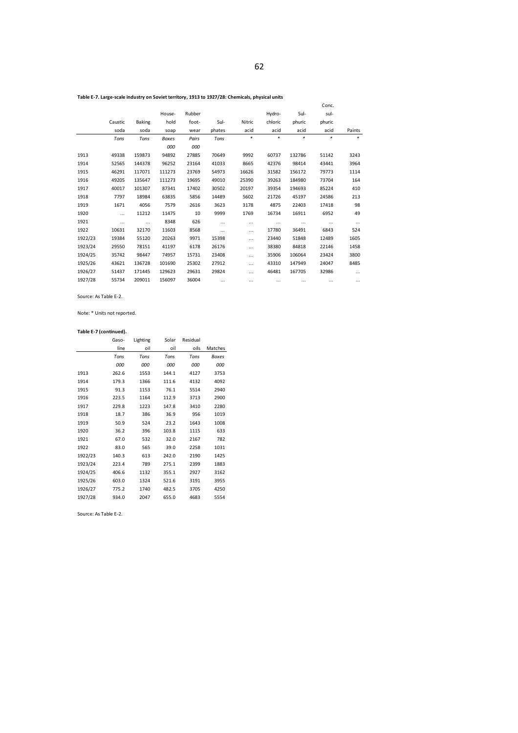**Table E-7. Large-scale industry on Soviet territory, 1913 to 1927/28: Chemicals, physical units**

|         |          |        |              |        |        |          |          |          | Conc.  |          |
|---------|----------|--------|--------------|--------|--------|----------|----------|----------|--------|----------|
|         |          |        | House-       | Rubber |        |          | Hydro-   | Sul-     | sul-   |          |
|         | Caustic  | Baking | hold         | foot-  | Sul-   | Nitric   | chloric  | phuric   | phuric |          |
|         | soda     | soda   | soap         | wear   | phates | acid     | acid     | acid     | acid   | Paints   |
|         | Tons     | Tons   | <b>Boxes</b> | Pairs  | Tons   | *        | $\ast$   | *        | $*$    | *        |
|         |          |        | 000          | 000    |        |          |          |          |        |          |
| 1913    | 49338    | 159873 | 94892        | 27885  | 70649  | 9992     | 60737    | 132786   | 51142  | 3243     |
| 1914    | 52565    | 144378 | 96252        | 23164  | 41033  | 8665     | 42376    | 98414    | 43441  | 3964     |
| 1915    | 46291    | 117071 | 111273       | 23769  | 54973  | 16626    | 31582    | 156172   | 79773  | 1114     |
| 1916    | 49205    | 135647 | 111273       | 19695  | 49010  | 25390    | 39263    | 184980   | 73704  | 164      |
| 1917    | 40017    | 101307 | 87341        | 17402  | 30502  | 20197    | 39354    | 194693   | 85224  | 410      |
| 1918    | 7797     | 18984  | 63835        | 5856   | 14489  | 5602     | 21726    | 45197    | 24586  | 213      |
| 1919    | 1671     | 4056   | 7579         | 2616   | 3623   | 3178     | 4875     | 22403    | 17418  | 98       |
| 1920    | $\cdots$ | 11212  | 11475        | 10     | 9999   | 1769     | 16734    | 16911    | 6952   | 49       |
| 1921    | $\cdots$ |        | 8348         | 626    |        |          | $\cdots$ | $\cdots$ |        |          |
| 1922    | 10631    | 32170  | 11603        | 8568   |        |          | 17780    | 36491    | 6843   | 524      |
| 1922/23 | 19384    | 55120  | 20263        | 9971   | 15398  | $\cdots$ | 23440    | 51848    | 12489  | 1605     |
| 1923/24 | 29550    | 78151  | 41197        | 6178   | 26176  |          | 38380    | 84818    | 22146  | 1458     |
| 1924/25 | 35742    | 98447  | 74957        | 15731  | 23408  |          | 35906    | 106064   | 23424  | 3800     |
| 1925/26 | 43621    | 136728 | 101690       | 25302  | 27912  |          | 43310    | 147949   | 24047  | 8485     |
| 1926/27 | 51437    | 171445 | 129623       | 29631  | 29824  |          | 46481    | 167705   | 32986  |          |
| 1927/28 | 55734    | 209011 | 156097       | 36004  |        |          |          |          |        | $\cdots$ |
|         |          |        |              |        |        |          |          |          |        |          |

Source: As Table E-2.

Note: \* Units not reported.

#### **Table E-7 (continued).**

|         | Gaso- | Lighting | Solar | Residual |              |
|---------|-------|----------|-------|----------|--------------|
|         | line  | oil      | oil   | oils     | Matches      |
|         | Tons  | Tons     | Tons  | Tons     | <b>Boxes</b> |
|         | 000   | 000      | 000   | 000      | 000          |
| 1913    | 262.6 | 1553     | 144.1 | 4127     | 3753         |
| 1914    | 179.3 | 1366     | 111.6 | 4132     | 4092         |
| 1915    | 91.3  | 1153     | 76.1  | 5514     | 2940         |
| 1916    | 223.5 | 1164     | 112.9 | 3713     | 2900         |
| 1917    | 229.8 | 1223     | 147.8 | 3410     | 2280         |
| 1918    | 18.7  | 386      | 36.9  | 956      | 1019         |
| 1919    | 50.9  | 524      | 23.2  | 1643     | 1008         |
| 1920    | 36.2  | 396      | 103.8 | 1115     | 633          |
| 1921    | 67.0  | 532      | 32.0  | 2167     | 782          |
| 1922    | 83.0  | 565      | 39.0  | 2258     | 1031         |
| 1922/23 | 140.3 | 613      | 242.0 | 2190     | 1425         |
| 1923/24 | 223.4 | 789      | 275.1 | 2399     | 1883         |
| 1924/25 | 406.6 | 1132     | 355.1 | 2927     | 3162         |
| 1925/26 | 603.0 | 1324     | 521.6 | 3191     | 3955         |
| 1926/27 | 775.2 | 1740     | 482.5 | 3705     | 4250         |
| 1927/28 | 934.0 | 2047     | 655.0 | 4683     | 5554         |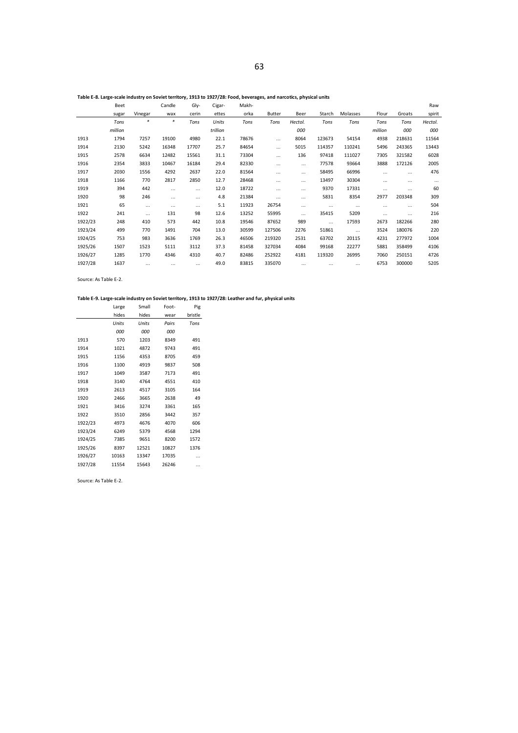#### **Table E-8. Large-scale industry on Soviet territory, 1913 to 1927/28: Food, beverages, and narcotics, physical units**

|         | Beet    |          | Candle   | Gly-     | Cigar-   | Makh- |          |          |          |          |          |          | Raw      |
|---------|---------|----------|----------|----------|----------|-------|----------|----------|----------|----------|----------|----------|----------|
|         | sugar   | Vinegar  | wax      | cerin    | ettes    | orka  | Butter   | Beer     | Starch   | Molasses | Flour    | Groats   | spirit   |
|         | Tons    | $\ast$   | $*$      | Tons     | Units    | Tons  | Tons     | Hectol.  | Tons     | Tons     | Tons     | Tons     | Hectol.  |
|         | million |          |          |          | trillion |       |          | 000      |          |          | million  | 000      | 000      |
| 1913    | 1794    | 7257     | 19100    | 4980     | 22.1     | 78676 | $\cdots$ | 8064     | 123673   | 54154    | 4938     | 218631   | 11564    |
| 1914    | 2130    | 5242     | 16348    | 17707    | 25.7     | 84654 |          | 5015     | 114357   | 110241   | 5496     | 243365   | 13443    |
| 1915    | 2578    | 6634     | 12482    | 15561    | 31.1     | 73304 | $\cdots$ | 136      | 97418    | 111027   | 7305     | 321582   | 6028     |
| 1916    | 2354    | 3833     | 10467    | 16184    | 29.4     | 82330 |          | $\cdots$ | 77578    | 93664    | 3888     | 172126   | 2005     |
| 1917    | 2030    | 1556     | 4292     | 2637     | 22.0     | 81564 | $\cdots$ | $\cdots$ | 58495    | 66996    | $\cdots$ | $\cdots$ | 476      |
| 1918    | 1166    | 770      | 2817     | 2850     | 12.7     | 28468 | $\cdots$ | $\cdots$ | 13497    | 30304    | $\cdots$ |          | $\cdots$ |
| 1919    | 394     | 442      | $\cdots$ | $\cdots$ | 12.0     | 18722 | $\cdots$ | $\cdots$ | 9370     | 17331    | $\cdots$ | .        | 60       |
| 1920    | 98      | 246      |          | $\cdots$ | 4.8      | 21384 | $\cdots$ | $\cdots$ | 5831     | 8354     | 2977     | 203348   | 309      |
| 1921    | 65      | $\cdots$ | $\cdots$ | $\cdots$ | 5.1      | 11923 | 26754    | $\cdots$ | $\cdots$ | $\cdots$ | $\cdots$ |          | 504      |
| 1922    | 241     | $\cdots$ | 131      | 98       | 12.6     | 13252 | 55995    | $\cdots$ | 35415    | 5209     | $\cdots$ | $\cdots$ | 216      |
| 1922/23 | 248     | 410      | 573      | 442      | 10.8     | 19546 | 87652    | 989      | $\cdots$ | 17593    | 2673     | 182266   | 280      |
| 1923/24 | 499     | 770      | 1491     | 704      | 13.0     | 30599 | 127506   | 2276     | 51861    | $\cdots$ | 3524     | 180076   | 220      |
| 1924/25 | 753     | 983      | 3636     | 1769     | 26.3     | 46506 | 219320   | 2531     | 63702    | 20115    | 4231     | 277972   | 1004     |
| 1925/26 | 1507    | 1523     | 5111     | 3112     | 37.3     | 81458 | 327034   | 4084     | 99168    | 22277    | 5881     | 358499   | 4106     |
| 1926/27 | 1285    | 1770     | 4346     | 4310     | 40.7     | 82486 | 252922   | 4181     | 119320   | 26995    | 7060     | 250151   | 4726     |
| 1927/28 | 1637    | $\cdots$ | $\cdots$ | $\cdots$ | 49.0     | 83815 | 335070   | $\cdots$ |          | $\cdots$ | 6753     | 300000   | 5205     |

Source: As Table E-2.

### **Table E-9. Large-scale industry on Soviet territory, 1913 to 1927/28: Leather and fur, physical units**

|         | Large | Small | Foot- | Pig     |
|---------|-------|-------|-------|---------|
|         | hides | hides | wear  | bristle |
|         | Units | Units | Pairs | Tons    |
|         | 000   | 000   | 000   |         |
| 1913    | 570   | 1203  | 8349  | 491     |
| 1914    | 1021  | 4872  | 9743  | 491     |
| 1915    | 1156  | 4353  | 8705  | 459     |
| 1916    | 1100  | 4919  | 9837  | 508     |
| 1917    | 1049  | 3587  | 7173  | 491     |
| 1918    | 3140  | 4764  | 4551  | 410     |
| 1919    | 2613  | 4517  | 3105  | 164     |
| 1920    | 2466  | 3665  | 2638  | 49      |
| 1921    | 3416  | 3274  | 3361  | 165     |
| 1922    | 3510  | 2856  | 3442  | 357     |
| 1922/23 | 4973  | 4676  | 4070  | 606     |
| 1923/24 | 6249  | 5379  | 4568  | 1294    |
| 1924/25 | 7385  | 9651  | 8200  | 1572    |
| 1925/26 | 8397  | 12521 | 10827 | 1376    |
| 1926/27 | 10163 | 13347 | 17035 |         |
| 1927/28 | 11554 | 15643 | 26246 |         |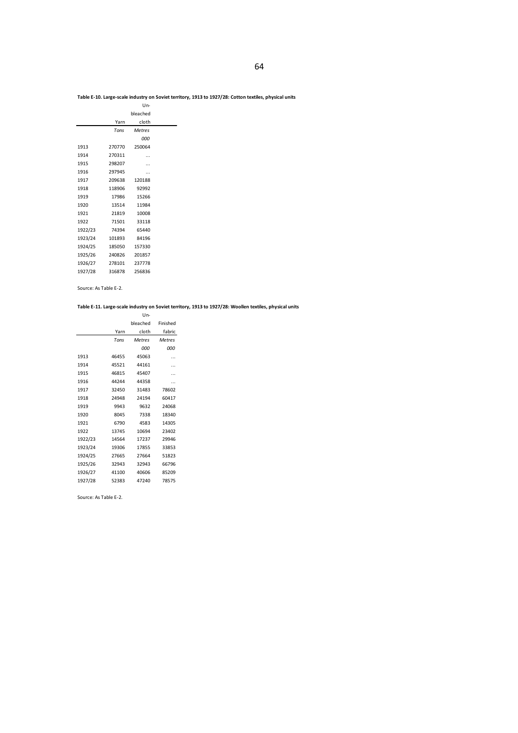### **Table E-10. Large-scale industry on Soviet territory, 1913 to 1927/28: Cotton textiles, physical units**

| $Un-$         |        |         |  |
|---------------|--------|---------|--|
| bleached      |        |         |  |
| cloth         | Yarn   |         |  |
| <b>Metres</b> | Tons   |         |  |
| 000           |        |         |  |
| 250064        | 270770 | 1913    |  |
|               | 270311 | 1914    |  |
|               | 298207 | 1915    |  |
|               | 297945 | 1916    |  |
| 120188        | 209638 | 1917    |  |
| 92992         | 118906 | 1918    |  |
| 15266         | 17986  | 1919    |  |
| 11984         | 13514  | 1920    |  |
| 10008         | 21819  | 1921    |  |
| 33118         | 71501  | 1922    |  |
| 65440         | 74394  | 1922/23 |  |
| 84196         | 101893 | 1923/24 |  |
| 157330        | 185050 | 1924/25 |  |
| 201857        | 240826 | 1925/26 |  |
| 237778        | 278101 | 1926/27 |  |
| 256836        | 316878 | 1927/28 |  |
|               |        |         |  |

### Source: As Table E-2.

### **Table E-11. Large-scale industry on Soviet territory, 1913 to 1927/28: Woollen textiles, physical units**

|         |       | $Un-$         |               |
|---------|-------|---------------|---------------|
|         |       | bleached      | Finished      |
|         | Yarn  | cloth         | fabric        |
|         | Tons  | <b>Metres</b> | <b>Metres</b> |
|         |       | 000           | 000           |
| 1913    | 46455 | 45063         | .             |
| 1914    | 45521 | 44161         |               |
| 1915    | 46815 | 45407         |               |
| 1916    | 44244 | 44358         | .             |
| 1917    | 32450 | 31483         | 78602         |
| 1918    | 24948 | 24194         | 60417         |
| 1919    | 9943  | 9632          | 24068         |
| 1920    | 8045  | 7338          | 18340         |
| 1921    | 6790  | 4583          | 14305         |
| 1922    | 13745 | 10694         | 23402         |
| 1922/23 | 14564 | 17237         | 29946         |
| 1923/24 | 19306 | 17855         | 33853         |
| 1924/25 | 27665 | 27664         | 51823         |
| 1925/26 | 32943 | 32943         | 66796         |
| 1926/27 | 41100 | 40606         | 85209         |
| 1927/28 | 52383 | 47240         | 78575         |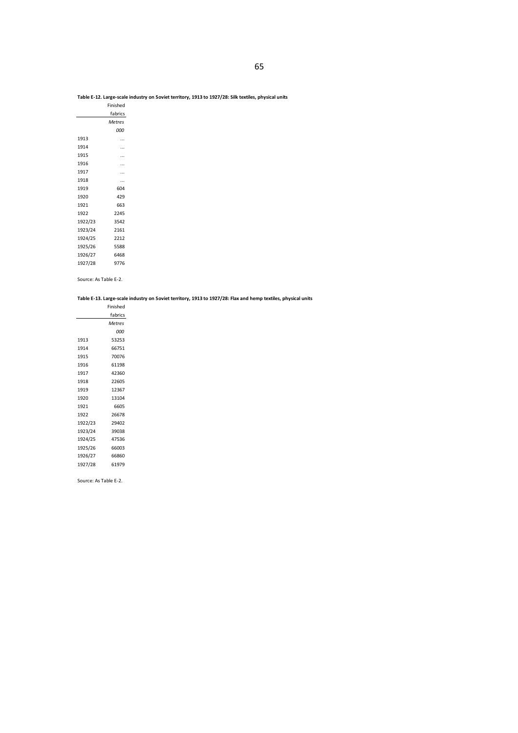### **Table E-12. Large-scale industry on Soviet territory, 1913 to 1927/28: Silk textiles, physical units**

|         | Finished  |
|---------|-----------|
|         | fabrics   |
|         | Metres    |
|         | ooo       |
| 1913    |           |
| 1914    |           |
| 1915    |           |
| 1916    | $\ddotsc$ |
| 1917    |           |
| 1918    |           |
| 1919    | 604       |
| 1920    | 429       |
| 1921    | 663       |
| 1922    | 2245      |
| 1922/23 | 3542      |
| 1923/24 | 2161      |
| 1924/25 | 2212      |
| 1925/26 | 5588      |
| 1926/27 | 6468      |
| 1927/28 | 9776      |

Source: As Table E-2.

### **Table E-13. Large-scale industry on Soviet territory, 1913 to 1927/28: Flax and hemp textiles, physical units**

|         | Finished      |
|---------|---------------|
|         | fabrics       |
|         | <b>Metres</b> |
|         | ooo           |
| 1913    | 53253         |
| 1914    | 66751         |
| 1915    | 70076         |
| 1916    | 61198         |
| 1917    | 42360         |
| 1918    | 22605         |
| 1919    | 12367         |
| 1920    | 13104         |
| 1921    | 6605          |
| 1922    | 26678         |
| 1922/23 | 29402         |
| 1923/24 | 39038         |
| 1924/25 | 47536         |
| 1925/26 | 66003         |
| 1926/27 | 66860         |
| 1927/28 | 61979         |
|         |               |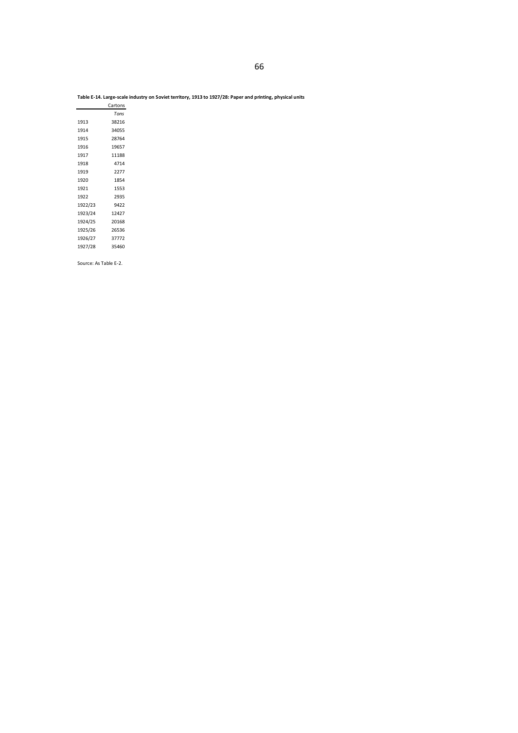### **Table E-14. Large-scale industry on Soviet territory, 1913 to 1927/28: Paper and printing, physical units**

|         | Cartons |
|---------|---------|
|         | Tons    |
| 1913    | 38216   |
| 1914    | 34055   |
| 1915    | 28764   |
| 1916    | 19657   |
| 1917    | 11188   |
| 1918    | 4714    |
| 1919    | 2277    |
| 1920    | 1854    |
| 1921    | 1553    |
| 1922    | 2935    |
| 1922/23 | 9422    |
| 1923/24 | 12427   |
| 1924/25 | 20168   |
| 1925/26 | 26536   |
| 1926/27 | 37772   |
| 1927/28 | 35460   |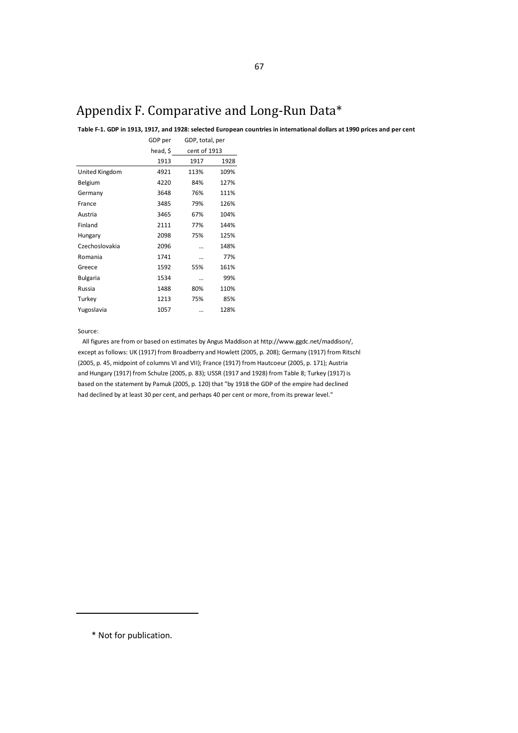# Appendix F. Comparative and Long-Run Data\*

**Table F-1. GDP in 1913, 1917, and 1928: selected European countries in international dollars at 1990 prices and per cent**

|                 | GDP per  | GDP, total, per |      |
|-----------------|----------|-----------------|------|
|                 | head, \$ | cent of 1913    |      |
|                 | 1913     | 1917            | 1928 |
| United Kingdom  | 4921     | 113%            | 109% |
| Belgium         | 4220     | 84%             | 127% |
| Germany         | 3648     | 76%             | 111% |
| France          | 3485     | 79%             | 126% |
| Austria         | 3465     | 67%             | 104% |
| Finland         | 2111     | 77%             | 144% |
| Hungary         | 2098     | 75%             | 125% |
| Czechoslovakia  | 2096     |                 | 148% |
| Romania         | 1741     |                 | 77%  |
| Greece          | 1592     | 55%             | 161% |
| <b>Bulgaria</b> | 1534     |                 | 99%  |
| Russia          | 1488     | 80%             | 110% |
| Turkey          | 1213     | 75%             | 85%  |
| Yugoslavia      | 1057     |                 | 128% |
|                 |          |                 |      |

Source:

All figures are from or based on estimates by Angus Maddison at http://www.ggdc.net/maddison/, except as follows: UK (1917) from Broadberry and Howlett (2005, p. 208); Germany (1917) from Ritschl (2005, p. 45, midpoint of columns VI and VII); France (1917) from Hautcoeur (2005, p. 171); Austria and Hungary (1917) from Schulze (2005, p. 83); USSR (1917 and 1928) from Table 8; Turkey (1917) is based on the statement by Pamuk (2005, p. 120) that "by 1918 the GDP of the empire had declined had declined by at least 30 per cent, and perhaps 40 per cent or more, from its prewar level."

\* Not for publication.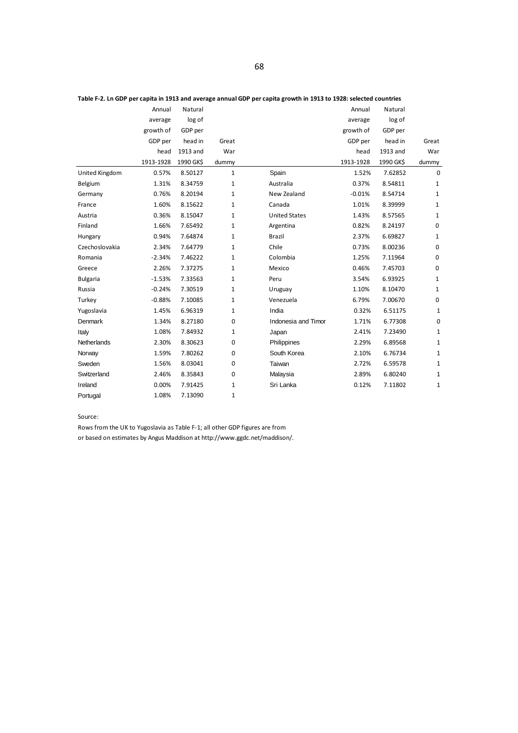|                 | Annual    | Natural   |              |                      | Annual    | Natural   |              |
|-----------------|-----------|-----------|--------------|----------------------|-----------|-----------|--------------|
|                 | average   | log of    |              |                      | average   | log of    |              |
|                 | growth of | GDP per   |              |                      | growth of | GDP per   |              |
|                 | GDP per   | head in   | Great        |                      | GDP per   | head in   | Great        |
|                 | head      | 1913 and  | War          |                      | head      | 1913 and  | War          |
|                 | 1913-1928 | 1990 GK\$ | dummy        |                      | 1913-1928 | 1990 GK\$ | dummy        |
| United Kingdom  | 0.57%     | 8.50127   | 1            | Spain                | 1.52%     | 7.62852   | $\Omega$     |
| Belgium         | 1.31%     | 8.34759   | $\mathbf{1}$ | Australia            | 0.37%     | 8.54811   | 1            |
| Germany         | 0.76%     | 8.20194   | $\mathbf{1}$ | New Zealand          | $-0.01%$  | 8.54714   | 1            |
| France          | 1.60%     | 8.15622   | $\mathbf{1}$ | Canada               | 1.01%     | 8.39999   | 1            |
| Austria         | 0.36%     | 8.15047   | $\mathbf{1}$ | <b>United States</b> | 1.43%     | 8.57565   | 1            |
| Finland         | 1.66%     | 7.65492   | $\mathbf{1}$ | Argentina            | 0.82%     | 8.24197   | 0            |
| Hungary         | 0.94%     | 7.64874   | 1            | <b>Brazil</b>        | 2.37%     | 6.69827   | 1            |
| Czechoslovakia  | 2.34%     | 7.64779   | 1            | Chile                | 0.73%     | 8.00236   | 0            |
| Romania         | $-2.34%$  | 7.46222   | $\mathbf{1}$ | Colombia             | 1.25%     | 7.11964   | 0            |
| Greece          | 2.26%     | 7.37275   | $\mathbf{1}$ | Mexico               | 0.46%     | 7.45703   | 0            |
| <b>Bulgaria</b> | $-1.53%$  | 7.33563   | $\mathbf{1}$ | Peru                 | 3.54%     | 6.93925   | 1            |
| Russia          | $-0.24%$  | 7.30519   | 1            | Uruguay              | 1.10%     | 8.10470   | 1            |
| Turkey          | $-0.88%$  | 7.10085   | 1            | Venezuela            | 6.79%     | 7.00670   | 0            |
| Yugoslavia      | 1.45%     | 6.96319   | $\mathbf{1}$ | India                | 0.32%     | 6.51175   | 1            |
| Denmark         | 1.34%     | 8.27180   | $\mathbf 0$  | Indonesia and Timor  | 1.71%     | 6.77308   | $\mathbf 0$  |
| Italy           | 1.08%     | 7.84932   | $\mathbf{1}$ | Japan                | 2.41%     | 7.23490   | $\mathbf{1}$ |
| Netherlands     | 2.30%     | 8.30623   | 0            | Philippines          | 2.29%     | 6.89568   | $\mathbf{1}$ |
| Norway          | 1.59%     | 7.80262   | $\mathbf 0$  | South Korea          | 2.10%     | 6.76734   | 1            |
| Sweden          | 1.56%     | 8.03041   | $\mathbf 0$  | Taiwan               | 2.72%     | 6.59578   | $\mathbf{1}$ |
| Switzerland     | 2.46%     | 8.35843   | $\mathbf 0$  | Malaysia             | 2.89%     | 6.80240   | $\mathbf{1}$ |
| Ireland         | 0.00%     | 7.91425   | $\mathbf{1}$ | Sri Lanka            | 0.12%     | 7.11802   | 1            |
| Portugal        | 1.08%     | 7.13090   | $\mathbf{1}$ |                      |           |           |              |

### Source:

Rows from the UK to Yugoslavia as Table F-1; all other GDP figures are from

or based on estimates by Angus Maddison at http://www.ggdc.net/maddison/.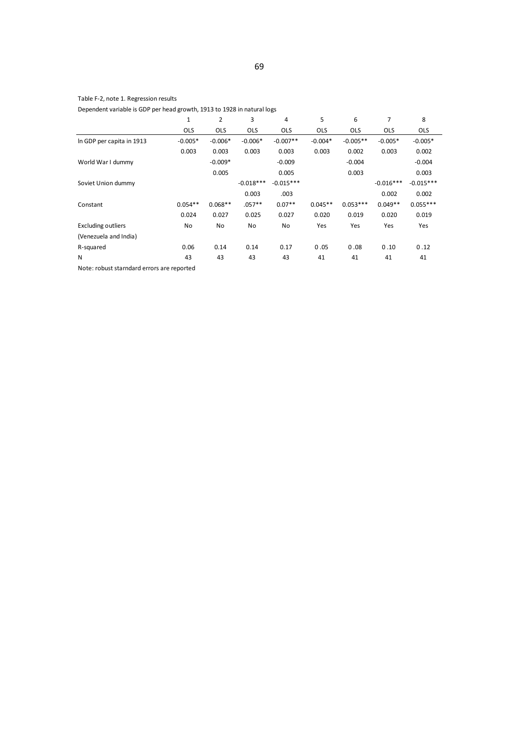## Table F-2, note 1. Regression results

Dependent variable is GDP per head growth, 1913 to 1928 in natural logs

|                                            | 1          | $\overline{2}$ | 3           | 4           | 5          | 6          | 7           | 8           |  |  |  |
|--------------------------------------------|------------|----------------|-------------|-------------|------------|------------|-------------|-------------|--|--|--|
|                                            | <b>OLS</b> | <b>OLS</b>     | <b>OLS</b>  | <b>OLS</b>  | <b>OLS</b> | <b>OLS</b> | <b>OLS</b>  | <b>OLS</b>  |  |  |  |
| In GDP per capita in 1913                  | $-0.005*$  | $-0.006*$      | $-0.006*$   | $-0.007**$  | $-0.004*$  | $-0.005**$ | $-0.005*$   | $-0.005*$   |  |  |  |
|                                            | 0.003      | 0.003          | 0.003       | 0.003       | 0.003      | 0.002      | 0.003       | 0.002       |  |  |  |
| World War I dummy                          |            | $-0.009*$      |             | $-0.009$    |            | $-0.004$   |             | $-0.004$    |  |  |  |
|                                            |            | 0.005          |             | 0.005       |            | 0.003      |             | 0.003       |  |  |  |
| Soviet Union dummy                         |            |                | $-0.018***$ | $-0.015***$ |            |            | $-0.016***$ | $-0.015***$ |  |  |  |
|                                            |            |                | 0.003       | .003        |            |            | 0.002       | 0.002       |  |  |  |
| Constant                                   | $0.054**$  | $0.068**$      | $.057**$    | $0.07**$    | $0.045**$  | $0.053***$ | $0.049**$   | $0.055***$  |  |  |  |
|                                            | 0.024      | 0.027          | 0.025       | 0.027       | 0.020      | 0.019      | 0.020       | 0.019       |  |  |  |
| <b>Excluding outliers</b>                  | <b>No</b>  | No             | No          | No          | Yes        | Yes        | Yes         | Yes         |  |  |  |
| (Venezuela and India)                      |            |                |             |             |            |            |             |             |  |  |  |
| R-squared                                  | 0.06       | 0.14           | 0.14        | 0.17        | 0.05       | 0.08       | 0.10        | 0.12        |  |  |  |
| N                                          | 43         | 43             | 43          | 43          | 41         | 41         | 41          | 41          |  |  |  |
| Note: robust starndard errors are reported |            |                |             |             |            |            |             |             |  |  |  |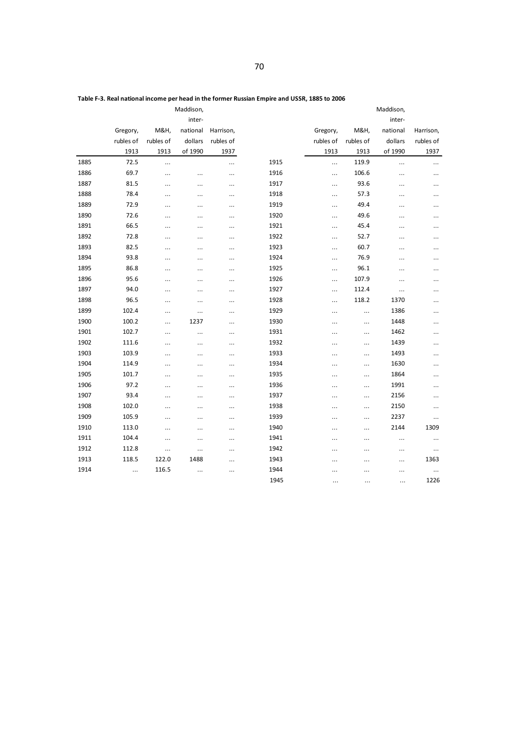|      |           |           | Maddison, |           |      |           | Maddison,       |           |           |
|------|-----------|-----------|-----------|-----------|------|-----------|-----------------|-----------|-----------|
|      |           |           | inter-    |           |      |           |                 | inter-    |           |
|      | Gregory,  | M&H,      | national  | Harrison, |      | Gregory,  | <b>M&amp;H,</b> | national  | Harrison, |
|      | rubles of | rubles of | dollars   | rubles of |      | rubles of | rubles of       | dollars   | rubles of |
|      | 1913      | 1913      | of 1990   | 1937      |      | 1913      | 1913            | of 1990   | 1937      |
| 1885 | 72.5      |           |           | $\ldots$  | 1915 |           | 119.9           |           |           |
| 1886 | 69.7      | $\cdots$  |           |           | 1916 | $\ldots$  | 106.6           |           |           |
| 1887 | 81.5      | $\cdots$  | .         | $\cdots$  | 1917 | $\ldots$  | 93.6            |           |           |
| 1888 | 78.4      |           | .         | $\cdots$  | 1918 | $\ldots$  | 57.3            |           |           |
| 1889 | 72.9      | $\cdots$  | $\cdots$  | $\ldots$  | 1919 |           | 49.4            |           | $\cdots$  |
| 1890 | 72.6      |           | .         |           | 1920 | $\ldots$  | 49.6            |           |           |
| 1891 | 66.5      | $\ddotsc$ | .         |           | 1921 | $\ldots$  | 45.4            | .         |           |
| 1892 | 72.8      |           | .         |           | 1922 | $\ldots$  | 52.7            | .         | .         |
| 1893 | 82.5      |           | .         |           | 1923 |           | 60.7            |           |           |
| 1894 | 93.8      |           | $\cdots$  | $\ldots$  | 1924 |           | 76.9            |           |           |
| 1895 | 86.8      |           | .         | $\cdots$  | 1925 |           | 96.1            |           |           |
| 1896 | 95.6      |           | .         |           | 1926 |           | 107.9           | .         | .         |
| 1897 | 94.0      |           | .         |           | 1927 | $\ldots$  | 112.4           | $\ddotsc$ |           |
| 1898 | 96.5      |           | .         |           | 1928 | $\ldots$  | 118.2           | 1370      |           |
| 1899 | 102.4     |           | .         | $\ldots$  | 1929 |           |                 | 1386      | $\cdots$  |
| 1900 | 100.2     |           | 1237      | $\ldots$  | 1930 |           |                 | 1448      |           |
| 1901 | 102.7     | $\cdots$  | $\cdots$  |           | 1931 |           | $\ldots$        | 1462      | .         |
| 1902 | 111.6     |           | .         |           | 1932 |           | $\ldots$        | 1439      |           |
| 1903 | 103.9     |           | .         |           | 1933 |           | $\ldots$        | 1493      | .         |
| 1904 | 114.9     | $\cdots$  | .         | $\ldots$  | 1934 |           | $\ldots$        | 1630      | .         |
| 1905 | 101.7     |           | .         |           | 1935 |           |                 | 1864      |           |
| 1906 | 97.2      | $\ldots$  | $\cdots$  | $\ldots$  | 1936 |           |                 | 1991      | $\cdots$  |
| 1907 | 93.4      |           | .         |           | 1937 |           | $\ldots$        | 2156      | .         |
| 1908 | 102.0     | $\cdots$  | .         |           | 1938 |           |                 | 2150      |           |
| 1909 | 105.9     |           | .         |           | 1939 |           | $\ldots$        | 2237      | $\cdots$  |
| 1910 | 113.0     |           | $\cdots$  |           | 1940 | $\ldots$  |                 | 2144      | 1309      |
| 1911 | 104.4     | $\ldots$  | .         | $\ldots$  | 1941 |           | $\ldots$        | $\cdots$  |           |
| 1912 | 112.8     | $\ldots$  | .         |           | 1942 |           |                 |           | $\cdots$  |
| 1913 | 118.5     | 122.0     | 1488      |           | 1943 | $\ddotsc$ |                 |           | 1363      |
| 1914 | $\ldots$  | 116.5     | .         |           | 1944 |           |                 |           | $\ldots$  |
|      |           |           |           |           | 1945 |           |                 |           | 1226      |

**Table F-3. Real national income per head in the former Russian Empire and USSR, 1885 to 2006**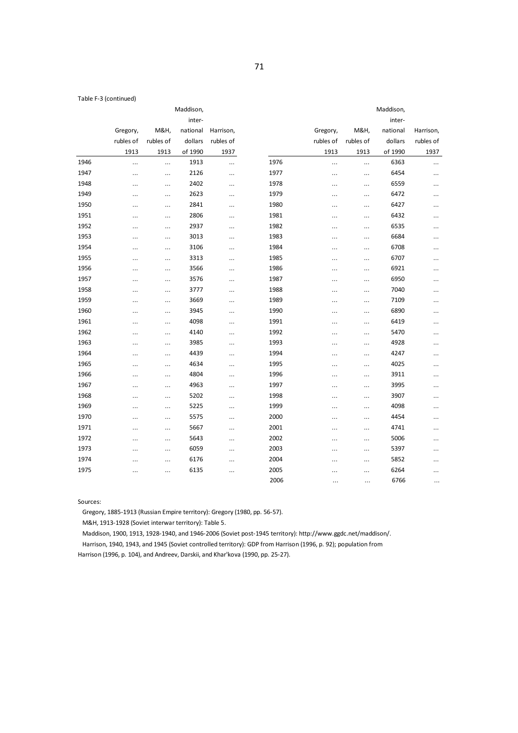Table F-3 (continued)

|      |           |                 | Maddison, |           |      |           |           |          |           |
|------|-----------|-----------------|-----------|-----------|------|-----------|-----------|----------|-----------|
|      |           |                 | inter-    |           |      |           |           | inter-   |           |
|      | Gregory,  | <b>M&amp;H,</b> | national  | Harrison, |      | Gregory,  | M&H,      | national | Harrison, |
|      | rubles of | rubles of       | dollars   | rubles of |      | rubles of | rubles of | dollars  | rubles of |
|      | 1913      | 1913            | of 1990   | 1937      |      | 1913      | 1913      | of 1990  | 1937      |
| 1946 | $\ldots$  |                 | 1913      | $\cdots$  | 1976 | $\ldots$  | $\ldots$  | 6363     | $\ldots$  |
| 1947 |           |                 | 2126      | $\ddotsc$ | 1977 |           |           | 6454     |           |
| 1948 | $\cdots$  |                 | 2402      | $\cdots$  | 1978 |           |           | 6559     | $\cdots$  |
| 1949 | $\ddots$  |                 | 2623      | $\ldots$  | 1979 |           |           | 6472     | $\ldots$  |
| 1950 | $\ldots$  |                 | 2841      | $\ldots$  | 1980 |           |           | 6427     | $\ldots$  |
| 1951 |           | $\ldots$        | 2806      | $\ddotsc$ | 1981 |           |           | 6432     |           |
| 1952 |           |                 | 2937      |           | 1982 |           | $\ldots$  | 6535     |           |
| 1953 | $\cdots$  | $\ldots$        | 3013      | $\cdots$  | 1983 |           | $\ldots$  | 6684     |           |
| 1954 | $\cdots$  | $\ldots$        | 3106      | $\ddotsc$ | 1984 |           | $\ldots$  | 6708     |           |
| 1955 | $\cdots$  |                 | 3313      | $\ddotsc$ | 1985 |           |           | 6707     | $\ldots$  |
| 1956 |           |                 | 3566      | $\ldots$  | 1986 |           |           | 6921     | $\cdots$  |
| 1957 | $\cdots$  |                 | 3576      |           | 1987 |           |           | 6950     | $\cdots$  |
| 1958 | $\cdots$  |                 | 3777      | $\ddotsc$ | 1988 |           |           | 7040     | $\cdots$  |
| 1959 |           |                 | 3669      | $\ldots$  | 1989 |           |           | 7109     |           |
| 1960 | $\cdots$  | $\cdots$        | 3945      | $\ldots$  | 1990 |           | $\ldots$  | 6890     | $\cdots$  |
| 1961 | $\ldots$  |                 | 4098      | $\cdots$  | 1991 |           |           | 6419     | $\ldots$  |
| 1962 |           |                 | 4140      | $\ldots$  | 1992 |           |           | 5470     | $\cdots$  |
| 1963 | $\cdots$  |                 | 3985      |           | 1993 |           | $\ldots$  | 4928     |           |
| 1964 | $\cdots$  |                 | 4439      |           | 1994 |           |           | 4247     |           |
| 1965 | $\cdots$  |                 | 4634      | $\ddotsc$ | 1995 |           | $\ldots$  | 4025     | $\cdots$  |
| 1966 | $\ldots$  |                 | 4804      | $\cdots$  | 1996 |           |           | 3911     | $\ldots$  |
| 1967 | $\cdots$  | $\cdots$        | 4963      | $\cdots$  | 1997 |           | $\ldots$  | 3995     | $\cdots$  |
| 1968 |           |                 | 5202      | $\cdots$  | 1998 |           |           | 3907     |           |
| 1969 | $\cdots$  |                 | 5225      | $\ldots$  | 1999 |           | $\ldots$  | 4098     | $\cdots$  |
| 1970 | $\cdots$  | $\ldots$        | 5575      | $\ldots$  | 2000 |           |           | 4454     |           |
| 1971 | $\ldots$  |                 | 5667      | $\ldots$  | 2001 |           |           | 4741     | $\ldots$  |
| 1972 | $\cdots$  | $\ldots$        | 5643      | $\cdots$  | 2002 | $\ldots$  |           | 5006     | $\cdots$  |
| 1973 | $\ddotsc$ |                 | 6059      | $\ldots$  | 2003 |           |           | 5397     |           |
| 1974 | $\ddotsc$ |                 | 6176      | $\ldots$  | 2004 |           |           | 5852     |           |
| 1975 | $\cdots$  |                 | 6135      | $\ddotsc$ | 2005 |           |           | 6264     |           |
|      |           |                 |           |           | 2006 | $\cdots$  |           | 6766     |           |

Sources:

Gregory, 1885-1913 (Russian Empire territory): Gregory (1980, pp. 56-57).

M&H, 1913-1928 (Soviet interwar territory): Table 5.

Maddison, 1900, 1913, 1928-1940, and 1946-2006 (Soviet post-1945 territory): http://www.ggdc.net/maddison/.

Harrison, 1940, 1943, and 1945 (Soviet controlled territory): GDP from Harrison (1996, p. 92); population from

Harrison (1996, p. 104), and Andreev, Darskii, and Khar'kova (1990, pp. 25-27).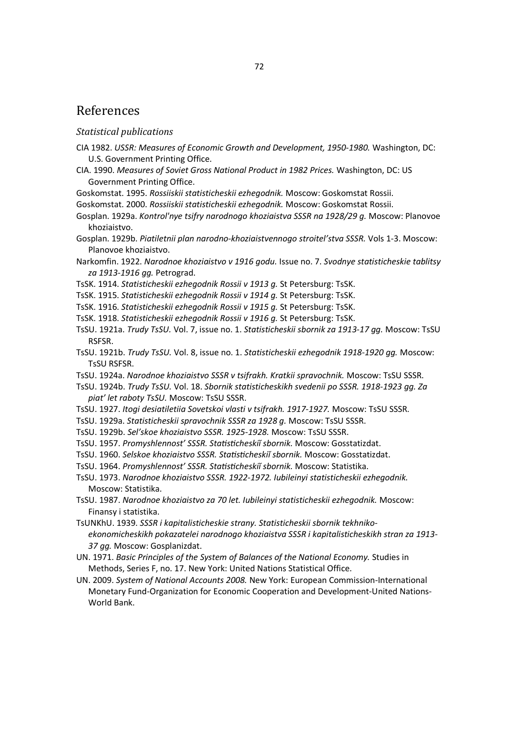## References

## *Statistical publications*

- CIA 1982. *USSR: Measures of Economic Growth and Development, 1950-1980.* Washington, DC: U.S. Government Printing Office.
- CIA. 1990. *Measures of Soviet Gross National Product in 1982 Prices.* Washington, DC: US Government Printing Office.
- Goskomstat. 1995. *Rossiiskii statisticheskii ezhegodnik.* Moscow: Goskomstat Rossii.
- Goskomstat. 2000. *Rossiiskii statisticheskii ezhegodnik.* Moscow: Goskomstat Rossii.
- Gosplan. 1929a. *Kontrol'nye tsifry narodnogo khoziaistva SSSR na 1928/29 g.* Moscow: Planovoe khoziaistvo.
- Gosplan. 1929b. *Piatiletnii plan narodno-khoziaistvennogo stroitel'stva SSSR.* Vols 1-3. Moscow: Planovoe khoziaistvo.
- Narkomfin. 1922. *Narodnoe khoziaistvo v 1916 godu.* Issue no. 7. *Svodnye statisticheskie tablitsy za 1913-1916 gg.* Petrograd.
- TsSK. 1914. *Statisticheskii ezhegodnik Rossii v 1913 g.* St Petersburg: TsSK.
- TsSK. 1915. *Statisticheskii ezhegodnik Rossii v 1914 g.* St Petersburg: TsSK.
- TsSK. 1916. *Statisticheskii ezhegodnik Rossii v 1915 g.* St Petersburg: TsSK.
- TsSK. 1918. *Statisticheskii ezhegodnik Rossii v 1916 g.* St Petersburg: TsSK.
- TsSU. 1921a. *Trudy TsSU.* Vol. 7, issue no. 1. *Statisticheskii sbornik za 1913-17 gg.* Moscow: TsSU RSFSR.
- TsSU. 1921b. *Trudy TsSU.* Vol. 8, issue no. 1. *Statisticheskii ezhegodnik 1918-1920 gg.* Moscow: TsSU RSFSR.
- TsSU. 1924a. *Narodnoe khoziaistvo SSSR v tsifrakh. Kratkii spravochnik.* Moscow: TsSU SSSR.
- TsSU. 1924b. *Trudy TsSU.* Vol. 18. *Sbornik statisticheskikh svedenii po SSSR. 1918-1923 gg. Za piat' let raboty TsSU.* Moscow: TsSU SSSR.
- TsSU. 1927. *Itogi desiatiletiia Sovetskoi vlasti v tsifrakh. 1917-1927.* Moscow: TsSU SSSR.
- TsSU. 1929a. *Statisticheskii spravochnik SSSR za 1928 g.* Moscow: TsSU SSSR.
- TsSU. 1929b. *Sel'skoe khoziaistvo SSSR. 1925-1928.* Moscow: TsSU SSSR.
- TsSU. 1957. Promyshlennost' SSSR. Statisticheskii sbornik. Moscow: Gosstatizdat.
- TsSU. 1960. *Selskoe khoziaistvo SSSR. ^ƚĂƟƐƟĐŚĞƐŬŝŤƐďŽƌŶŝŬ.* Moscow: Gosstatizdat.
- TsSU. 1964. Promyshlennost' SSSR. Statisticheskii sbornik. Moscow: Statistika.
- TsSU. 1973. *Narodnoe khoziaistvo SSSR. 1922-1972. Iubileinyi statisticheskii ezhegodnik.* Moscow: Statistika.
- TsSU. 1987. *Narodnoe khoziaistvo za 70 let. Iubileinyi statisticheskii ezhegodnik.* Moscow: Finansy i statistika.
- TsUNKhU. 1939. *SSSR i kapitalisticheskie strany. Statisticheskii sbornik tekhnikoekonomicheskikh pokazatelei narodnogo khoziaistva SSSR i kapitalisticheskikh stran za 1913- 37 gg.* Moscow: Gosplanizdat.
- UN. 1971. *Basic Principles of the System of Balances of the National Economy.* Studies in Methods, Series F, no. 17. New York: United Nations Statistical Office.
- UN. 2009. *System of National Accounts 2008.* New York: European Commission-International Monetary Fund-Organization for Economic Cooperation and Development-United Nations-World Bank.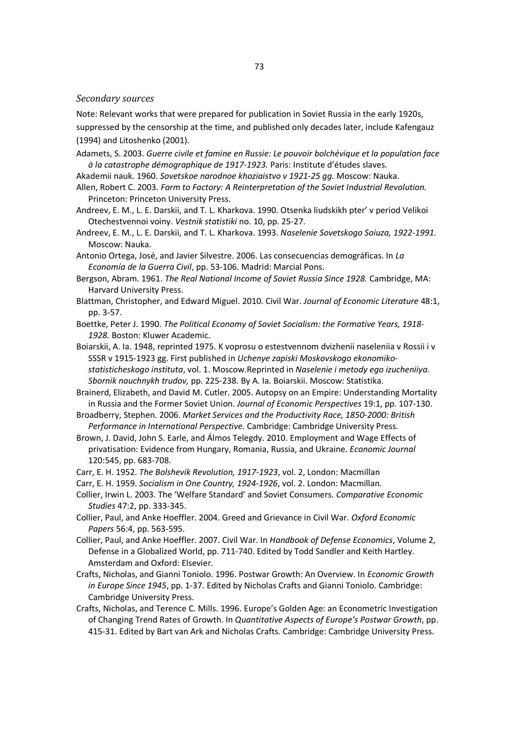## *Secondary sources*

Note: Relevant works that were prepared for publication in Soviet Russia in the early 1920s,

suppressed by the censorship at the time, and published only decades later, include Kafengauz (1994) and Litoshenko (2001).

- Adamets, S. 2003. *Guerre civile et famine en Russie: Le pouvoir bolchévique et la population face à la catastrophe démographique de 1917-1923.* Paris: Institute d'études slaves.
- Akademii nauk. 1960. *Sovetskoe narodnoe khoziaistvo v 1921-25 gg.* Moscow: Nauka.
- Allen, Robert C. 2003. *Farm to Factory: A Reinterpretation of the Soviet Industrial Revolution.* Princeton: Princeton University Press.
- Andreev, E. M., L. E. Darskii, and T. L. Kharkova. 1990. Otsenka liudskikh pter' v period Velikoi Otechestvennoi voiny. *Vestnik statistiki* no. 10, pp. 25-27.
- Andreev, E. M., L. E. Darskii, and T. L. Kharkova. 1993. *Naselenie Sovetskogo Soiuza, 1922-1991.* Moscow: Nauka.
- Antonio Ortega, José, and Javier Silvestre. 2006. Las consecuencias demográficas. In *La Economía de la Guerra Civil*, pp. 53-106. Madrid: Marcial Pons.
- Bergson, Abram. 1961. *The Real National Income of Soviet Russia Since 1928.* Cambridge, MA: Harvard University Press.
- Blattman, Christopher, and Edward Miguel. 2010. Civil War. *Journal of Economic Literature* 48:1, pp. 3-57.
- Boettke, Peter J. 1990. *The Political Economy of Soviet Socialism: the Formative Years, 1918- 1928.* Boston: Kluwer Academic.
- Boiarskii, A. Ia. 1948, reprinted 1975. K voprosu o estestvennom dvizhenii naseleniia v Rossii i v SSSR v 1915-1923 gg. First published in *Uchenye zapiski Moskovskogo ekonomikostatisticheskogo instituta*, vol. 1. Moscow.Reprinted in *Naselenie i metody ego izucheniiya. Sbornik nauchnykh trudov,* pp. 225-238. By A. Ia. Boiarskii. Moscow: Statistika.
- Brainerd, Elizabeth, and David M. Cutler. 2005. Autopsy on an Empire: Understanding Mortality in Russia and the Former Soviet Union. *Journal of Economic Perspectives* 19:1, pp. 107-130.
- Broadberry, Stephen. 2006. *Market Services and the Productivity Race, 1850-2000: British Performance in International Perspective.* Cambridge: Cambridge University Press.
- Brown, J. David, John S. Earle, and Álmos Telegdy. 2010. Employment and Wage Effects of privatisation: Evidence from Hungary, Romania, Russia, and Ukraine. *Economic Journal* 120:545, pp. 683-708.
- Carr, E. H. 1952. *The Bolshevik Revolution, 1917-1923*, vol. 2, London: Macmillan
- Carr, E. H. 1959. *Socialism in One Country, 1924-1926*, vol. 2. London: Macmillan.
- Collier, Irwin L. 2003. The 'Welfare Standard' and Soviet Consumers. *Comparative Economic Studies* 47:2, pp. 333-345.
- Collier, Paul, and Anke Hoeffler. 2004. Greed and Grievance in Civil War. *Oxford Economic Papers* 56:4, pp. 563-595.
- Collier, Paul, and Anke Hoeffler. 2007. Civil War. In *Handbook of Defense Economics*, Volume 2, Defense in a Globalized World, pp. 711-740. Edited by Todd Sandler and Keith Hartley. Amsterdam and Oxford: Elsevier.
- Crafts, Nicholas, and Gianni Toniolo. 1996. Postwar Growth: An Overview. In *Economic Growth in Europe Since 1945*, pp. 1-37. Edited by Nicholas Crafts and Gianni Toniolo. Cambridge: Cambridge University Press.
- Crafts, Nicholas, and Terence C. Mills. 1996. Europe's Golden Age: an Econometric Investigation of Changing Trend Rates of Growth. In *Quantitative Aspects of Europe's Postwar Growth*, pp. 415-31. Edited by Bart van Ark and Nicholas Crafts. Cambridge: Cambridge University Press.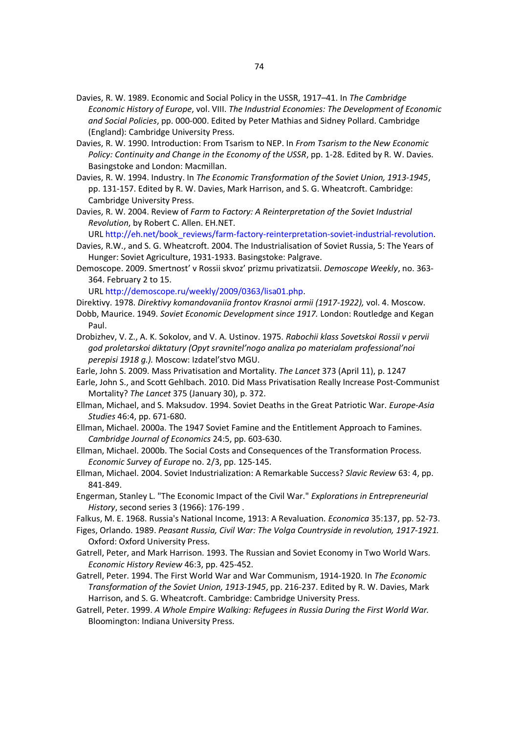- Davies, R. W. 1989. Economic and Social Policy in the USSR, 1917–41. In *The Cambridge Economic History of Europe*, vol. VIII. *The Industrial Economies: The Development of Economic and Social Policies*, pp. 000-000. Edited by Peter Mathias and Sidney Pollard. Cambridge (England): Cambridge University Press.
- Davies, R. W. 1990. Introduction: From Tsarism to NEP. In *From Tsarism to the New Economic Policy: Continuity and Change in the Economy of the USSR*, pp. 1-28. Edited by R. W. Davies. Basingstoke and London: Macmillan.
- Davies, R. W. 1994. Industry. In *The Economic Transformation of the Soviet Union, 1913-1945*, pp. 131-157. Edited by R. W. Davies, Mark Harrison, and S. G. Wheatcroft. Cambridge: Cambridge University Press.
- Davies, R. W. 2004. Review of *Farm to Factory: A Reinterpretation of the Soviet Industrial Revolution*, by Robert C. Allen. EH.NET.

URL http://eh.net/book\_reviews/farm-factory-reinterpretation-soviet-industrial-revolution.

- Davies, R.W., and S. G. Wheatcroft. 2004. The Industrialisation of Soviet Russia, 5: The Years of Hunger: Soviet Agriculture, 1931-1933. Basingstoke: Palgrave.
- Demoscope. 2009. Smertnost' v Rossii skvoz' prizmu privatizatsii. *Demoscope Weekly*, no. 363- 364. February 2 to 15.

URL http://demoscope.ru/weekly/2009/0363/lisa01.php.

- Direktivy. 1978. *Direktivy komandovaniia frontov Krasnoi armii (1917-1922),* vol. 4. Moscow.
- Dobb, Maurice. 1949. *Soviet Economic Development since 1917.* London: Routledge and Kegan Paul.
- Drobizhev, V. Z., A. K. Sokolov, and V. A. Ustinov. 1975. *Rabochii klass Sovetskoi Rossii v pervii god proletarskoi diktatury (Opyt sravnitel'nogo analiza po materialam professional'noi perepisi 1918 g.).* Moscow: Izdatel'stvo MGU.
- Earle, John S. 2009. Mass Privatisation and Mortality. *The Lancet* 373 (April 11), p. 1247
- Earle, John S., and Scott Gehlbach. 2010. Did Mass Privatisation Really Increase Post-Communist Mortality? *The Lancet* 375 (January 30), p. 372.
- Ellman, Michael, and S. Maksudov. 1994. Soviet Deaths in the Great Patriotic War. *Europe-Asia Studies* 46:4, pp. 671-680.
- Ellman, Michael. 2000a. The 1947 Soviet Famine and the Entitlement Approach to Famines. *Cambridge Journal of Economics* 24:5, pp. 603-630.
- Ellman, Michael. 2000b. The Social Costs and Consequences of the Transformation Process. *Economic Survey of Europe* no. 2/3, pp. 125-145.
- Ellman, Michael. 2004. Soviet Industrialization: A Remarkable Success? *Slavic Review* 63: 4, pp. 841-849.
- Engerman, Stanley L. "The Economic Impact of the Civil War." *Explorations in Entrepreneurial History*, second series 3 (1966): 176-199 .
- Falkus, M. E. 1968. Russia's National Income, 1913: A Revaluation. *Economica* 35:137, pp. 52-73.
- Figes, Orlando. 1989. *Peasant Russia, Civil War: The Volga Countryside in revolution, 1917-1921.* Oxford: Oxford University Press.
- Gatrell, Peter, and Mark Harrison. 1993. The Russian and Soviet Economy in Two World Wars. *Economic History Review* 46:3, pp. 425-452.
- Gatrell, Peter. 1994. The First World War and War Communism, 1914-1920. In *The Economic Transformation of the Soviet Union, 1913-1945*, pp. 216-237. Edited by R. W. Davies, Mark Harrison, and S. G. Wheatcroft. Cambridge: Cambridge University Press.
- Gatrell, Peter. 1999. *A Whole Empire Walking: Refugees in Russia During the First World War.* Bloomington: Indiana University Press.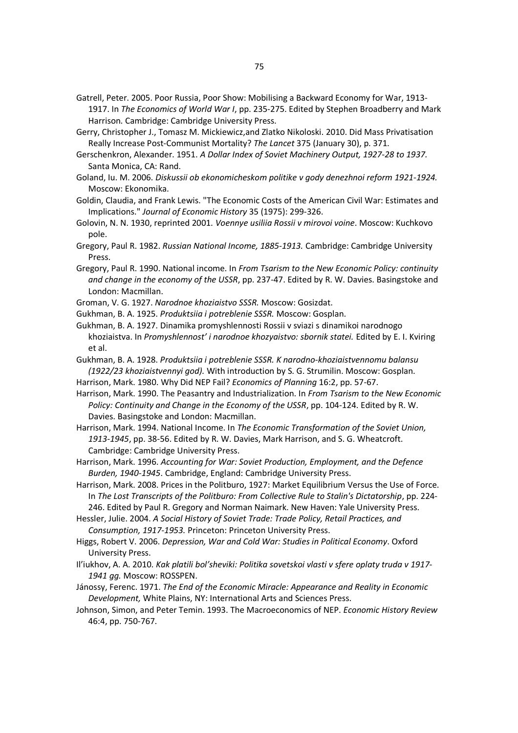- Gatrell, Peter. 2005. Poor Russia, Poor Show: Mobilising a Backward Economy for War, 1913- 1917. In *The Economics of World War I*, pp. 235-275. Edited by Stephen Broadberry and Mark Harrison. Cambridge: Cambridge University Press.
- Gerry, Christopher J., Tomasz M. Mickiewicz,and Zlatko Nikoloski. 2010. Did Mass Privatisation Really Increase Post-Communist Mortality? *The Lancet* 375 (January 30), p. 371.
- Gerschenkron, Alexander. 1951. *A Dollar Index of Soviet Machinery Output, 1927-28 to 1937.* Santa Monica, CA: Rand.
- Goland, Iu. M. 2006. *Diskussii ob ekonomicheskom politike v gody denezhnoi reform 1921-1924.* Moscow: Ekonomika.
- Goldin, Claudia, and Frank Lewis. "The Economic Costs of the American Civil War: Estimates and Implications." *Journal of Economic History* 35 (1975): 299-326.
- Golovin, N. N. 1930, reprinted 2001. *Voennye usiliia Rossii v mirovoi voine*. Moscow: Kuchkovo pole.
- Gregory, Paul R. 1982. *Russian National Income, 1885-1913.* Cambridge: Cambridge University Press.
- Gregory, Paul R. 1990. National income. In *From Tsarism to the New Economic Policy: continuity and change in the economy of the USSR*, pp. 237-47. Edited by R. W. Davies. Basingstoke and London: Macmillan.
- Groman, V. G. 1927. *Narodnoe khoziaistvo SSSR.* Moscow: Gosizdat.
- Gukhman, B. A. 1925. *Produktsiia i potreblenie SSSR.* Moscow: Gosplan.
- Gukhman, B. A. 1927. Dinamika promyshlennosti Rossii v sviazi s dinamikoi narodnogo khoziaistva. In *Promyshlennost' i narodnoe khozyaistvo: sbornik statei.* Edited by E. I. Kviring et al.
- Gukhman, B. A. 1928. *Produktsiia i potreblenie SSSR. K narodno-khoziaistvennomu balansu (1922/23 khoziaistvennyi god).* With introduction by S. G. Strumilin. Moscow: Gosplan.
- Harrison, Mark. 1980. Why Did NEP Fail? *Economics of Planning* 16:2, pp. 57-67.
- Harrison, Mark. 1990. The Peasantry and Industrialization. In *From Tsarism to the New Economic Policy: Continuity and Change in the Economy of the USSR*, pp. 104-124. Edited by R. W. Davies. Basingstoke and London: Macmillan.
- Harrison, Mark. 1994. National Income. In *The Economic Transformation of the Soviet Union, 1913-1945*, pp. 38-56. Edited by R. W. Davies, Mark Harrison, and S. G. Wheatcroft. Cambridge: Cambridge University Press.
- Harrison, Mark. 1996. *Accounting for War: Soviet Production, Employment, and the Defence Burden, 1940-1945*. Cambridge, England: Cambridge University Press.
- Harrison, Mark. 2008. Prices in the Politburo, 1927: Market Equilibrium Versus the Use of Force. In *The Lost Transcripts of the Politburo: From Collective Rule to Stalin's Dictatorship*, pp. 224- 246. Edited by Paul R. Gregory and Norman Naimark. New Haven: Yale University Press.
- Hessler, Julie. 2004. *A Social History of Soviet Trade: Trade Policy, Retail Practices, and Consumption, 1917-1953.* Princeton: Princeton University Press.
- Higgs, Robert V. 2006. *Depression, War and Cold War: Studies in Political Economy*. Oxford University Press.
- Il'iukhov, A. A. 2010. *Kak platili bol'sheviki: Politika sovetskoi vlasti v sfere oplaty truda v 1917- 1941 gg.* Moscow: ROSSPEN.
- Jánossy, Ferenc. 1971. *The End of the Economic Miracle: Appearance and Reality in Economic Development,* White Plains, NY: International Arts and Sciences Press.
- Johnson, Simon, and Peter Temin. 1993. The Macroeconomics of NEP. *Economic History Review* 46:4, pp. 750-767.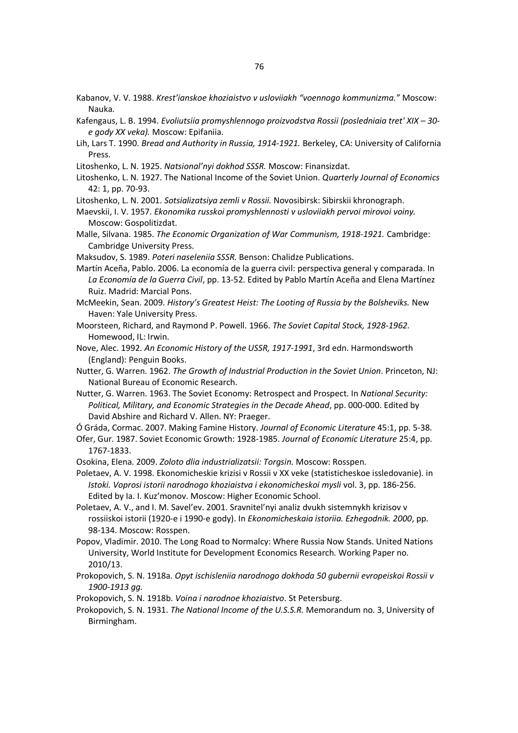Kabanov, V. V. 1988. *Krest'ianskoe khoziaistvo v usloviiakh "voennogo kommunizma."* Moscow: Nauka.

- Kafengaus, L. B. 1994. *Evoliutsiia promyshlennogo proizvodstva Rossii (posledniaia tret' XIX 30 e gody XX veka).* Moscow: Epifaniia.
- Lih, Lars T. 1990. *Bread and Authority in Russia, 1914-1921.* Berkeley, CA: University of California Press.
- Litoshenko, L. N. 1925. *Natsional'nyi dokhod SSSR.* Moscow: Finansizdat.
- Litoshenko, L. N. 1927. The National Income of the Soviet Union. *Quarterly Journal of Economics* 42: 1, pp. 70-93.

Litoshenko, L. N. 2001. *Sotsializatsiya zemli v Rossii.* Novosibirsk: Sibirskii khronograph.

- Maevskii, I. V. 1957. *Ekonomika russkoi promyshlennosti v usloviiakh pervoi mirovoi voiny.* Moscow: Gospolitizdat.
- Malle, Silvana. 1985. *The Economic Organization of War Communism, 1918-1921.* Cambridge: Cambridge University Press.
- Maksudov, S. 1989. *Poteri naseleniia SSSR.* Benson: Chalidze Publications.

Martín Aceña, Pablo. 2006. La economía de la guerra civil: perspectiva general y comparada. In *La Economía de la Guerra Civil*, pp. 13-52. Edited by Pablo Martín Aceña and Elena Martínez Ruiz. Madrid: Marcial Pons.

- McMeekin, Sean. 2009. *History's Greatest Heist: The Looting of Russia by the Bolsheviks.* New Haven: Yale University Press.
- Moorsteen, Richard, and Raymond P. Powell. 1966. *The Soviet Capital Stock, 1928-1962.* Homewood, IL: Irwin.
- Nove, Alec. 1992. *An Economic History of the USSR, 1917-1991*, 3rd edn. Harmondsworth (England): Penguin Books.
- Nutter, G. Warren. 1962. *The Growth of Industrial Production in the Soviet Union*. Princeton, NJ: National Bureau of Economic Research.
- Nutter, G. Warren. 1963. The Soviet Economy: Retrospect and Prospect. In *National Security: Political, Military, and Economic Strategies in the Decade Ahead*, pp. 000-000. Edited by David Abshire and Richard V. Allen. NY: Praeger.

Ó Gráda, Cormac. 2007. Making Famine History. *Journal of Economic Literature* 45:1, pp. 5-38.

- Ofer, Gur. 1987. Soviet Economic Growth: 1928-1985. *Journal of Economic Literature* 25:4, pp. 1767-1833.
- Osokina, Elena. 2009. *Zoloto dlia industrializatsii: Torgsin.* Moscow: Rosspen.

Poletaev, A. V. 1998. Ekonomicheskie krizisi v Rossii v XX veke (statisticheskoe issledovanie). in *Istoki. Voprosi istorii narodnogo khoziaistva i ekonomicheskoi mysli* vol. 3, pp. 186-256. Edited by Ia. I. Kuz'monov. Moscow: Higher Economic School.

- Poletaev, A. V., and I. M. Savel'ev. 2001. Sravnitel'nyi analiz dvukh sistemnykh krizisov v rossiiskoi istorii (1920-e i 1990-e gody). In *Ekonomicheskaia istoriia. Ezhegodnik. 2000*, pp. 98-134. Moscow: Rosspen.
- Popov, Vladimir. 2010. The Long Road to Normalcy: Where Russia Now Stands. United Nations University, World Institute for Development Economics Research. Working Paper no. 2010/13.
- Prokopovich, S. N. 1918a. *Opyt ischisleniia narodnogo dokhoda 50 gubernii evropeiskoi Rossii v 1900-1913 gg.*
- Prokopovich, S. N. 1918b. *Voina i narodnoe khoziaistvo*. St Petersburg.
- Prokopovich, S. N. 1931. *The National Income of the U.S.S.R.* Memorandum no. 3, University of Birmingham.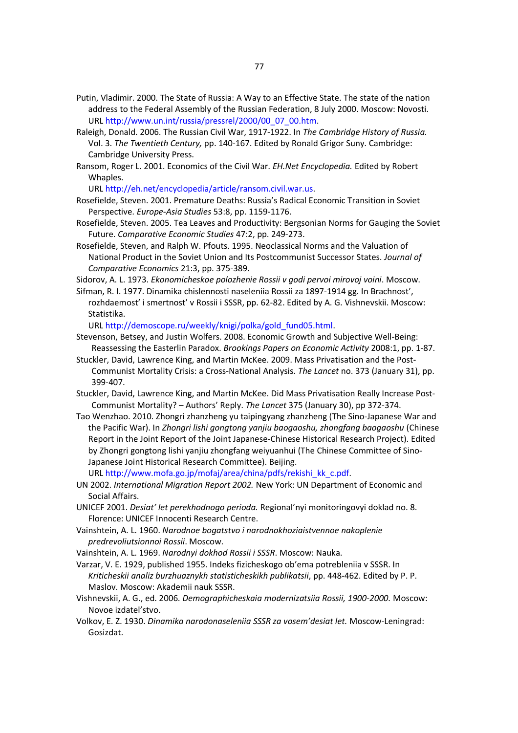- Putin, Vladimir. 2000. The State of Russia: A Way to an Effective State. The state of the nation address to the Federal Assembly of the Russian Federation, 8 July 2000. Moscow: Novosti. URL http://www.un.int/russia/pressrel/2000/00\_07\_00.htm.
- Raleigh, Donald. 2006. The Russian Civil War, 1917-1922. In *The Cambridge History of Russia.* Vol. 3. *The Twentieth Century,* pp. 140-167. Edited by Ronald Grigor Suny. Cambridge: Cambridge University Press.
- Ransom, Roger L. 2001. Economics of the Civil War. *EH.Net Encyclopedia.* Edited by Robert Whaples.

URL http://eh.net/encyclopedia/article/ransom.civil.war.us.

- Rosefielde, Steven. 2001. Premature Deaths: Russia's Radical Economic Transition in Soviet Perspective. *Europe-Asia Studies* 53:8, pp. 1159-1176.
- Rosefielde, Steven. 2005. Tea Leaves and Productivity: Bergsonian Norms for Gauging the Soviet Future. *Comparative Economic Studies* 47:2, pp. 249-273.
- Rosefielde, Steven, and Ralph W. Pfouts. 1995. Neoclassical Norms and the Valuation of National Product in the Soviet Union and Its Postcommunist Successor States. *Journal of Comparative Economics* 21:3, pp. 375-389.

Sidorov, A. L. 1973. *Ekonomicheskoe polozhenie Rossii v godi pervoi mirovoj voini*. Moscow.

Sifman, R. I. 1977. Dinamika chislennosti naseleniia Rossii za 1897-1914 gg. In Brachnost', rozhdaemost' i smertnost' v Rossii i SSSR, pp. 62-82. Edited by A. G. Vishnevskii. Moscow: Statistika.

URL http://demoscope.ru/weekly/knigi/polka/gold\_fund05.html.

- Stevenson, Betsey, and Justin Wolfers. 2008. Economic Growth and Subjective Well-Being: Reassessing the Easterlin Paradox. *Brookings Papers on Economic Activity* 2008:1, pp. 1-87.
- Stuckler, David, Lawrence King, and Martin McKee. 2009. Mass Privatisation and the Post-Communist Mortality Crisis: a Cross-National Analysis. *The Lancet* no. 373 (January 31), pp. 399-407.
- Stuckler, David, Lawrence King, and Martin McKee. Did Mass Privatisation Really Increase Post-Communist Mortality? – Authors' Reply. *The Lancet* 375 (January 30), pp 372-374.
- Tao Wenzhao. 2010. Zhongri zhanzheng yu taipingyang zhanzheng (The Sino-Japanese War and the Pacific War). In *Zhongri lishi gongtong yanjiu baogaoshu, zhongfang baogaoshu* (Chinese Report in the Joint Report of the Joint Japanese-Chinese Historical Research Project). Edited by Zhongri gongtong lishi yanjiu zhongfang weiyuanhui (The Chinese Committee of Sino-Japanese Joint Historical Research Committee). Beijing.

URL http://www.mofa.go.jp/mofaj/area/china/pdfs/rekishi\_kk\_c.pdf.

- UN 2002. *International Migration Report 2002.* New York: UN Department of Economic and Social Affairs.
- UNICEF 2001. *Desiat' let perekhodnogo perioda.* Regional'nyi monitoringovyi doklad no. 8. Florence: UNICEF Innocenti Research Centre.
- Vainshtein, A. L. 1960. *Narodnoe bogatstvo i narodnokhoziaistvennoe nakoplenie predrevoliutsionnoi Rossii*. Moscow.
- Vainshtein, A. L. 1969. *Narodnyi dokhod Rossii i SSSR*. Moscow: Nauka.
- Varzar, V. E. 1929, published 1955. Indeks fizicheskogo ob'ema potrebleniia v SSSR. In *Kriticheskii analiz burzhuaznykh statisticheskikh publikatsii*, pp. 448-462. Edited by P. P. Maslov. Moscow: Akademii nauk SSSR.
- Vishnevskii, A. G., ed. 2006. *Demographicheskaia modernizatsiia Rossii, 1900-2000.* Moscow: Novoe izdatel'stvo.
- Volkov, E. Z. 1930. *Dinamika narodonaseleniia SSSR za vosem'desiat let.* Moscow-Leningrad: Gosizdat.